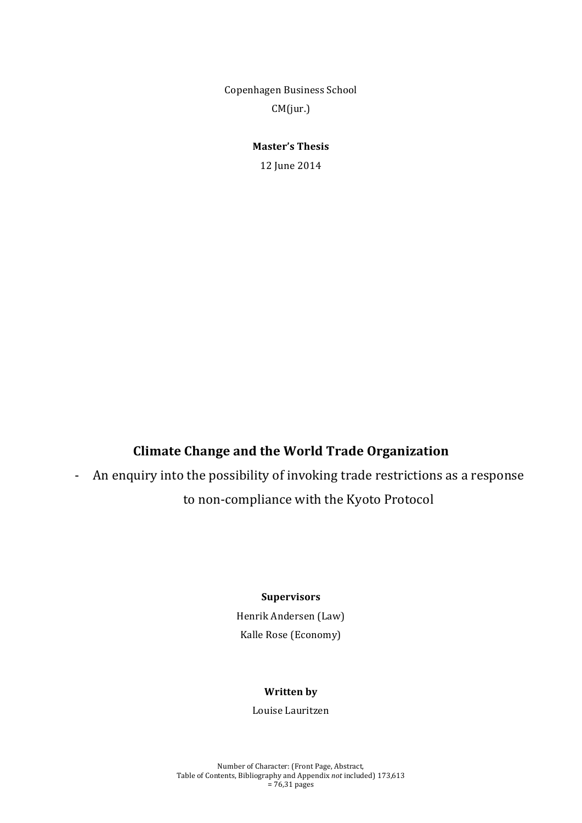Copenhagen Business School CM(jur.)

**Master's Thesis** 

12'June'2014

# **Climate Change and the World Trade Organization**

- An enquiry into the possibility of invoking trade restrictions as a response

# to non-compliance with the Kyoto Protocol

#### **Supervisors**

Henrik Andersen (Law) Kalle Rose (Economy)

#### **Written** by

Louise Lauritzen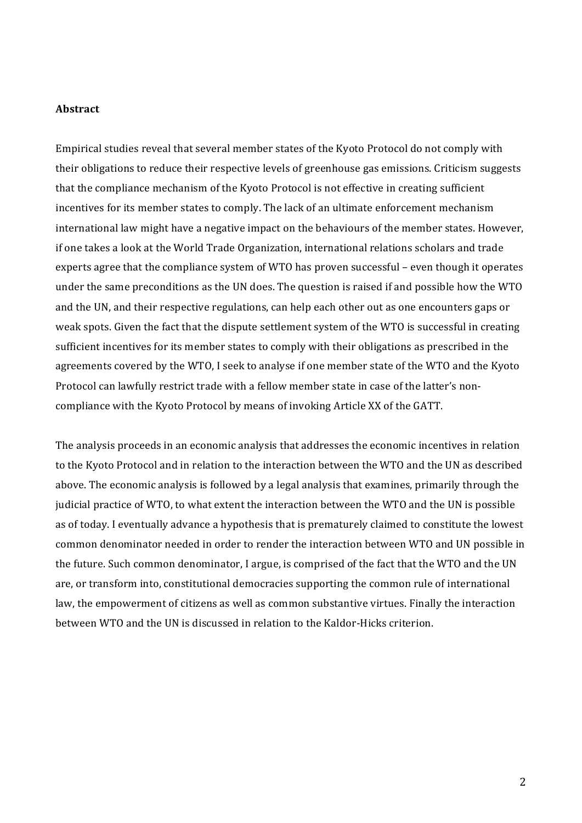#### **Abstract**

Empirical studies reveal that several member states of the Kyoto Protocol do not comply with their obligations to reduce their respective levels of greenhouse gas emissions. Criticism suggests that the compliance mechanism of the Kyoto Protocol is not effective in creating sufficient incentives for its member states to comply. The lack of an ultimate enforcement mechanism international law might have a negative impact on the behaviours of the member states. However, if one takes a look at the World Trade Organization, international relations scholars and trade experts agree that the compliance system of WTO has proven successful – even though it operates under the same preconditions as the UN does. The question is raised if and possible how the WTO and the UN, and their respective regulations, can help each other out as one encounters gaps or weak spots. Given the fact that the dispute settlement system of the WTO is successful in creating sufficient incentives for its member states to comply with their obligations as prescribed in the agreements covered by the WTO, I seek to analyse if one member state of the WTO and the Kyoto Protocol can lawfully restrict trade with a fellow member state in case of the latter's noncompliance'with'the'Kyoto'Protocol'by'means'of'invoking'Article'XX'of'the'GATT.

The analysis proceeds in an economic analysis that addresses the economic incentives in relation to the Kyoto Protocol and in relation to the interaction between the WTO and the UN as described above. The economic analysis is followed by a legal analysis that examines, primarily through the judicial practice of WTO, to what extent the interaction between the WTO and the UN is possible as of today. I eventually advance a hypothesis that is prematurely claimed to constitute the lowest common denominator needed in order to render the interaction between WTO and UN possible in the future. Such common denominator, I argue, is comprised of the fact that the WTO and the UN are, or transform into, constitutional democracies supporting the common rule of international law, the empowerment of citizens as well as common substantive virtues. Finally the interaction between'WTO and the UN is discussed in relation to the Kaldor-Hicks criterion.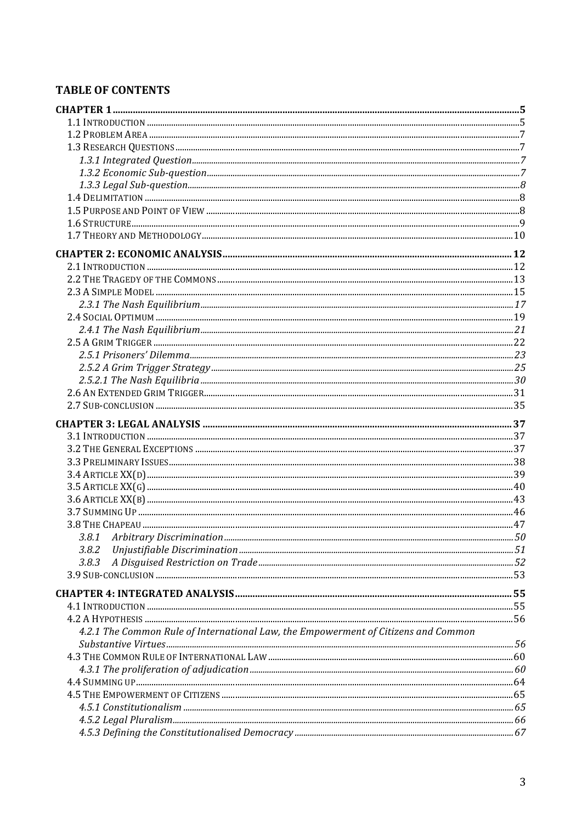## **TABLE OF CONTENTS**

| 3.8.2                                                                              |  |
|------------------------------------------------------------------------------------|--|
| 3.8.3                                                                              |  |
|                                                                                    |  |
|                                                                                    |  |
|                                                                                    |  |
|                                                                                    |  |
| 4.2.1 The Common Rule of International Law, the Empowerment of Citizens and Common |  |
|                                                                                    |  |
|                                                                                    |  |
|                                                                                    |  |
|                                                                                    |  |
|                                                                                    |  |
|                                                                                    |  |
|                                                                                    |  |
|                                                                                    |  |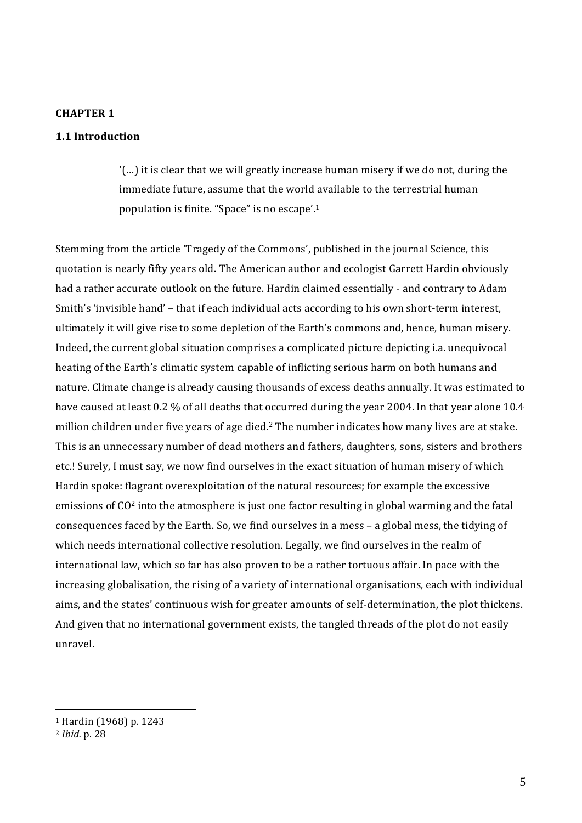#### **CHAPTER 1**

### **1.1(Introduction**

 $'$ (...) it is clear that we will greatly increase human misery if we do not, during the immediate future, assume that the world available to the terrestrial human population is finite. "Space" is no escape'.<sup>1</sup>

Stemming from the article 'Tragedy of the Commons', published in the journal Science, this quotation is nearly fifty years old. The American author and ecologist Garrett Hardin obviously had a rather accurate outlook on the future. Hardin claimed essentially - and contrary to Adam Smith's 'invisible hand' – that if each individual acts according to his own short-term interest, ultimately it will give rise to some depletion of the Earth's commons and, hence, human misery. Indeed, the current global situation comprises a complicated picture depicting i.a. unequivocal heating of the Earth's climatic system capable of inflicting serious harm on both humans and nature. Climate change is already causing thousands of excess deaths annually. It was estimated to have caused at least 0.2 % of all deaths that occurred during the year 2004. In that year alone 10.4 million children under five years of age died.<sup>2</sup> The number indicates how many lives are at stake. This is an unnecessary number of dead mothers and fathers, daughters, sons, sisters and brothers' etc.! Surely, I must say, we now find ourselves in the exact situation of human misery of which Hardin spoke: flagrant overexploitation of the natural resources; for example the excessive emissions of  $CO<sup>2</sup>$  into the atmosphere is just one factor resulting in global warming and the fatal consequences faced by the Earth. So, we find ourselves in a mess – a global mess, the tidying of which needs international collective resolution. Legally, we find ourselves in the realm of international law, which so far has also proven to be a rather tortuous affair. In pace with the increasing globalisation, the rising of a variety of international organisations, each with individual aims, and the states' continuous wish for greater amounts of self-determination, the plot thickens. And given that no international government exists, the tangled threads of the plot do not easily unravel.'

<sup>&</sup>lt;sup>1</sup> Hardin (1968) p. 1243

<sup>2</sup> *Ibid.\$*p.'28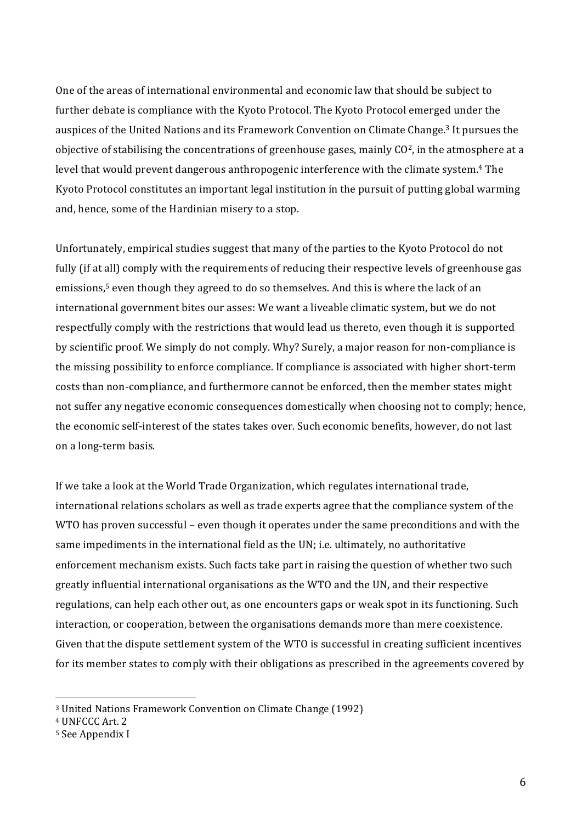One of the areas of international environmental and economic law that should be subject to further debate is compliance with the Kyoto Protocol. The Kyoto Protocol emerged under the auspices of the United Nations and its Framework Convention on Climate Change.<sup>3</sup> It pursues the objective of stabilising the concentrations of greenhouse gases, mainly CO<sup>2</sup>, in the atmosphere at a level that would prevent dangerous anthropogenic interference with the climate system.<sup>4</sup> The Kyoto Protocol constitutes an important legal institution in the pursuit of putting global warming and, hence, some of the Hardinian misery to a stop.

Unfortunately, empirical studies suggest that many of the parties to the Kyoto Protocol do not fully (if at all) comply with the requirements of reducing their respective levels of greenhouse gas emissions,<sup>5</sup> even though they agreed to do so themselves. And this is where the lack of an international government bites our asses: We want a liveable climatic system, but we do not respectfully comply with the restrictions that would lead us thereto, even though it is supported by scientific proof. We simply do not comply. Why? Surely, a major reason for non-compliance is the missing possibility to enforce compliance. If compliance is associated with higher short-term costs than non-compliance, and furthermore cannot be enforced, then the member states might not suffer any negative economic consequences domestically when choosing not to comply; hence, the economic self-interest of the states takes over. Such economic benefits, however, do not last on a long-term basis.

If we take a look at the World Trade Organization, which regulates international trade, international relations scholars as well as trade experts agree that the compliance system of the WTO has proven successful – even though it operates under the same preconditions and with the same impediments in the international field as the UN; i.e. ultimately, no authoritative enforcement mechanism exists. Such facts take part in raising the question of whether two such greatly influential international organisations as the WTO and the UN, and their respective regulations, can help each other out, as one encounters gaps or weak spot in its functioning. Such interaction, or cooperation, between the organisations demands more than mere coexistence. Given that the dispute settlement system of the WTO is successful in creating sufficient incentives for its member states to comply with their obligations as prescribed in the agreements covered by

<sup>&</sup>lt;sup>3</sup> United Nations Framework Convention on Climate Change (1992)

<sup>&</sup>lt;sup>4</sup> UNFCCC Art. 2

<sup>&</sup>lt;sup>5</sup> See Appendix I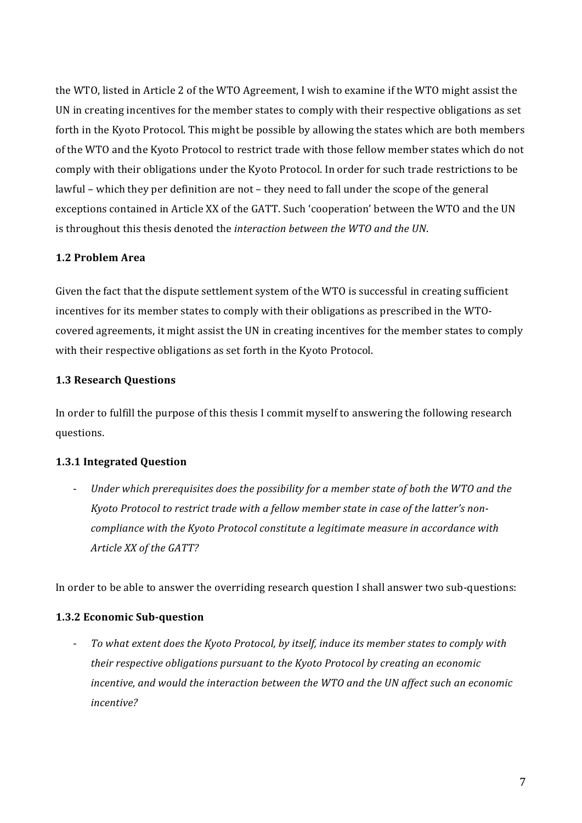the WTO, listed in Article 2 of the WTO Agreement, I wish to examine if the WTO might assist the UN in creating incentives for the member states to comply with their respective obligations as set forth in the Kyoto Protocol. This might be possible by allowing the states which are both members of the WTO and the Kyoto Protocol to restrict trade with those fellow member states which do not comply with their obligations under the Kyoto Protocol. In order for such trade restrictions to be lawful - which they per definition are not - they need to fall under the scope of the general exceptions contained in Article XX of the GATT. Such 'cooperation' between the WTO and the UN is throughout this thesis denoted the *interaction between the WTO and the UN*.

### **1.2 Problem Area**

Given the fact that the dispute settlement system of the WTO is successful in creating sufficient incentives for its member states to comply with their obligations as prescribed in the WTOcovered agreements, it might assist the UN in creating incentives for the member states to comply with their respective obligations as set forth in the Kyoto Protocol.

### **1.3 Research Questions**

In order to fulfill the purpose of this thesis I commit myself to answering the following research questions.

### **1.3.1 Integrated Question**

- Under which prerequisites does the possibility for a member state of both the WTO and the *Kyoto Protocol to restrict trade with a fellow member state in case of the latter's non*compliance with the Kyoto Protocol constitute a legitimate measure in accordance with *Article XX of the GATT?* 

In order to be able to answer the overriding research question I shall answer two sub-questions:

### **1.3.2 Economic Sub-question**

- To what extent does the Kyoto Protocol, by itself, induce its member states to comply with *their respective obligations pursuant to the Kyoto Protocol by creating an economic* incentive, and would the interaction between the WTO and the UN affect such an economic *incentive?*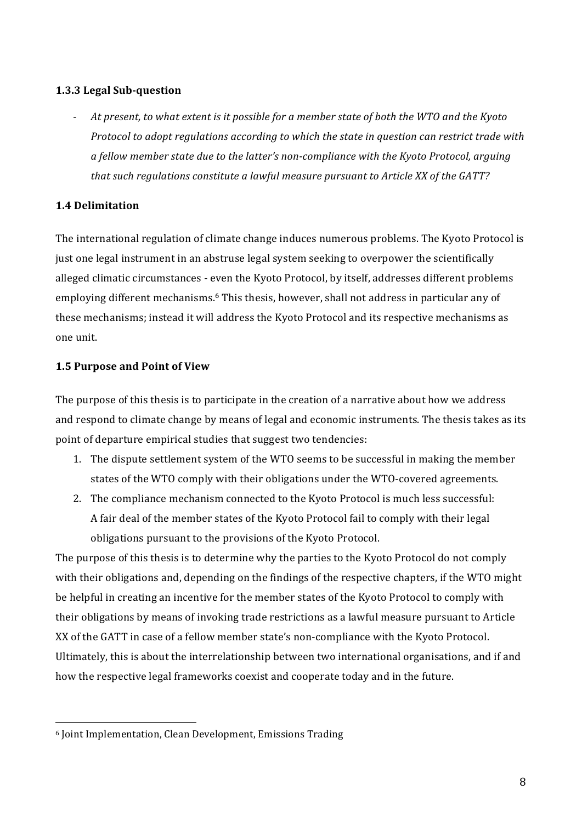### **1.3.3 Legal Sub-question**

- At present, to what extent is it possible for a member state of both the WTO and the Kyoto *Protocol to adopt regulations according to which the state in question can restrict trade with* a fellow member state due to the latter's non-compliance with the Kyoto Protocol, arguing that such regulations constitute a lawful measure pursuant to Article XX of the GATT?

### **1.4(Delimitation**

The international regulation of climate change induces numerous problems. The Kyoto Protocol is just one legal instrument in an abstruse legal system seeking to overpower the scientifically alleged climatic circumstances - even the Kyoto Protocol, by itself, addresses different problems employing different mechanisms.<sup>6</sup> This thesis, however, shall not address in particular any of these mechanisms; instead it will address the Kyoto Protocol and its respective mechanisms as one unit.

### **1.5 Purpose and Point of View**

The purpose of this thesis is to participate in the creation of a narrative about how we address and respond to climate change by means of legal and economic instruments. The thesis takes as its point of departure empirical studies that suggest two tendencies:

- 1. The dispute settlement system of the WTO seems to be successful in making the member states of the WTO comply with their obligations under the WTO-covered agreements.
- 2. The compliance mechanism connected to the Kyoto Protocol is much less successful: A fair deal of the member states of the Kyoto Protocol fail to comply with their legal obligations pursuant to the provisions of the Kyoto Protocol.

The purpose of this thesis is to determine why the parties to the Kyoto Protocol do not comply with their obligations and, depending on the findings of the respective chapters, if the WTO might be helpful in creating an incentive for the member states of the Kyoto Protocol to comply with their obligations by means of invoking trade restrictions as a lawful measure pursuant to Article XX of the GATT in case of a fellow member state's non-compliance with the Kyoto Protocol. Ultimately, this is about the interrelationship between two international organisations, and if and how the respective legal frameworks coexist and cooperate today and in the future.

<sup>&</sup>lt;sup>6</sup> Joint Implementation, Clean Development, Emissions Trading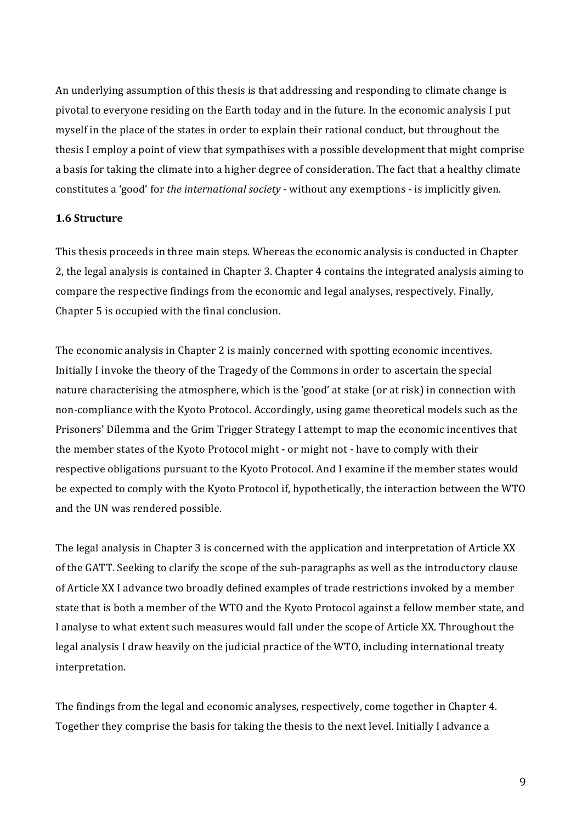An underlying assumption of this thesis is that addressing and responding to climate change is pivotal to everyone residing on the Earth today and in the future. In the economic analysis I put myself in the place of the states in order to explain their rational conduct, but throughout the thesis I employ a point of view that sympathises with a possible development that might comprise a basis for taking the climate into a higher degree of consideration. The fact that a healthy climate constitutes a 'good' for *the international society* - without any exemptions - is implicitly given.

#### **1.6(Structure**

This thesis proceeds in three main steps. Whereas the economic analysis is conducted in Chapter 2, the legal analysis is contained in Chapter 3. Chapter 4 contains the integrated analysis aiming to compare the respective findings from the economic and legal analyses, respectively. Finally, Chapter 5 is occupied with the final conclusion.

The economic analysis in Chapter 2 is mainly concerned with spotting economic incentives. Initially I invoke the theory of the Tragedy of the Commons in order to ascertain the special nature characterising the atmosphere, which is the 'good' at stake (or at risk) in connection with non-compliance with the Kyoto Protocol. Accordingly, using game theoretical models such as the Prisoners' Dilemma and the Grim Trigger Strategy I attempt to map the economic incentives that the member states of the Kyoto Protocol might - or might not - have to comply with their respective obligations pursuant to the Kyoto Protocol. And I examine if the member states would be expected to comply with the Kyoto Protocol if, hypothetically, the interaction between the WTO and the UN was rendered possible.

The legal analysis in Chapter 3 is concerned with the application and interpretation of Article XX of the GATT. Seeking to clarify the scope of the sub-paragraphs as well as the introductory clause of Article XX I advance two broadly defined examples of trade restrictions invoked by a member state that is both a member of the WTO and the Kyoto Protocol against a fellow member state, and I analyse to what extent such measures would fall under the scope of Article XX. Throughout the legal analysis I draw heavily on the judicial practice of the WTO, including international treaty interpretation.

The findings from the legal and economic analyses, respectively, come together in Chapter 4. Together they comprise the basis for taking the thesis to the next level. Initially I advance a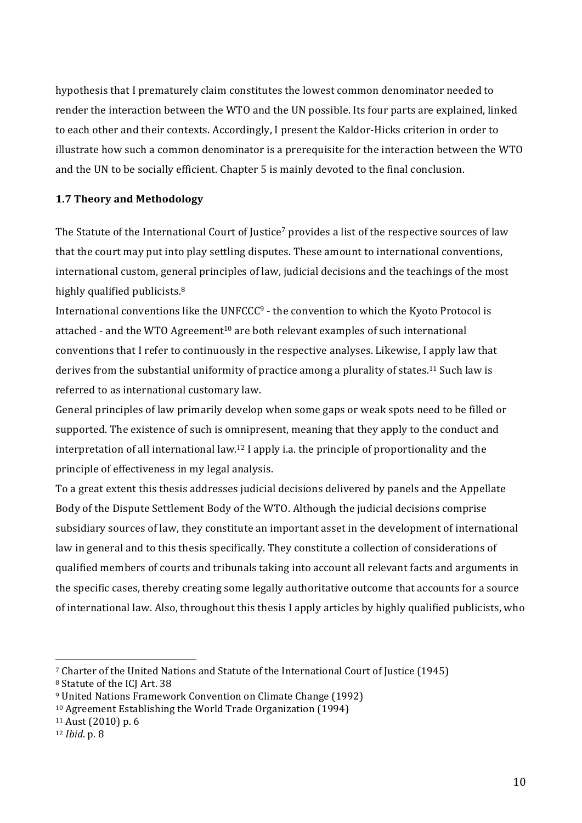hypothesis that I prematurely claim constitutes the lowest common denominator needed to render the interaction between the WTO and the UN possible. Its four parts are explained, linked to each other and their contexts. Accordingly, I present the Kaldor-Hicks criterion in order to illustrate how such a common denominator is a prerequisite for the interaction between the WTO and the UN to be socially efficient. Chapter 5 is mainly devoted to the final conclusion.

### **1.7 Theory and Methodology**

The Statute of the International Court of Justice<sup>7</sup> provides a list of the respective sources of law that the court may put into play settling disputes. These amount to international conventions, international custom, general principles of law, judicial decisions and the teachings of the most highly qualified publicists. $8<sup>8</sup>$ 

International conventions like the UNFCCC<sup>9</sup> - the convention to which the Kyoto Protocol is attached - and the WTO Agreement<sup>10</sup> are both relevant examples of such international conventions that I refer to continuously in the respective analyses. Likewise, I apply law that derives from the substantial uniformity of practice among a plurality of states.<sup>11</sup> Such law is referred to as international customary law.

General principles of law primarily develop when some gaps or weak spots need to be filled or supported. The existence of such is omnipresent, meaning that they apply to the conduct and interpretation of all international law.<sup>12</sup> I apply i.a. the principle of proportionality and the principle of effectiveness in my legal analysis.

To a great extent this thesis addresses judicial decisions delivered by panels and the Appellate Body of the Dispute Settlement Body of the WTO. Although the judicial decisions comprise subsidiary sources of law, they constitute an important asset in the development of international law in general and to this thesis specifically. They constitute a collection of considerations of qualified members of courts and tribunals taking into account all relevant facts and arguments in the specific cases, thereby creating some legally authoritative outcome that accounts for a source of international law. Also, throughout this thesis I apply articles by highly qualified publicists, who

<sup>&</sup>lt;sup>7</sup> Charter of the United Nations and Statute of the International Court of Justice (1945)

<sup>&</sup>lt;sup>8</sup> Statute of the ICJ Art. 38

<sup>&</sup>lt;sup>9</sup> United Nations Framework Convention on Climate Change (1992)

<sup>&</sup>lt;sup>10</sup> Agreement Establishing the World Trade Organization (1994)

 $11$  Aust (2010) p. 6

<sup>12</sup> *Ibid*. p. 8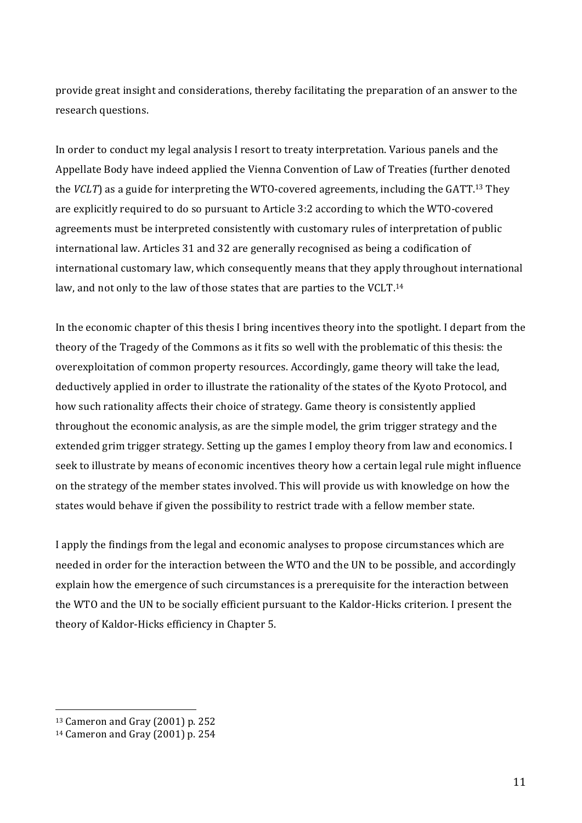provide great insight and considerations, thereby facilitating the preparation of an answer to the research questions.

In order to conduct my legal analysis I resort to treaty interpretation. Various panels and the Appellate Body have indeed applied the Vienna Convention of Law of Treaties (further denoted) the *VCLT*) as a guide for interpreting the WTO-covered agreements, including the GATT.<sup>13</sup> They are explicitly required to do so pursuant to Article 3:2 according to which the WTO-covered agreements must be interpreted consistently with customary rules of interpretation of public international law. Articles 31 and 32 are generally recognised as being a codification of international customary law, which consequently means that they apply throughout international law, and not only to the law of those states that are parties to the VCLT.<sup>14</sup>

In the economic chapter of this thesis I bring incentives theory into the spotlight. I depart from the theory of the Tragedy of the Commons as it fits so well with the problematic of this thesis: the overexploitation of common property resources. Accordingly, game theory will take the lead, deductively applied in order to illustrate the rationality of the states of the Kyoto Protocol, and how such rationality affects their choice of strategy. Game theory is consistently applied throughout the economic analysis, as are the simple model, the grim trigger strategy and the extended grim trigger strategy. Setting up the games I employ theory from law and economics. I seek to illustrate by means of economic incentives theory how a certain legal rule might influence on the strategy of the member states involved. This will provide us with knowledge on how the states would behave if given the possibility to restrict trade with a fellow member state.

I apply the findings from the legal and economic analyses to propose circumstances which are needed in order for the interaction between the WTO and the UN to be possible, and accordingly explain how the emergence of such circumstances is a prerequisite for the interaction between the WTO and the UN to be socially efficient pursuant to the Kaldor-Hicks criterion. I present the theory of Kaldor-Hicks efficiency in Chapter 5.

 $13$  Cameron and Gray (2001) p. 252

<sup>&</sup>lt;sup>14</sup> Cameron and Gray (2001) p. 254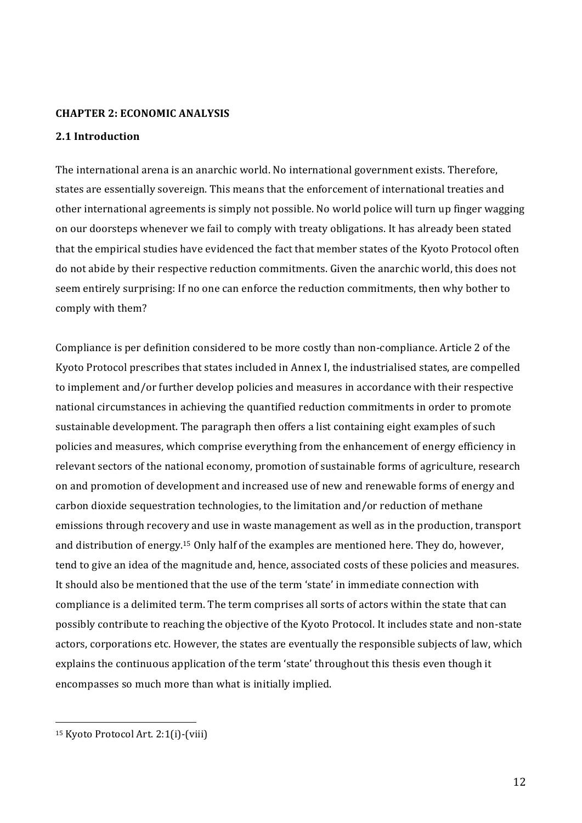#### **CHAPTER 2: ECONOMIC ANALYSIS**

### 2.1 Introduction

The international arena is an anarchic world. No international government exists. Therefore, states are essentially sovereign. This means that the enforcement of international treaties and other international agreements is simply not possible. No world police will turn up finger wagging on our doorsteps whenever we fail to comply with treaty obligations. It has already been stated that the empirical studies have evidenced the fact that member states of the Kyoto Protocol often do not abide by their respective reduction commitments. Given the anarchic world, this does not seem entirely surprising: If no one can enforce the reduction commitments, then why bother to comply with them?

Compliance is per definition considered to be more costly than non-compliance. Article 2 of the Kyoto Protocol prescribes that states included in Annex I, the industrialised states, are compelled to implement and/or further develop policies and measures in accordance with their respective national circumstances in achieving the quantified reduction commitments in order to promote sustainable development. The paragraph then offers a list containing eight examples of such policies and measures, which comprise everything from the enhancement of energy efficiency in relevant sectors of the national economy, promotion of sustainable forms of agriculture, research on and promotion of development and increased use of new and renewable forms of energy and carbon dioxide sequestration technologies, to the limitation and/or reduction of methane emissions through recovery and use in waste management as well as in the production, transport and distribution of energy.<sup>15</sup> Only half of the examples are mentioned here. They do, however, tend to give an idea of the magnitude and, hence, associated costs of these policies and measures. It should also be mentioned that the use of the term 'state' in immediate connection with compliance is a delimited term. The term comprises all sorts of actors within the state that can possibly contribute to reaching the objective of the Kyoto Protocol. It includes state and non-state actors, corporations etc. However, the states are eventually the responsible subjects of law, which explains the continuous application of the term 'state' throughout this thesis even though it encompasses so much more than what is initially implied.

<sup>&</sup>lt;sup>15</sup> Kyoto Protocol Art. 2:1(i)-(viii)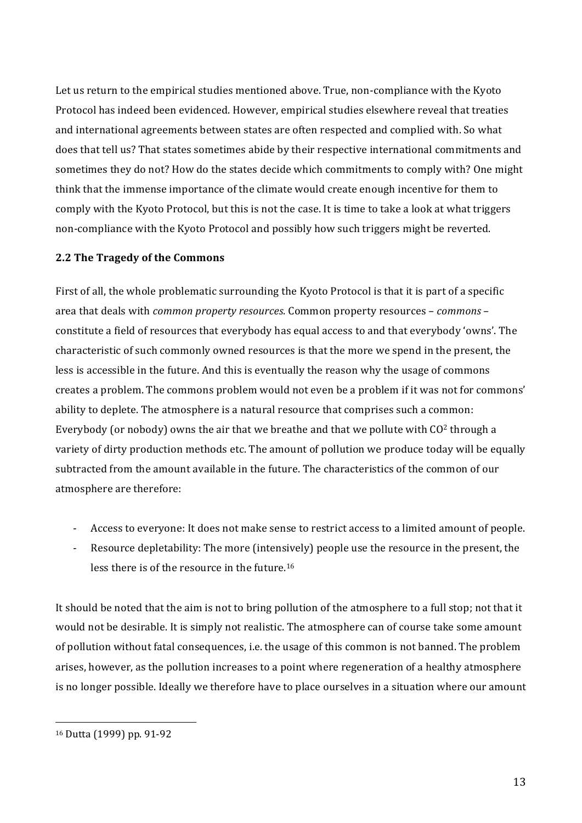Let us return to the empirical studies mentioned above. True, non-compliance with the Kyoto Protocol has indeed been evidenced. However, empirical studies elsewhere reveal that treaties and international agreements between states are often respected and complied with. So what does that tell us? That states sometimes abide by their respective international commitments and sometimes they do not? How do the states decide which commitments to comply with? One might think that the immense importance of the climate would create enough incentive for them to comply with the Kyoto Protocol, but this is not the case. It is time to take a look at what triggers non-compliance with the Kyoto Protocol and possibly how such triggers might be reverted.

### **2.2 The Tragedy of the Commons**

First of all, the whole problematic surrounding the Kyoto Protocol is that it is part of a specific area that deals with *common property resources*. Common property resources – *commons* – constitute a field of resources that everybody has equal access to and that everybody 'owns'. The characteristic of such commonly owned resources is that the more we spend in the present, the less is accessible in the future. And this is eventually the reason why the usage of commons creates a problem. The commons problem would not even be a problem if it was not for commons' ability to deplete. The atmosphere is a natural resource that comprises such a common: Everybody (or nobody) owns the air that we breathe and that we pollute with  $CO<sup>2</sup>$  through a variety of dirty production methods etc. The amount of pollution we produce today will be equally subtracted from the amount available in the future. The characteristics of the common of our atmosphere are therefore:

- Access to everyone: It does not make sense to restrict access to a limited amount of people.
- Resource depletability: The more (intensively) people use the resource in the present, the less there is of the resource in the future.<sup>16</sup>

It should be noted that the aim is not to bring pollution of the atmosphere to a full stop; not that it would not be desirable. It is simply not realistic. The atmosphere can of course take some amount of pollution without fatal consequences, i.e. the usage of this common is not banned. The problem arises, however, as the pollution increases to a point where regeneration of a healthy atmosphere is no longer possible. Ideally we therefore have to place ourselves in a situation where our amount

<sup>16</sup> Dutta (1999) pp. 91-92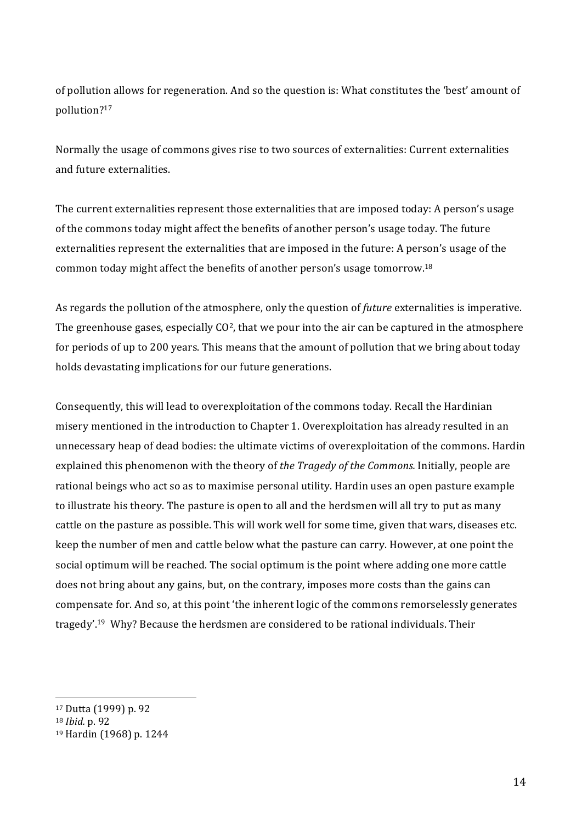of pollution allows for regeneration. And so the question is: What constitutes the 'best' amount of pollution?17

Normally the usage of commons gives rise to two sources of externalities: Current externalities and future externalities.

The current externalities represent those externalities that are imposed today: A person's usage of the commons today might affect the benefits of another person's usage today. The future externalities' represent the externalities that are imposed in the future: A person's usage of the common today might affect the benefits of another person's usage tomorrow.<sup>18</sup>

As regards the pollution of the atmosphere, only the question of *future* externalities is imperative. The greenhouse gases, especially  $CO<sup>2</sup>$ , that we pour into the air can be captured in the atmosphere for periods of up to 200 years. This means that the amount of pollution that we bring about today holds devastating implications for our future generations.

Consequently, this will lead to overexploitation of the commons today. Recall the Hardinian misery mentioned in the introduction to Chapter 1. Overexploitation has already resulted in an unnecessary heap of dead bodies: the ultimate victims of overexploitation of the commons. Hardin' explained this phenomenon with the theory of *the Tragedy of the Commons*. Initially, people are rational beings who act so as to maximise personal utility. Hardin uses an open pasture example to illustrate his theory. The pasture is open to all and the herdsmen will all try to put as many cattle on the pasture as possible. This will work well for some time, given that wars, diseases etc. keep the number of men and cattle below what the pasture can carry. However, at one point the social optimum will be reached. The social optimum is the point where adding one more cattle does not bring about any gains, but, on the contrary, imposes more costs than the gains can compensate for. And so, at this point 'the inherent logic of the commons remorselessly generates tragedy'.<sup>19</sup> Why? Because the herdsmen are considered to be rational individuals. Their

<sup>&</sup>lt;sup>17</sup> Dutta (1999) p. 92

<sup>18</sup> *Ibid.\$*p.'92

<sup>&</sup>lt;sup>19</sup> Hardin (1968) p. 1244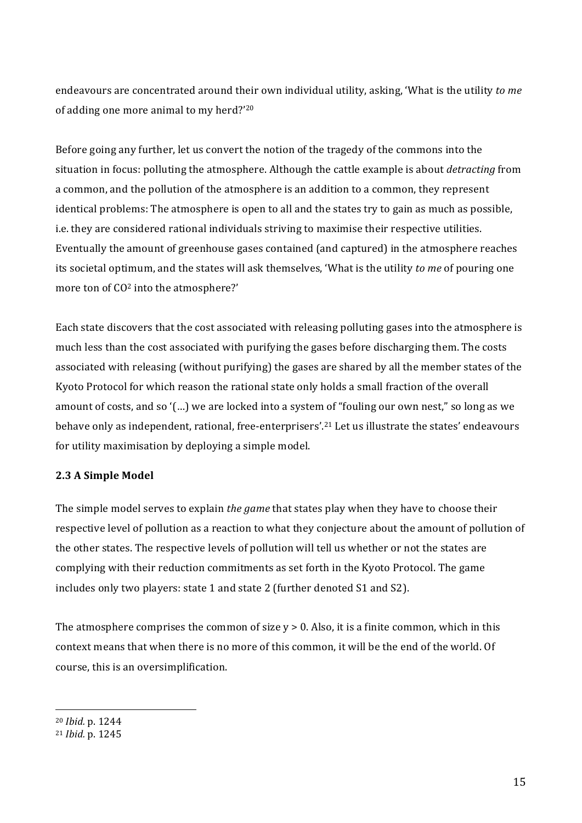endeavours are concentrated around their own individual utility, asking, 'What is the utility to me of adding one more animal to my herd?'20

Before going any further, let us convert the notion of the tragedy of the commons into the situation in focus: polluting the atmosphere. Although the cattle example is about *detracting* from a common, and the pollution of the atmosphere is an addition to a common, they represent identical problems: The atmosphere is open to all and the states try to gain as much as possible, i.e. they are considered rational individuals striving to maximise their respective utilities. Eventually the amount of greenhouse gases contained (and captured) in the atmosphere reaches its' societal optimum, and the states will ask themselves, 'What is the utility *to me* of pouring one more ton of  $CO<sup>2</sup>$  into the atmosphere?'

Each state discovers that the cost associated with releasing polluting gases into the atmosphere is much less than the cost associated with purifying the gases before discharging them. The costs associated with releasing (without purifying) the gases are shared by all the member states of the Kyoto Protocol for which reason the rational state only holds a small fraction of the overall amount of costs, and so '(...) we are locked into a system of "fouling our own nest," so long as we behave only as independent, rational, free-enterprisers'.<sup>21</sup> Let us illustrate the states' endeavours' for utility maximisation by deploying a simple model.

### **2.3 A Simple Model**

The simple model serves to explain *the game* that states play when they have to choose their respective level of pollution as a reaction to what they conjecture about the amount of pollution of the other states. The respective levels of pollution will tell us whether or not the states are complying with their reduction commitments as set forth in the Kyoto Protocol. The game includes only two players: state 1 and state 2 (further denoted S1 and S2).

The atmosphere comprises the common of size  $y > 0$ . Also, it is a finite common, which in this context means that when there is no more of this common, it will be the end of the world. Of course, this is an oversimplification.

<sup>&</sup>lt;sup>20</sup> *Ibid.* p. 1244

<sup>&</sup>lt;sup>21</sup> *Ibid.* p. 1245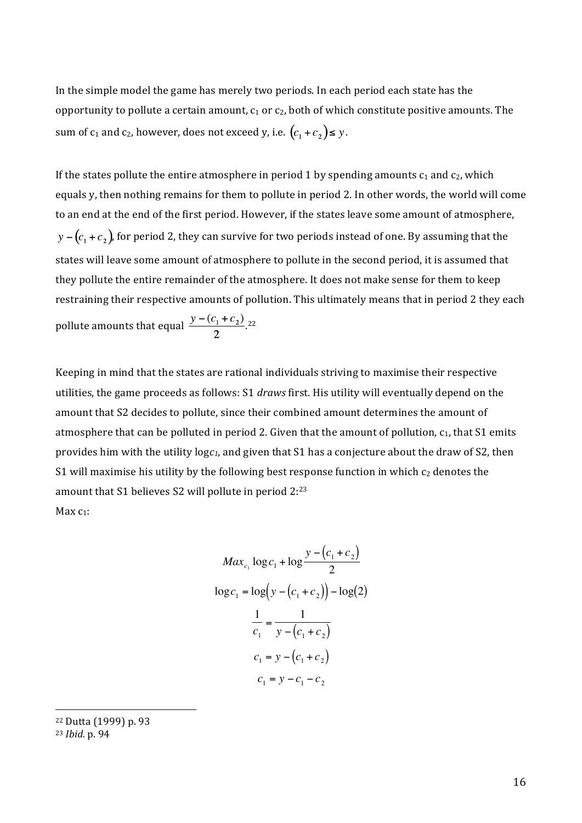In the simple model the game has merely two periods. In each period each state has the opportunity to pollute a certain amount,  $c_1$  or  $c_2$ , both of which constitute positive amounts. The sum of  $c_1$  and  $c_2$ , however, does not exceed y, i.e.  $(c_1 + c_2) \le y$ .

If the states pollute the entire atmosphere in period 1 by spending amounts  $c_1$  and  $c_2$ , which equals y, then nothing remains for them to pollute in period 2. In other words, the world will come to an end at the end of the first period. However, if the states leave some amount of atmosphere,  $y - (c_1 + c_2)$ , for period 2, they can survive for two periods instead of one. By assuming that the states will leave some amount of atmosphere to pollute in the second period, it is assumed that they pollute the entire remainder of the atmosphere. It does not make sense for them to keep restraining their respective amounts of pollution. This ultimately means that in period 2 they each pollute amounts that equal  $\frac{y-(c_1+c_2)}{2}$ .

Keeping in mind that the states are rational individuals striving to maximise their respective utilities, the game proceeds as follows: S1 *draws* first. His utility will eventually depend on the amount that S2 decides to pollute, since their combined amount determines the amount of atmosphere that can be polluted in period 2. Given that the amount of pollution,  $c_1$ , that S1 emits provides him with the utility  $logc_1$ , and given that S1 has a conjecture about the draw of S2, then S1 will maximise his utility by the following best response function in which  $c_2$  denotes the amount that S1 believes S2 will pollute in period  $2:^{23}$ Max $c_1$ :

$$
Max_{c_1} \log c_1 + \log \frac{y - (c_1 + c_2)}{2}
$$
  

$$
\log c_1 = \log(y - (c_1 + c_2)) - \log(2)
$$
  

$$
\frac{1}{c_1} = \frac{1}{y - (c_1 + c_2)}
$$
  

$$
c_1 = y - (c_1 + c_2)
$$
  

$$
c_1 = y - c_1 - c_2
$$

<sup>22</sup> Dutta (1999) p. 93

<sup>23</sup> *Ibid.\$*p.'94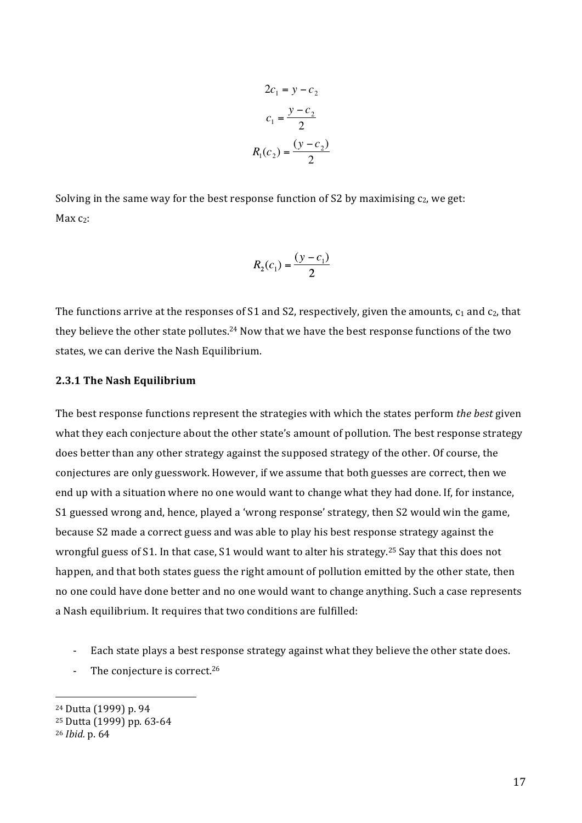$$
2c_1 = y - c_2
$$

$$
c_1 = \frac{y - c_2}{2}
$$

$$
R_1(c_2) = \frac{(y - c_2)}{2}
$$

Solving in the same way for the best response function of S2 by maximising  $c_2$ , we get:  $Max<sub>c</sub>$ :

$$
R_2(c_1) = \frac{(y - c_1)}{2}
$$

The functions arrive at the responses of S1 and S2, respectively, given the amounts,  $c_1$  and  $c_2$ , that they believe the other state pollutes.<sup>24</sup> Now that we have the best response functions of the two states, we can derive the Nash Equilibrium.

#### **2.3.1 The Nash Equilibrium**

The best response functions represent the strategies with which the states perform *the best* given what they each conjecture about the other state's amount of pollution. The best response strategy does better than any other strategy against the supposed strategy of the other. Of course, the conjectures are only guesswork. However, if we assume that both guesses are correct, then we end up with a situation where no one would want to change what they had done. If, for instance, S1 guessed wrong and, hence, played a 'wrong response' strategy, then S2 would win the game, because'S2'made'a'correct'guess'and'was'able'to'play'his'best'response'strategy'against'the' wrongful guess of S1. In that case, S1 would want to alter his strategy.<sup>25</sup> Say that this does not happen, and that both states guess the right amount of pollution emitted by the other state, then no one could have done better and no one would want to change anything. Such a case represents a Nash equilibrium. It requires that two conditions are fulfilled:

- Each state plays a best response strategy against what they believe the other state does.
- The conjecture is correct. $26$

<sup>&</sup>lt;sup>24</sup> Dutta (1999) p. 94

<sup>&</sup>lt;sup>25</sup> Dutta (1999) pp. 63-64

<sup>26</sup> *Ibid.\$*p.'64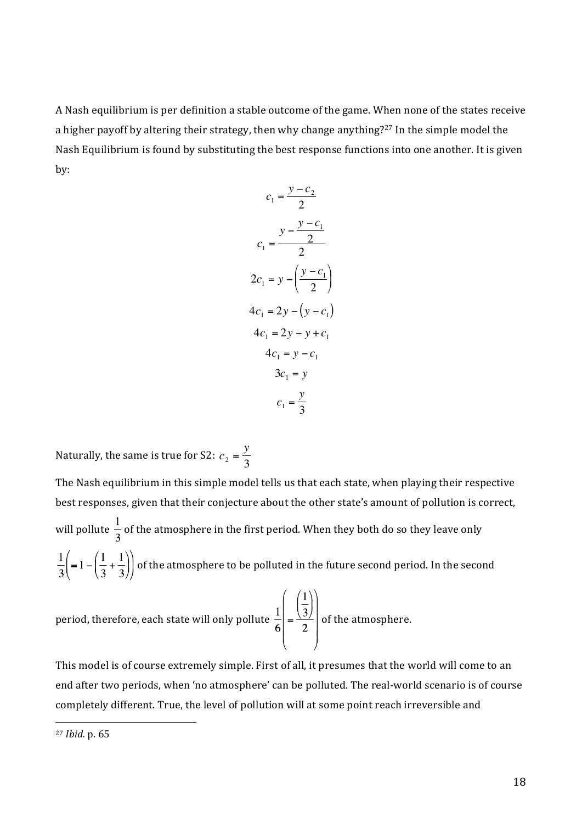A Nash equilibrium is per definition a stable outcome of the game. When none of the states receive a higher payoff by altering their strategy, then why change anything?<sup>27</sup> In the simple model the Nash Equilibrium is found by substituting the best response functions into one another. It is given by:

$$
c_1 = \frac{y - c_2}{2}
$$
  
\n
$$
c_1 = \frac{y - \frac{y - c_1}{2}}{2}
$$
  
\n
$$
2c_1 = y - \left(\frac{y - c_1}{2}\right)
$$
  
\n
$$
4c_1 = 2y - (y - c_1)
$$
  
\n
$$
4c_1 = y - c_1
$$
  
\n
$$
3c_1 = y
$$
  
\n
$$
c_1 = \frac{y}{3}
$$

Naturally, the same is true for S2:  $c_2 = \frac{y}{3}$ 

The Nash equilibrium in this simple model tells us that each state, when playing their respective best responses, given that their conjecture about the other state's amount of pollution is correct, will pollute  $\frac{1}{6}$  of the atmosphere in the first period. When they both do so they leave only  $\frac{1}{3}$  $\left($  = 1 – $\left(\frac{1}{3} + \frac{1}{3}\right)\right)$  of the atmosphere to be polluted in the future second period. In the second period, therefore, each state will only pollute  $\frac{1}{6} \left( \frac{1}{3} \right)$  of the atmosphere.

This model is of course extremely simple. First of all, it presumes that the world will come to an end after two periods, when 'no atmosphere' can be polluted. The real-world scenario is of course completely different. True, the level of pollution will at some point reach irreversible and

<sup>27</sup> *Ibid.\$*p.'65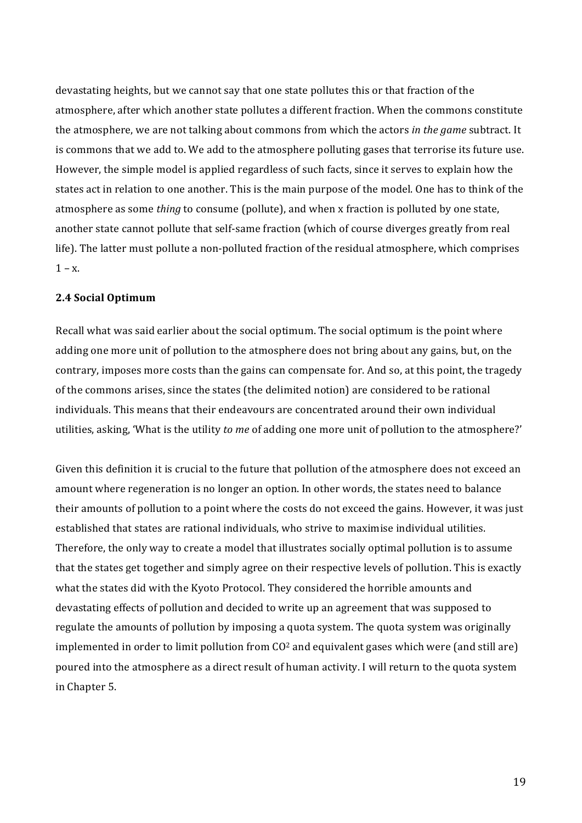devastating heights, but we cannot say that one state pollutes this or that fraction of the atmosphere, after which another state pollutes a different fraction. When the commons constitute the atmosphere, we are not talking about commons from which the actors *in the game* subtract. It is commons that we add to. We add to the atmosphere polluting gases that terrorise its future use. However, the simple model is applied regardless of such facts, since it serves to explain how the states act in relation to one another. This is the main purpose of the model. One has to think of the atmosphere as some *thing* to consume (pollute), and when x fraction is polluted by one state, another state cannot pollute that self-same fraction (which of course diverges greatly from real life). The latter must pollute a non-polluted fraction of the residual atmosphere, which comprises  $1 - x$ .

#### **2.4 Social Optimum**

Recall what was said earlier about the social optimum. The social optimum is the point where adding one more unit of pollution to the atmosphere does not bring about any gains, but, on the contrary, imposes more costs than the gains can compensate for. And so, at this point, the tragedy of the commons arises, since the states (the delimited notion) are considered to be rational individuals. This means that their endeavours are concentrated around their own individual utilities, asking, 'What is the utility *to me* of adding one more unit of pollution to the atmosphere?'

Given this definition it is crucial to the future that pollution of the atmosphere does not exceed an amount where regeneration is no longer an option. In other words, the states need to balance their amounts of pollution to a point where the costs do not exceed the gains. However, it was just established that states are rational individuals, who strive to maximise individual utilities. Therefore, the only way to create a model that illustrates socially optimal pollution is to assume that the states get together and simply agree on their respective levels of pollution. This is exactly what the states did with the Kyoto Protocol. They considered the horrible amounts and devastating effects of pollution and decided to write up an agreement that was supposed to regulate the amounts of pollution by imposing a quota system. The quota system was originally implemented in order to limit pollution from  $CO<sup>2</sup>$  and equivalent gases which were (and still are) poured into the atmosphere as a direct result of human activity. I will return to the quota system in Chapter 5.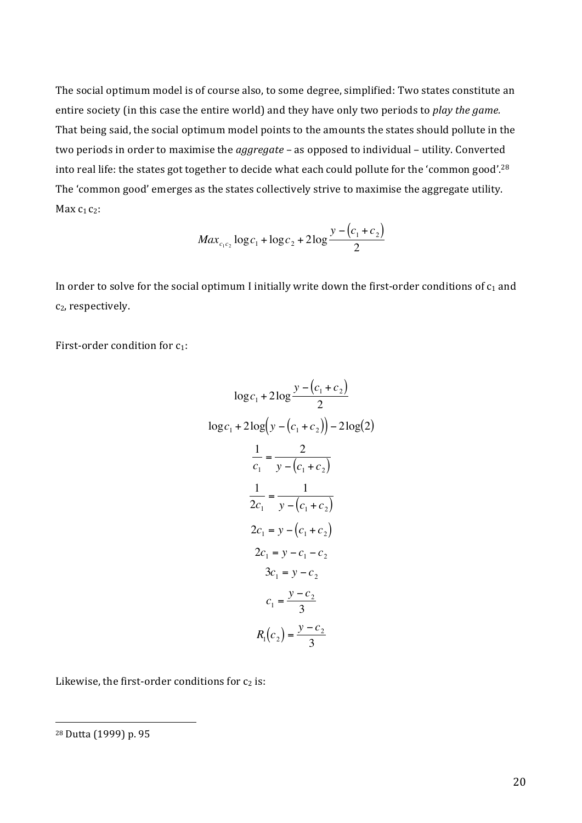The social optimum model is of course also, to some degree, simplified: Two states constitute an entire society (in this case the entire world) and they have only two periods to *play the game.* That being said, the social optimum model points to the amounts the states should pollute in the two periods in order to maximise the *aggregate* – as opposed to individual – utility. Converted into real life: the states got together to decide what each could pollute for the 'common good'.<sup>28</sup> The 'common good' emerges as the states collectively strive to maximise the aggregate utility. Max $c_1$  $c_2$ :

$$
Max_{c_1c_2} \log c_1 + \log c_2 + 2\log \frac{y - (c_1 + c_2)}{2}
$$

In order to solve for the social optimum I initially write down the first-order conditions of  $c_1$  and c<sub>2</sub>, respectively.

First-order condition for  $c_1$ :

$$
\log c_1 + 2\log \frac{y - (c_1 + c_2)}{2}
$$
  
\n
$$
\log c_1 + 2\log \left( y - (c_1 + c_2) \right) - 2\log(2)
$$
  
\n
$$
\frac{1}{c_1} = \frac{2}{y - (c_1 + c_2)}
$$
  
\n
$$
\frac{1}{2c_1} = \frac{1}{y - (c_1 + c_2)}
$$
  
\n
$$
2c_1 = y - (c_1 + c_2)
$$
  
\n
$$
2c_1 = y - c_1 - c_2
$$
  
\n
$$
3c_1 = y - c_2
$$
  
\n
$$
c_1 = \frac{y - c_2}{3}
$$
  
\n
$$
R_1(c_2) = \frac{y - c_2}{3}
$$

Likewise, the first-order conditions for  $c_2$  is:

<sup>&</sup>lt;sup>28</sup> Dutta (1999) p. 95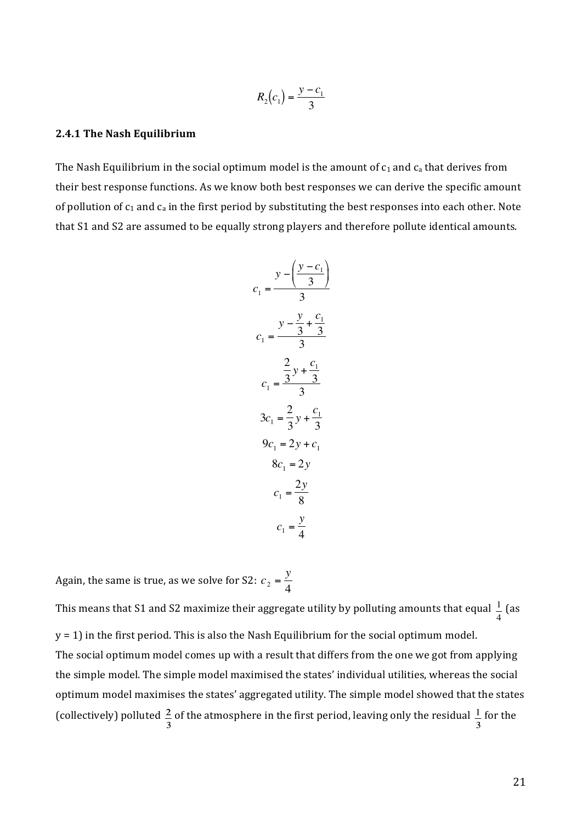$$
R_2(c_1) = \frac{y - c_1}{3}
$$

#### **2.4.1 The Nash Equilibrium**

The Nash Equilibrium in the social optimum model is the amount of  $c_1$  and  $c_a$  that derives from their best response functions. As we know both best responses we can derive the specific amount of pollution of  $c_1$  and  $c_a$  in the first period by substituting the best responses into each other. Note that S1 and S2 are assumed to be equally strong players and therefore pollute identical amounts.

$$
c_1 = \frac{y - \left(\frac{y - c_1}{3}\right)}{3}
$$
  
\n
$$
c_1 = \frac{y - \frac{y}{3} + \frac{c_1}{3}}{3}
$$
  
\n
$$
c_1 = \frac{\frac{2}{3}y + \frac{c_1}{3}}{3}
$$
  
\n
$$
3c_1 = \frac{2}{3}y + \frac{c_1}{3}
$$
  
\n
$$
9c_1 = 2y + c_1
$$
  
\n
$$
8c_1 = 2y
$$
  
\n
$$
c_1 = \frac{2y}{8}
$$
  
\n
$$
c_1 = \frac{y}{4}
$$

Again, the same is true, as we solve for S2:  $c_2 = \frac{y}{4}$ 

y = 1) in the first period. This is also the Nash Equilibrium for the social optimum model. This means that S1 and S2 maximize their aggregate utility by polluting amounts that equal  $\frac{1}{\epsilon}$ The social optimum model comes up with a result that differs from the one we got from applying 4 '(as' the simple model. The simple model maximised the states' individual utilities, whereas the social optimum model maximises the states' aggregated utility. The simple model showed that the states (collectively) polluted  $\frac{2}{3}$  of the atmosphere in the first period, leaving only the residual  $\frac{1}{3}$  for the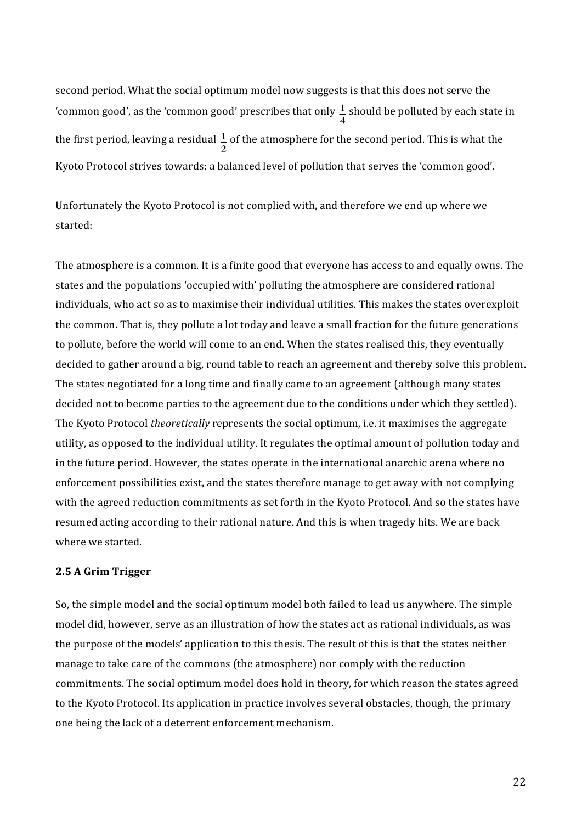second period. What the social optimum model now suggests is that this does not serve the 'common'good', as the 'common'good' prescribes that only  $\frac{1}{4}$  should be polluted by each state in the first period, leaving a residual  $\frac{1}{2}$  of the atmosphere for the second period. This is what the Kyoto Protocol strives towards: a balanced level of pollution that serves the 'common good'.

Unfortunately the Kyoto Protocol is not complied with, and therefore we end up where we started:

The atmosphere is a common. It is a finite good that everyone has access to and equally owns. The states and the populations 'occupied with' polluting the atmosphere are considered rational individuals, who act so as to maximise their individual utilities. This makes the states overexploit the common. That is, they pollute a lot today and leave a small fraction for the future generations to pollute, before the world will come to an end. When the states realised this, they eventually decided to gather around a big, round table to reach an agreement and thereby solve this problem. The states negotiated for a long time and finally came to an agreement (although many states' decided not to become parties to the agreement due to the conditions under which they settled). The Kyoto Protocol *theoretically* represents the social optimum, i.e. it maximises the aggregate utility, as opposed to the individual utility. It regulates the optimal amount of pollution today and in'the future period. However, the states operate in the international anarchic arena where no enforcement possibilities exist, and the states therefore manage to get away with not complying with the agreed reduction commitments as set forth in the Kyoto Protocol. And so the states have resumed acting according to their rational nature. And this is when tragedy hits. We are back where we started.

#### **2.5 A Grim Trigger**

So, the simple model and the social optimum model both failed to lead us anywhere. The simple model did, however, serve as an illustration of how the states act as rational individuals, as was the purpose of the models' application to this thesis. The result of this is that the states neither manage to take care of the commons (the atmosphere) nor comply with the reduction commitments. The social optimum model does hold in theory, for which reason the states agreed to the Kyoto Protocol. Its application in practice involves several obstacles, though, the primary one being the lack of a deterrent enforcement mechanism.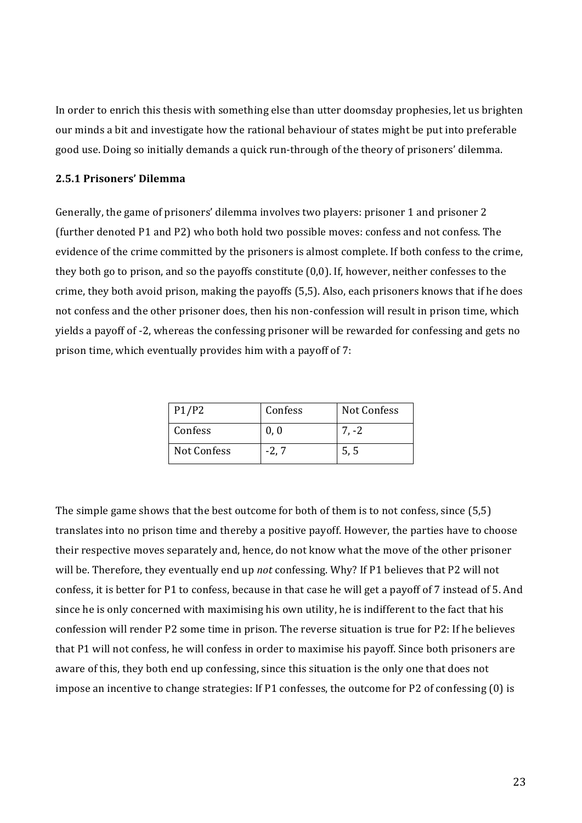In order to enrich this thesis with something else than utter doomsday prophesies, let us brighten' our minds a bit and investigate how the rational behaviour of states might be put into preferable good use. Doing so initially demands a quick run-through of the theory of prisoners' dilemma.

#### **2.5.1 Prisoners'(Dilemma**

Generally, the game of prisoners' dilemma involves two players: prisoner 1 and prisoner 2 (further denoted P1 and P2) who both hold two possible moves: confess and not confess. The evidence of the crime committed by the prisoners is almost complete. If both confess to the crime, they both go to prison, and so the payoffs constitute  $(0,0)$ . If, however, neither confesses to the crime, they both avoid prison, making the payoffs (5,5). Also, each prisoners knows that if he does not confess and the other prisoner does, then his non-confession will result in prison time, which yields a payoff of -2, whereas the confessing prisoner will be rewarded for confessing and gets no prison time, which eventually provides him with a payoff of  $7$ :

| P1/P2       | Confess | Not Confess |
|-------------|---------|-------------|
| Confess     | 0.0     | $7. -2$     |
| Not Confess | $-2, 7$ | 5, 5        |

The simple game shows that the best outcome for both of them is to not confess, since (5,5) translates into no prison time and thereby a positive payoff. However, the parties have to choose their respective moves separately and, hence, do not know what the move of the other prisoner will be. Therefore, they eventually end up *not* confessing. Why? If P1 believes that P2 will not confess, it is better for P1 to confess, because in that case he will get a payoff of 7 instead of 5. And since he is only concerned with maximising his own utility, he is indifferent to the fact that his confession will render P2 some time in prison. The reverse situation is true for P2: If he believes that P1 will not confess, he will confess in order to maximise his payoff. Since both prisoners are aware of this, they both end up confessing, since this situation is the only one that does not impose an incentive to change strategies: If P1 confesses, the outcome for P2 of confessing (0) is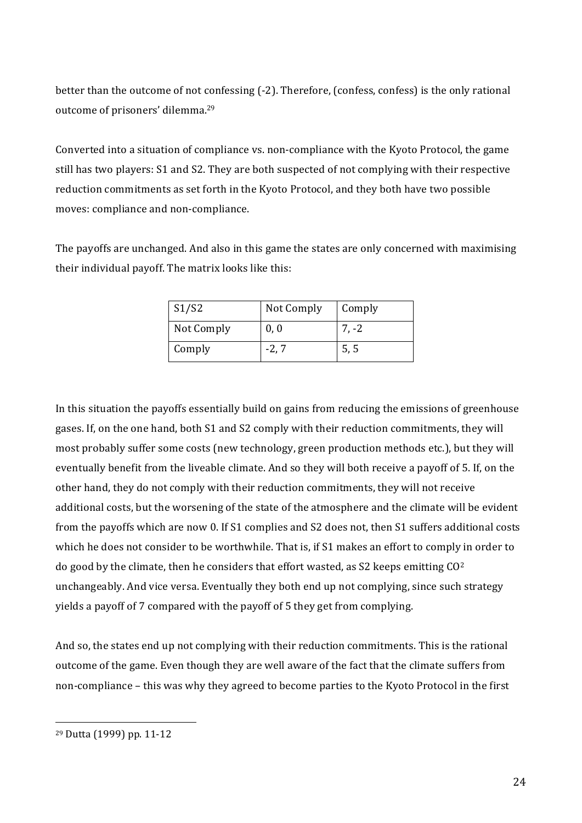better than the outcome of not confessing (-2). Therefore, (confess, confess) is the only rational outcome of prisoners' dilemma.<sup>29</sup>

Converted into a situation of compliance vs. non-compliance with the Kyoto Protocol, the game still has two players: S1 and S2. They are both suspected of not complying with their respective reduction commitments as set forth in the Kyoto Protocol, and they both have two possible moves: compliance and non-compliance.

The payoffs are unchanged. And also in this game the states are only concerned with maximising their individual payoff. The matrix looks like this:

| $\vert$ S1/S2 | Not Comply | Comply |
|---------------|------------|--------|
| Not Comply    | 0, 0       | 7. -2  |
| Comply        | -2, 7      | 5, 5   |

In this situation the payoffs essentially build on gains from reducing the emissions of greenhouse gases. If, on the one hand, both S1 and S2 comply with their reduction commitments, they will most probably suffer some costs (new technology, green production methods etc.), but they will eventually benefit from the liveable climate. And so they will both receive a payoff of 5. If, on the other hand, they do not comply with their reduction commitments, they will not receive additional costs, but the worsening of the state of the atmosphere and the climate will be evident from the payoffs which are now 0. If S1 complies and S2 does not, then S1 suffers additional costs which he does not consider to be worthwhile. That is, if S1 makes an effort to comply in order to do good by the climate, then he considers that effort wasted, as S2 keeps emitting  $CO<sup>2</sup>$ unchangeably. And vice versa. Eventually they both end up not complying, since such strategy yields a payoff of 7 compared with the payoff of 5 they get from complying.

And so, the states end up not complying with their reduction commitments. This is the rational outcome of the game. Even though they are well aware of the fact that the climate suffers from non-compliance – this was why they agreed to become parties to the Kyoto Protocol in the first

<sup>&</sup>lt;sup>29</sup> Dutta (1999) pp. 11-12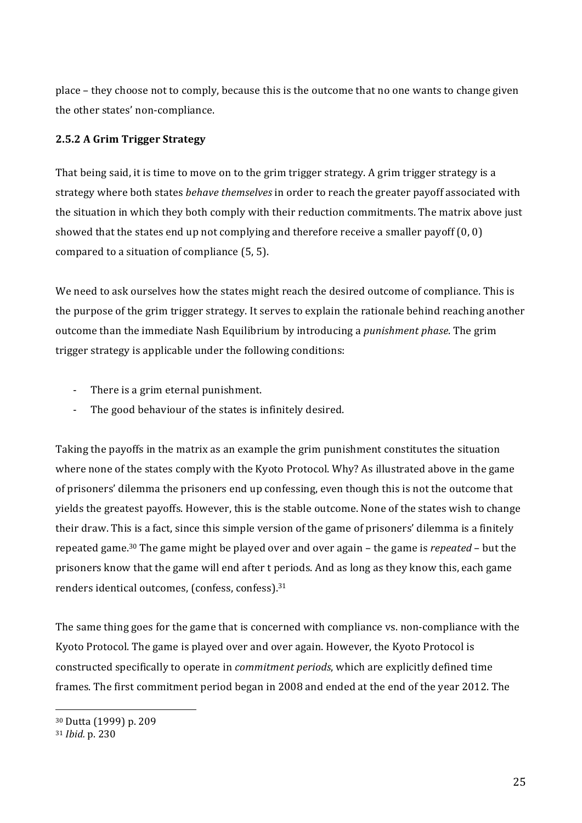place – they choose not to comply, because this is the outcome that no one wants to change given the other states' non-compliance.

### **2.5.2** A Grim Trigger Strategy

That being said, it is time to move on to the grim trigger strategy. A grim trigger strategy is a strategy where both states *behave themselves* in order to reach the greater payoff associated with the situation in which they both comply with their reduction commitments. The matrix above just showed that the states end up not complying and therefore receive a smaller payoff  $(0, 0)$ compared to a situation of compliance  $(5, 5)$ .

We need to ask ourselves how the states might reach the desired outcome of compliance. This is the purpose of the grim trigger strategy. It serves to explain the rationale behind reaching another outcome than the immediate Nash Equilibrium by introducing a *punishment phase*. The grim trigger strategy is applicable under the following conditions:

- There is a grim eternal punishment.
- The good behaviour of the states is infinitely desired.

Taking the payoffs in the matrix as an example the grim punishment constitutes the situation where none of the states comply with the Kyoto Protocol. Why? As illustrated above in the game of prisoners' dilemma the prisoners end up confessing, even though this is not the outcome that yields the greatest payoffs. However, this is the stable outcome. None of the states wish to change their draw. This is a fact, since this simple version of the game of prisoners' dilemma is a finitely repeated game.<sup>30</sup> The game might be played over and over again – the game is *repeated* – but the prisoners' know that the game will end after t periods. And as long as they know this, each game renders identical outcomes, (confess, confess).<sup>31</sup>

The same thing goes for the game that is concerned with compliance vs. non-compliance with the Kyoto Protocol. The game is played over and over again. However, the Kyoto Protocol is constructed specifically to operate in *commitment periods*, which are explicitly defined time frames. The first commitment period began in 2008 and ended at the end of the year 2012. The

<sup>&</sup>lt;sup>30</sup> Dutta (1999) p. 209

<sup>31</sup> *Ibid.* p. 230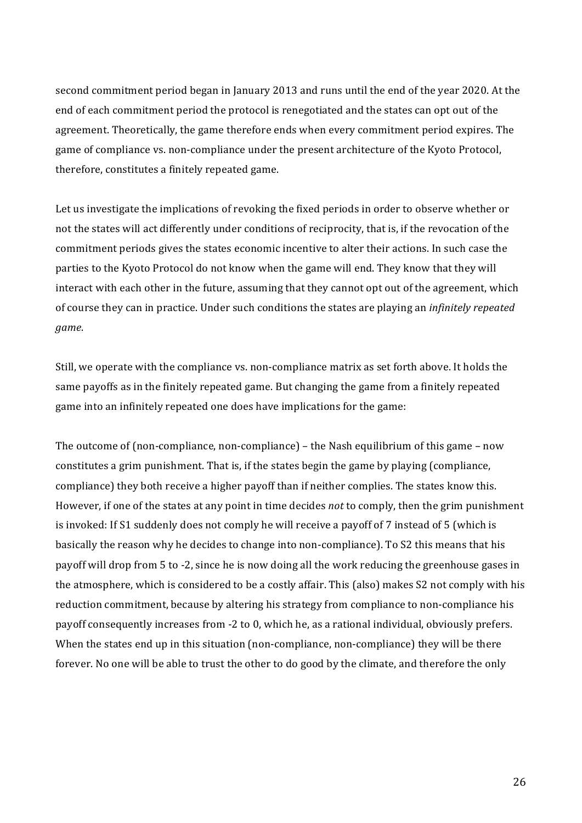second commitment period began in January 2013 and runs until the end of the year 2020. At the end of each commitment period the protocol is renegotiated and the states can opt out of the agreement. Theoretically, the game therefore ends when every commitment period expires. The game of compliance vs. non-compliance under the present architecture of the Kyoto Protocol, therefore, constitutes a finitely repeated game.

Let us investigate the implications of revoking the fixed periods in order to observe whether or not the states will act differently under conditions of reciprocity, that is, if the revocation of the commitment periods gives the states economic incentive to alter their actions. In such case the parties to the Kyoto Protocol do not know when the game will end. They know that they will interact with each other in the future, assuming that they cannot opt out of the agreement, which of course they can in practice. Under such conditions the states are playing an *infinitely repeated game*.

Still, we operate with the compliance vs. non-compliance matrix as set forth above. It holds the same payoffs as in the finitely repeated game. But changing the game from a finitely repeated game into an infinitely repeated one does have implications for the game:

The outcome of (non-compliance, non-compliance) – the Nash equilibrium of this game – now constitutes a grim punishment. That is, if the states begin the game by playing (compliance, compliance) they both receive a higher payoff than if neither complies. The states know this. However, if one of the states at any point in time decides *not* to comply, then the grim punishment is invoked: If S1 suddenly does not comply he will receive a payoff of 7 instead of 5 (which is basically the reason why he decides to change into non-compliance). To S2 this means that his payoff will drop from 5 to -2, since he is now doing all the work reducing the greenhouse gases in the atmosphere, which is considered to be a costly affair. This (also) makes S2 not comply with his reduction commitment, because by altering his strategy from compliance to non-compliance his payoff consequently increases from -2 to 0, which he, as a rational individual, obviously prefers. When the states end up in this situation (non-compliance, non-compliance) they will be there forever. No one will be able to trust the other to do good by the climate, and therefore the only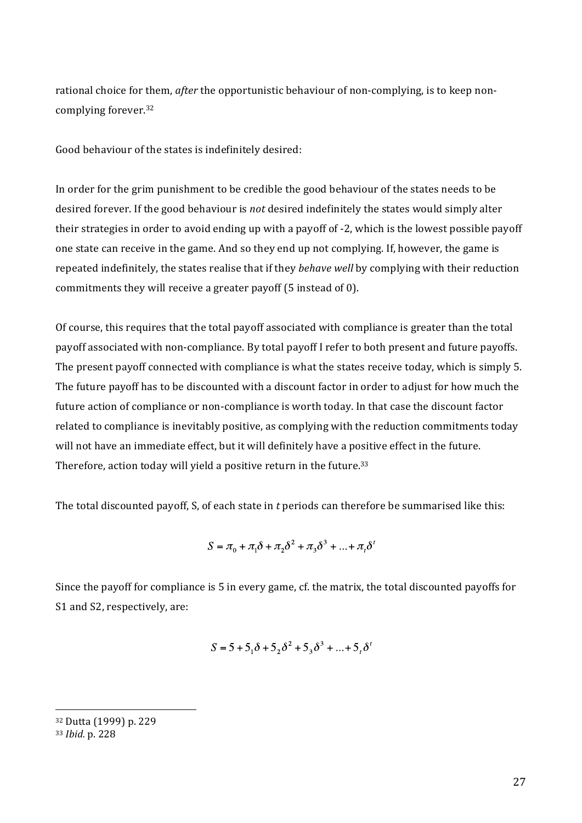rational choice for them, *after* the opportunistic behaviour of non-complying, is to keep noncomplying forever.<sup>32</sup>

Good behaviour of the states is indefinitely desired:

In order for the grim punishment to be credible the good behaviour of the states needs to be desired'forever.'If'the'good'behaviour'is'*not*'desired'indefinitely'the'states'would'simply'alter' their'strategies' in order to avoid ending up with a payoff of -2, which is the lowest possible payoff' one state can receive in the game. And so they end up not complying. If, however, the game is repeated indefinitely, the states realise that if they *behave well* by complying with their reduction commitments they will receive a greater payoff (5 instead of 0).

Of course, this requires that the total payoff associated with compliance is greater than the total payoff associated with non-compliance. By total payoff I refer to both present and future payoffs. The present payoff connected with compliance is what the states receive today, which is simply 5. The future payoff has to be discounted with a discount factor in order to adjust for how much the future action of compliance or non-compliance is worth today. In that case the discount factor related to compliance is inevitably positive, as complying with the reduction commitments today will not have an immediate effect, but it will definitely have a positive effect in the future. Therefore, action today will yield a positive return in the future. $33$ 

The total discounted payoff, S, of each state in t periods can therefore be summarised like this:

$$
S = \pi_0 + \pi_1 \delta + \pi_2 \delta^2 + \pi_3 \delta^3 + \dots + \pi_t \delta^t
$$

Since the payoff for compliance is 5 in every game, cf. the matrix, the total discounted payoffs for S1 and S2, respectively, are:

$$
S = 5 + 51 \delta + 52 \delta2 + 53 \delta3 + ... + 5t \deltat
$$

<sup>32</sup> Dutta (1999) p. 229

<sup>33</sup> *Ibid.* p. 228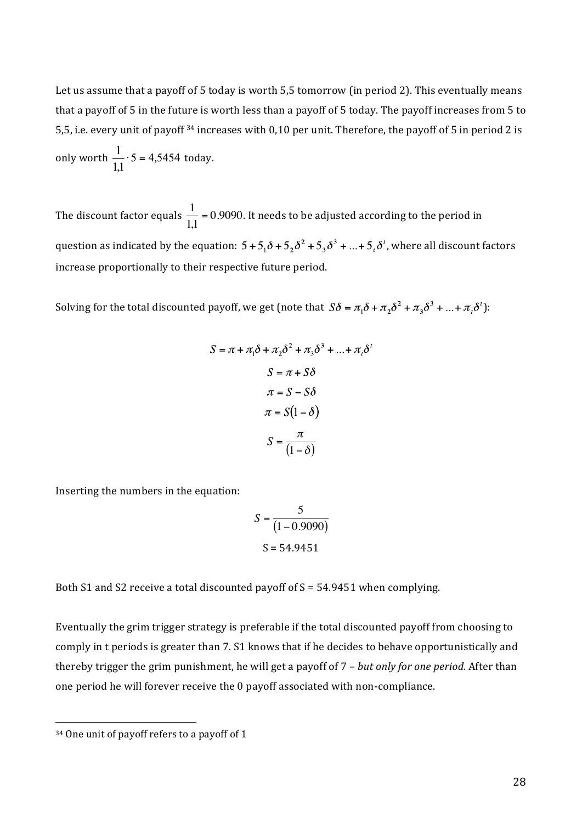Let us assume that a payoff of 5 today is worth 5,5 tomorrow (in period 2). This eventually means that a payoff of 5 in the future is worth less than a payoff of 5 today. The payoff increases from 5 to 5,5, i.e. every unit of payoff <sup>34</sup> increases with 0,10 per unit. Therefore, the payoff of 5 in period 2 is only worth  $\frac{1}{11} \cdot 5 = 4,5454$  today.

The discount factor equals  $\frac{1}{1,1}$  = 0.9090. It needs to be adjusted according to the period in  $\ddot{\phantom{0}}$ question as indicated by the equation:  $5 + 5_1\delta + 5_2\delta^2 + 5_3\delta^3 + ... + 5_i\delta^i$ , where all discount factors increase proportionally to their respective future period.

Solving for the total discounted payoff, we get (note that  $S\delta = \pi_1 \delta + \pi_2 \delta^2 + \pi_3 \delta^3 + ... + \pi_i \delta'$ ):

$$
S = \pi + \pi_1 \delta + \pi_2 \delta^2 + \pi_3 \delta^3 + \dots + \pi_t \delta
$$

$$
S = \pi + S\delta
$$

$$
\pi = S - S\delta
$$

$$
\pi = S(1 - \delta)
$$

$$
S = \frac{\pi}{(1 - \delta)}
$$

Inserting the numbers in the equation:

$$
S = \frac{5}{(1 - 0.9090)}
$$

$$
S = 54.9451
$$

€ Both S1 and S2 receive a total discounted payoff of S = 54.9451 when complying.

Eventually the grim trigger strategy is preferable if the total discounted payoff from choosing to comply in t periods is greater than 7. S1 knows that if he decides to behave opportunistically and thereby trigger the grim punishment, he will get a payoff of 7 - *but only for one period.* After than one period he will forever receive the 0 payoff associated with non-compliance.

<sup>&</sup>lt;sup>34</sup> One unit of payoff refers to a payoff of 1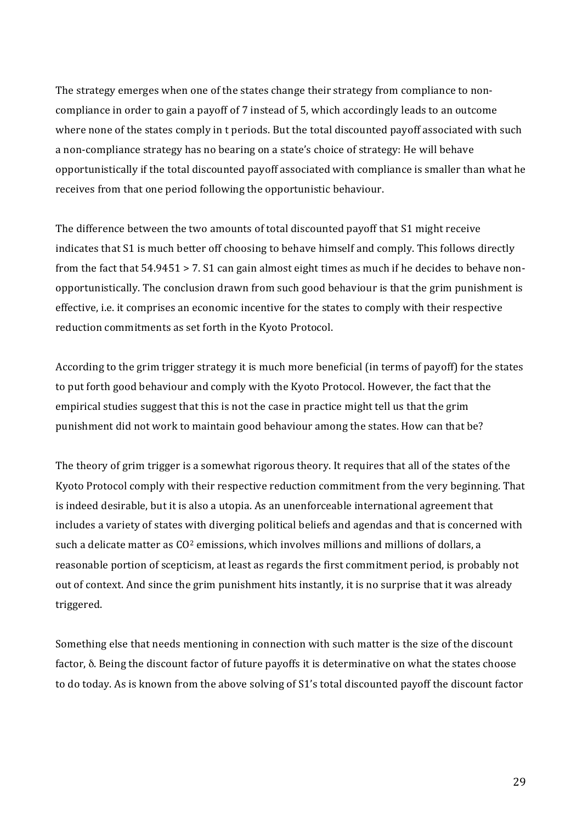The strategy emerges when one of the states change their strategy from compliance to noncompliance in order to gain a payoff of 7 instead of 5, which accordingly leads to an outcome where none of the states comply in t periods. But the total discounted payoff associated with such a non-compliance strategy has no bearing on a state's choice of strategy: He will behave opportunistically'if'the'total'discounted'payoff'associated'with'compliance'is'smaller'than'what'he' receives from that one period following the opportunistic behaviour.

The difference between the two amounts of total discounted payoff that S1 might receive indicates that S1 is much better off choosing to behave himself and comply. This follows directly from the fact that  $54.9451 > 7$ . S1 can gain almost eight times as much if he decides to behave nonopportunistically.'The'conclusion'drawn'from'such'good'behaviour'is'that'the'grim'punishment'is' effective, i.e. it comprises an economic incentive for the states to comply with their respective reduction commitments as set forth in the Kyoto Protocol.

According to the grim trigger strategy it is much more beneficial (in terms of payoff) for the states to put forth good behaviour and comply with the Kyoto Protocol. However, the fact that the empirical studies suggest that this is not the case in practice might tell us that the grim punishment did not work to maintain good behaviour among the states. How can that be?

The theory of grim trigger is a somewhat rigorous theory. It requires that all of the states of the Kyoto Protocol comply with their respective reduction commitment from the very beginning. That is indeed desirable, but it is also a utopia. As an unenforceable international agreement that includes a variety of states with diverging political beliefs and agendas and that is concerned with such a delicate matter as  $CO<sup>2</sup>$  emissions, which involves millions and millions of dollars, a reasonable portion of scepticism, at least as regards the first commitment period, is probably not out of context. And since the grim punishment hits instantly, it is no surprise that it was already triggered.

Something else that needs mentioning in connection with such matter is the size of the discount factor, δ. Being the discount factor of future payoffs it is determinative on what the states choose to do today. As is known from the above solving of S1's total discounted payoff the discount factor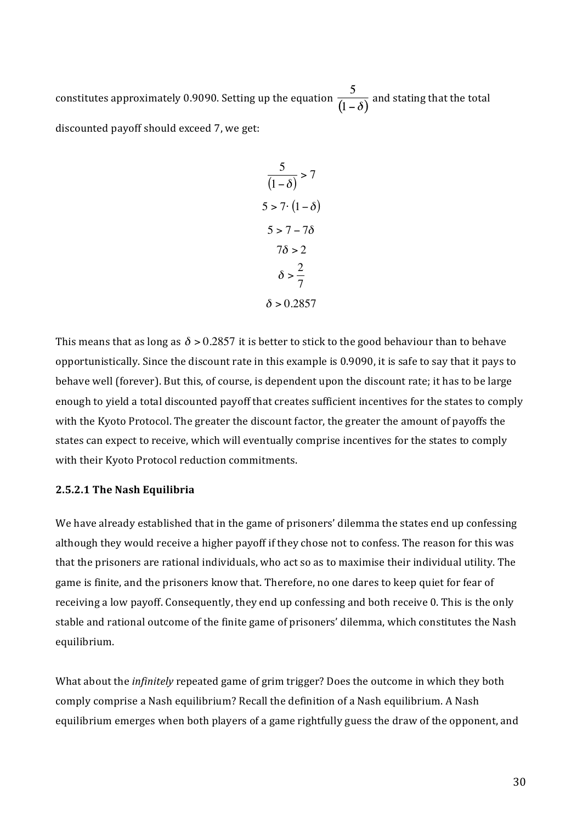constitutes approximately 0.9090. Setting up the equation  $\frac{5}{(1-\delta)}$  and stating that the total discounted payoff should exceed 7, we get:

$$
\frac{5}{(1-\delta)} > 7
$$
  
\n
$$
5 > 7 \cdot (1-\delta)
$$
  
\n
$$
5 > 7 - 7\delta
$$
  
\n
$$
7\delta > 2
$$
  
\n
$$
\delta > \frac{2}{7}
$$
  
\n
$$
\delta > 0.2857
$$

 $\overline{a}$ This means that as long as  $\delta$  > 0.2857 it is better to stick to the good behaviour than to behave opportunistically. Since the discount rate in this example is 0.9090, it is safe to say that it pays to behave well (forever). But this, of course, is dependent upon the discount rate; it has to be large enough to yield a total discounted payoff that creates sufficient incentives for the states to comply with the Kyoto Protocol. The greater the discount factor, the greater the amount of payoffs the states' can' expect to receive, which will eventually comprise incentives for the states to comply with their Kyoto Protocol reduction commitments.

#### **2.5.2.1 The Nash Equilibria**

We have already established that in the game of prisoners' dilemma the states end up confessing although they would receive a higher payoff if they chose not to confess. The reason for this was that the prisoners are rational individuals, who act so as to maximise their individual utility. The game is finite, and the prisoners know that. Therefore, no one dares to keep quiet for fear of receiving a low payoff. Consequently, they end up confessing and both receive 0. This is the only stable and rational outcome of the finite game of prisoners' dilemma, which constitutes the Nash equilibrium.

What about the *infinitely* repeated game of grim trigger? Does the outcome in which they both comply comprise a Nash equilibrium? Recall the definition of a Nash equilibrium. A Nash equilibrium emerges when both players of a game rightfully guess the draw of the opponent, and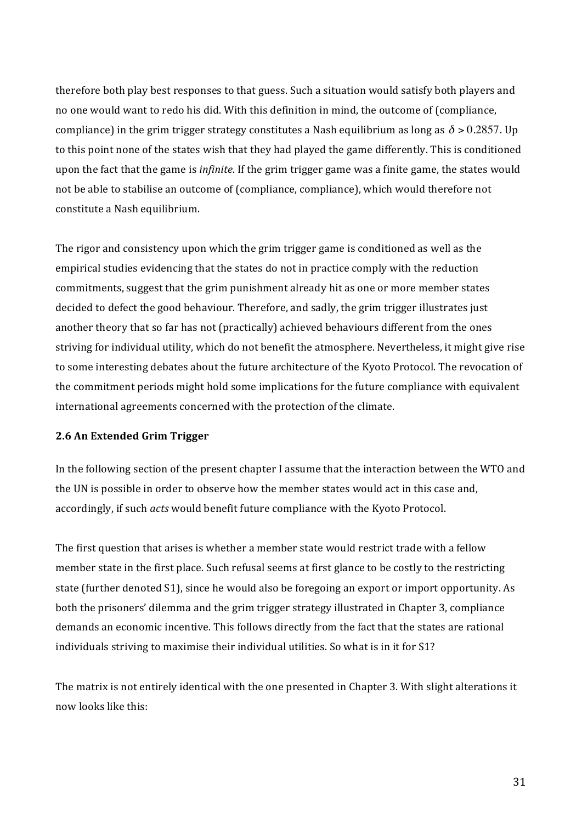therefore both play best responses to that guess. Such a situation would satisfy both players and no one would want to redo his did. With this definition in mind, the outcome of (compliance, compliance) in the grim trigger strategy constitutes a Nash equilibrium as long as  $\delta$  > 0.2857. Up to this point none of the states wish that they had played the game differently. This is conditioned upon'the'fact'that'the game is *infinite*. If the grim trigger game was a finite game, the states would not be able to stabilise an outcome of (compliance, compliance), which would therefore not constitute a Nash equilibrium.

The rigor and consistency upon which the grim trigger game is conditioned as well as the empirical studies evidencing that the states do not in practice comply with the reduction commitments, suggest that the grim punishment already hit as one or more member states decided to defect the good behaviour. Therefore, and sadly, the grim trigger illustrates just another theory that so far has not (practically) achieved behaviours different from the ones striving for individual utility, which do not benefit the atmosphere. Nevertheless, it might give rise to some interesting debates about the future architecture of the Kyoto Protocol. The revocation of the commitment periods might hold some implications for the future compliance with equivalent international agreements concerned with the protection of the climate.

#### **2.6 An Extended Grim Trigger**

In the following section of the present chapter I assume that the interaction between the WTO and the UN is possible in order to observe how the member states would act in this case and, accordingly, if such *acts* would benefit future compliance with the Kyoto Protocol.

The first question that arises is whether a member state would restrict trade with a fellow member state in the first place. Such refusal seems at first glance to be costly to the restricting state (further denoted S1), since he would also be foregoing an export or import opportunity. As both the prisoners' dilemma and the grim trigger strategy illustrated in Chapter 3, compliance demands an economic incentive. This follows directly from the fact that the states are rational individuals striving to maximise their individual utilities. So what is in it for S1?

The matrix is not entirely identical with the one presented in Chapter 3. With slight alterations it now looks like this: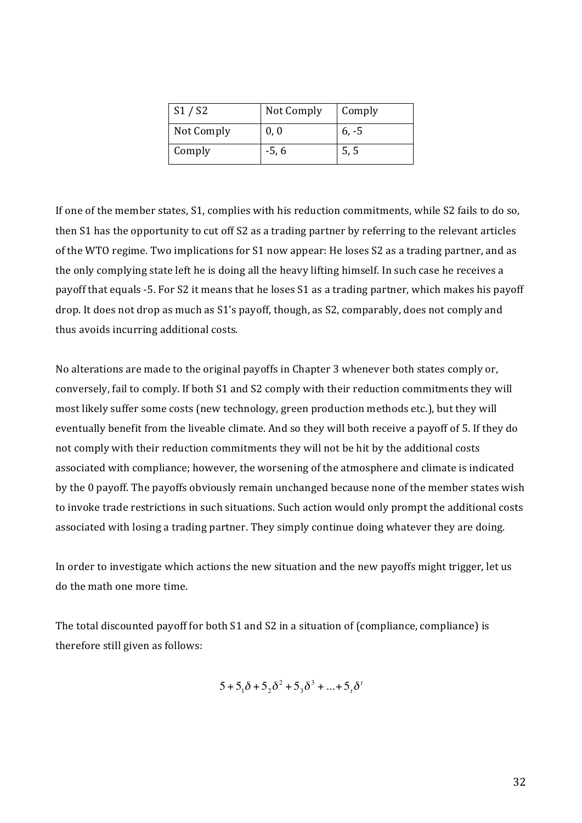| S1/S2      | Not Comply | Comply  |
|------------|------------|---------|
| Not Comply | 0, 0       | $6, -5$ |
| Comply     | $-5, 6$    | 5, 5    |

If one of the member states, S1, complies with his reduction commitments, while S2 fails to do so, then S1 has the opportunity to cut off S2 as a trading partner by referring to the relevant articles of the WTO regime. Two implications for S1 now appear: He loses S2 as a trading partner, and as the only complying state left he is doing all the heavy lifting himself. In such case he receives a payoff that equals -5. For S2 it means that he loses S1 as a trading partner, which makes his payoff drop. It does not drop as much as S1's payoff, though, as S2, comparably, does not comply and thus avoids incurring additional costs.

No alterations are made to the original payoffs in Chapter 3 whenever both states comply or, conversely, fail to comply. If both S1 and S2 comply with their reduction commitments they will most likely suffer some costs (new technology, green production methods etc.), but they will eventually benefit from the liveable climate. And so they will both receive a payoff of 5. If they do not comply with their reduction commitments they will not be hit by the additional costs associated with compliance; however, the worsening of the atmosphere and climate is indicated by the 0 payoff. The payoffs obviously remain unchanged because none of the member states wish to invoke trade restrictions in such situations. Such action would only prompt the additional costs associated with losing a trading partner. They simply continue doing whatever they are doing.

In order to investigate which actions the new situation and the new payoffs might trigger, let us do the math one more time.

The total discounted payoff for both S1 and S2 in a situation of (compliance, compliance) is therefore still given as follows:

$$
5 + 51 \delta + 52 \delta2 + 53 \delta3 + ... + 5t \deltat
$$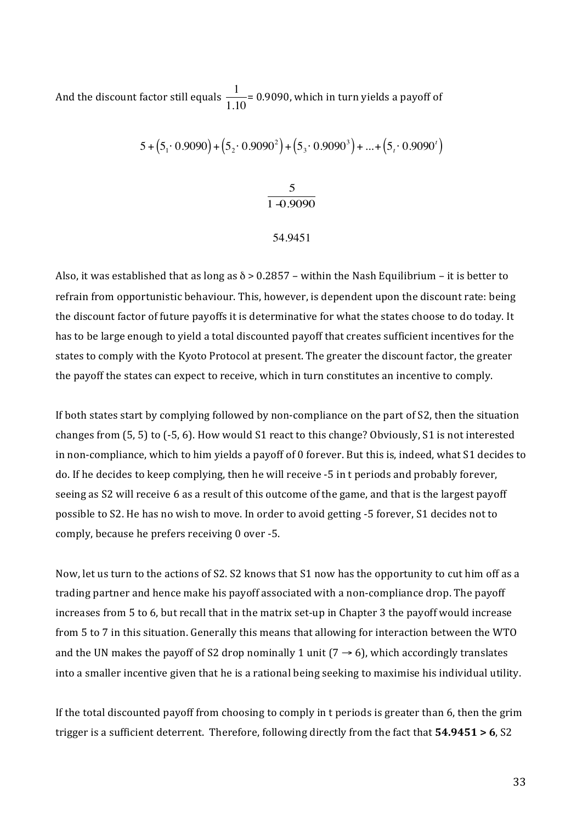And the discount factor still equals  $\frac{1}{1.10}$ = 0.9090, which in turn yields a payoff of

$$
5 + (5_1 \cdot 0.9090) + (5_2 \cdot 0.9090^2) + (5_3 \cdot 0.9090^3) + ... + (5_i \cdot 0.9090^i)
$$

$$
\frac{5}{1\text{ }40.9090}
$$

54.9451

Also, it was established that as long as  $\delta$  > 0.2857 – within the Nash Equilibrium – it is better to refrain from opportunistic behaviour. This, however, is dependent upon the discount rate: being the discount factor of future payoffs it is determinative for what the states choose to do today. It has to be large enough to yield a total discounted payoff that creates sufficient incentives for the states to comply with the Kyoto Protocol at present. The greater the discount factor, the greater the payoff the states can expect to receive, which in turn constitutes an incentive to comply.

If both states start by complying followed by non-compliance on the part of S2, then the situation changes from (5, 5) to (-5, 6). How would S1 react to this change? Obviously, S1 is not interested in non-compliance, which to him yields a payoff of 0 forever. But this is, indeed, what S1 decides to do. If he decides to keep complying, then he will receive -5 in t periods and probably forever, seeing as S2 will receive 6 as a result of this outcome of the game, and that is the largest payoff possible to S2. He has no wish to move. In order to avoid getting -5 forever, S1 decides not to comply, because he prefers receiving 0 over -5.

Now, let us turn to the actions of S2. S2 knows that S1 now has the opportunity to cut him off as a trading partner and hence make his payoff associated with a non-compliance drop. The payoff increases from 5 to 6, but recall that in the matrix set-up in Chapter 3 the payoff would increase from 5 to 7 in this situation. Generally this means that allowing for interaction between the WTO and the UN makes the payoff of S2 drop nominally 1 unit ( $7 \rightarrow 6$ ), which accordingly translates into a smaller incentive given that he is a rational being seeking to maximise his individual utility.

If the total discounted payoff from choosing to comply in t periods is greater than 6, then the grim trigger is a sufficient deterrent. Therefore, following directly from the fact that **54.9451 > 6**, S2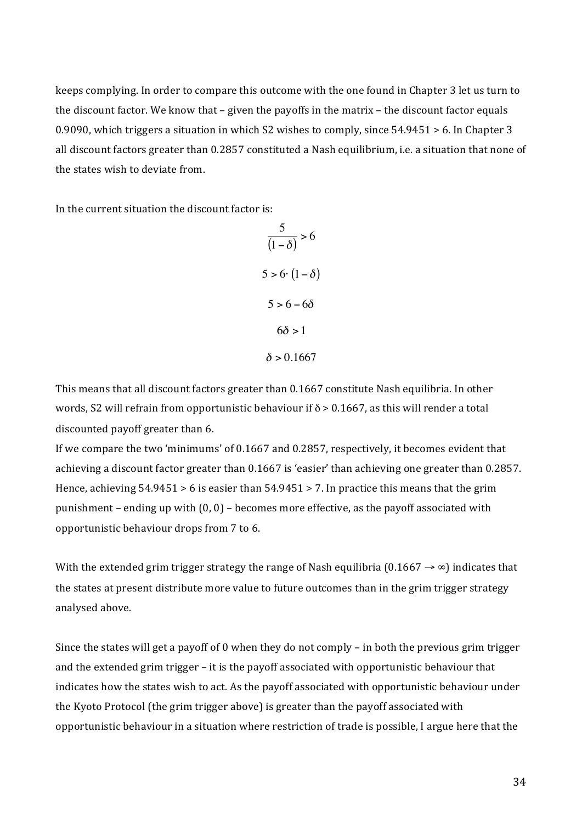keeps complying. In order to compare this outcome with the one found in Chapter 3 let us turn to the discount factor. We know that – given the payoffs in the matrix – the discount factor equals 0.9090, which triggers a situation in which S2 wishes to comply, since 54.9451 > 6. In Chapter 3 all discount factors greater than 0.2857 constituted a Nash equilibrium, i.e. a situation that none of the states wish to deviate from.

In the current situation the discount factor is:

5  $\frac{1}{(1-\delta)}$  > 6  $5 > 6 \cdot (1 - \delta)$  $5 > 6 - 6\delta$  $6\delta > 1$  $\delta > 0.1667$ 

words, S2 will refrain from opportunistic behaviour if  $\delta$  > 0.1667, as this will render a total This means that all discount factors greater than 0.1667 constitute Nash equilibria. In other discounted payoff greater than 6.

If we compare the two 'minimums' of 0.1667 and 0.2857, respectively, it becomes evident that achieving a discount factor greater than 0.1667 is 'easier' than achieving one greater than 0.2857. Hence, achieving  $54.9451>6$  is easier than  $54.9451>7$ . In practice this means that the grim punishment – ending up with  $(0, 0)$  – becomes more effective, as the payoff associated with opportunistic behaviour drops from 7 to 6.

With the extended grim trigger strategy the range of Nash equilibria  $(0.1667 \rightarrow \infty)$  indicates that the states at present distribute more value to future outcomes than in the grim trigger strategy analysed above.

Since the states will get a payoff of 0 when they do not comply – in both the previous grim trigger and the extended grim trigger - it is the payoff associated with opportunistic behaviour that indicates how the states wish to act. As the payoff associated with opportunistic behaviour under the Kyoto Protocol (the grim trigger above) is greater than the payoff associated with opportunistic behaviour in a situation where restriction of trade is possible, I argue here that the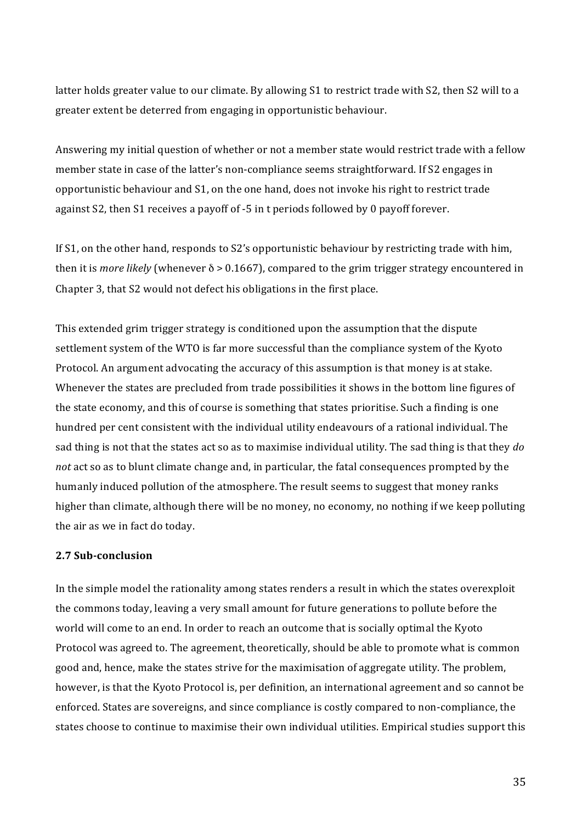latter holds greater value to our climate. By allowing S1 to restrict trade with S2, then S2 will to a greater extent be deterred from engaging in opportunistic behaviour.

Answering my initial question of whether or not a member state would restrict trade with a fellow member state in case of the latter's non-compliance seems straightforward. If S2 engages in opportunistic'behaviour'and'S1,'on'the'one'hand,'does'not'invoke'his'right'to'restrict'trade' against S2, then S1 receives a payoff of -5 in t periods followed by 0 payoff forever.

If \$1, on the other hand, responds to \$2's opportunistic behaviour by restricting trade with him, then it is *more likely* (whenever  $\delta$  > 0.1667), compared to the grim trigger strategy encountered in Chapter 3, that S2 would not defect his obligations in the first place.

This extended grim trigger strategy is conditioned upon the assumption that the dispute settlement system of the WTO is far more successful than the compliance system of the Kyoto Protocol. An argument advocating the accuracy of this assumption is that money is at stake. Whenever the states are precluded from trade possibilities it shows in the bottom line figures of the state economy, and this of course is something that states prioritise. Such a finding is one hundred per cent consistent with the individual utility endeavours of a rational individual. The sad thing is not that the states act so as to maximise individual utility. The sad thing is that they *do* not act so as to blunt climate change and, in particular, the fatal consequences prompted by the humanly induced pollution of the atmosphere. The result seems to suggest that money ranks higher than climate, although there will be no money, no economy, no nothing if we keep polluting the air as we in fact do today.

### **2.7 Sub-conclusion**

In the simple model the rationality among states renders a result in which the states overexploit the commons today, leaving a very small amount for future generations to pollute before the world will come to an end. In order to reach an outcome that is socially optimal the Kyoto Protocol was agreed to. The agreement, theoretically, should be able to promote what is common good and, hence, make the states strive for the maximisation of aggregate utility. The problem, however, is that the Kyoto Protocol is, per definition, an international agreement and so cannot be enforced. States are sovereigns, and since compliance is costly compared to non-compliance, the states choose to continue to maximise their own individual utilities. Empirical studies support this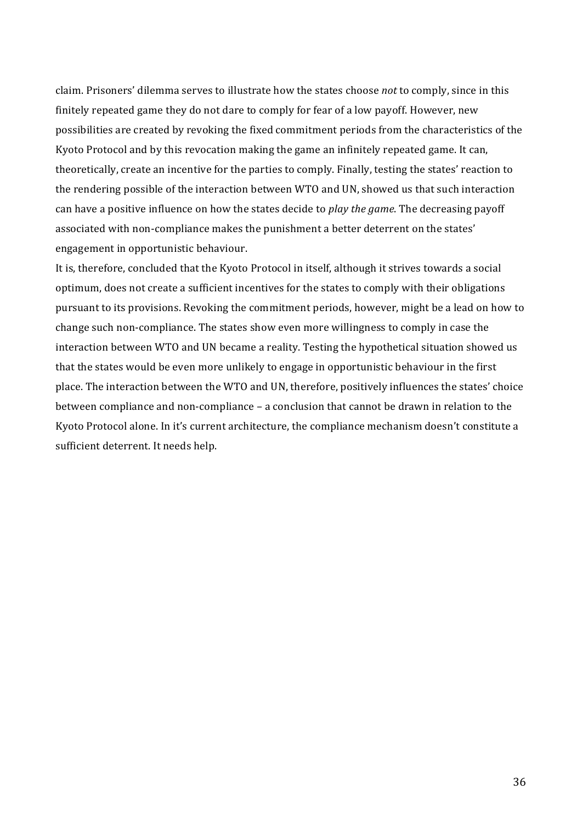claim. Prisoners' dilemma serves to illustrate how the states choose not to comply, since in this finitely repeated game they do not dare to comply for fear of a low payoff. However, new possibilities are created by revoking the fixed commitment periods from the characteristics of the Kyoto Protocol and by this revocation making the game an infinitely repeated game. It can, theoretically, create an incentive for the parties to comply. Finally, testing the states' reaction to the rendering possible of the interaction between WTO and UN, showed us that such interaction can'have a positive influence on how the states decide to *play the game*. The decreasing payoff associated with non-compliance makes the punishment a better deterrent on the states' engagement in opportunistic behaviour.

It is, therefore, concluded that the Kyoto Protocol in itself, although it strives towards a social optimum, does not create a sufficient incentives for the states to comply with their obligations pursuant to its provisions. Revoking the commitment periods, however, might be a lead on how to change such non-compliance. The states show even more willingness to comply in case the interaction between WTO and UN became a reality. Testing the hypothetical situation showed us that the states would be even more unlikely to engage in opportunistic behaviour in the first place. The interaction between the WTO and UN, therefore, positively influences the states' choice between compliance and non-compliance - a conclusion that cannot be drawn in relation to the Kyoto Protocol alone. In it's current architecture, the compliance mechanism doesn't constitute a sufficient deterrent. It needs help.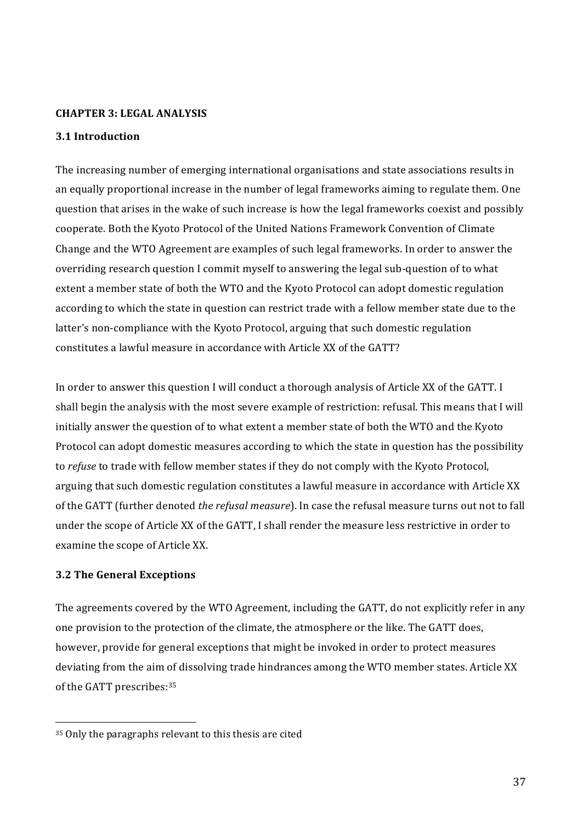#### **CHAPTER 3: LEGAL ANALYSIS**

### **3.1 Introduction**

The increasing number of emerging international organisations and state associations results in an' equally proportional increase in the number of legal frameworks aiming to regulate them. One question that arises in the wake of such increase is how the legal frameworks coexist and possibly cooperate. Both the Kyoto Protocol of the United Nations Framework Convention of Climate Change and the WTO Agreement are examples of such legal frameworks. In order to answer the overriding research question I commit myself to answering the legal sub-question of to what extent a member state of both the WTO and the Kyoto Protocol can adopt domestic regulation according to which the state in question can restrict trade with a fellow member state due to the latter's non-compliance with the Kyoto Protocol, arguing that such domestic regulation constitutes a lawful measure in accordance with Article XX of the GATT?

In order to answer this question I will conduct a thorough analysis of Article XX of the GATT. I shall begin the analysis with the most severe example of restriction: refusal. This means that I will initially answer the question of to what extent a member state of both the WTO and the Kyoto Protocol can adopt domestic measures according to which the state in question has the possibility to *refuse* to trade with fellow member states if they do not comply with the Kyoto Protocol, arguing that such domestic regulation constitutes a lawful measure in accordance with Article XX of the GATT (further denoted *the refusal measure*). In case the refusal measure turns out not to fall under the scope of Article XX of the GATT, I shall render the measure less restrictive in order to examine the scope of Article XX.

#### **3.2 The General Exceptions**

The agreements covered by the WTO Agreement, including the GATT, do not explicitly refer in any one provision to the protection of the climate, the atmosphere or the like. The GATT does, however, provide for general exceptions that might be invoked in order to protect measures deviating from the aim of dissolving trade hindrances among the WTO member states. Article XX of the GATT prescribes: 35

<sup>35</sup> Only the paragraphs relevant to this thesis are cited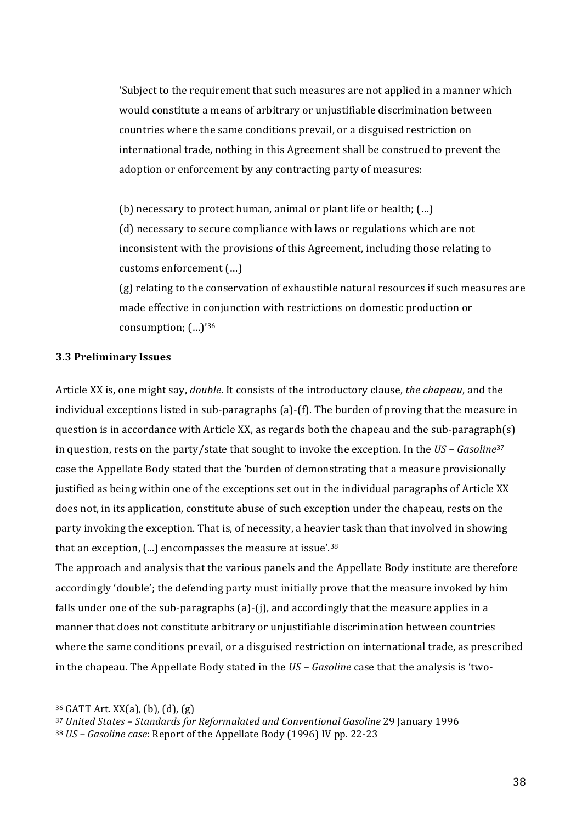'Subject to the requirement that such measures are not applied in a manner which would constitute a means of arbitrary or unjustifiable discrimination between countries where the same conditions prevail, or a disguised restriction on international trade, nothing in this Agreement shall be construed to prevent the adoption or enforcement by any contracting party of measures:

(b) necessary to protect human, animal or plant life or health; (...) (d) necessary to secure compliance with laws or regulations which are not inconsistent with the provisions of this Agreement, including those relating to customs enforcement (...)

(g) relating to the conservation of exhaustible natural resources if such measures are made effective in conjunction with restrictions on domestic production or consumption;  $(...)$ <sup>36</sup>

#### **3.3(Preliminary(Issues**

Article XX is, one might say, *double*. It consists of the introductory clause, *the chapeau*, and the individual exceptions listed in sub-paragraphs  $(a)$ - $(f)$ . The burden of proving that the measure in question is in accordance with Article XX, as regards both the chapeau and the sub-paragraph(s) in question, rests on the party/state that sought to invoke the exception. In the *US – Gasoline*<sup>37</sup> case the Appellate Body stated that the 'burden of demonstrating that a measure provisionally justified as being within one of the exceptions set out in the individual paragraphs of Article XX does not, in its application, constitute abuse of such exception under the chapeau, rests on the party invoking the exception. That is, of necessity, a heavier task than that involved in showing that an exception, (...) encompasses the measure at issue'.<sup>38</sup>

The approach and analysis that the various panels and the Appellate Body institute are therefore accordingly 'double'; the defending party must initially prove that the measure invoked by him falls under one of the sub-paragraphs (a)-(j), and accordingly that the measure applies in a manner that does not constitute arbitrary or unjustifiable discrimination between countries where the same conditions prevail, or a disguised restriction on international trade, as prescribed in the chapeau. The Appellate Body stated in the *US – Gasoline* case that the analysis is 'two-

 $36$  GATT Art. XX(a), (b), (d), (g)

<sup>&</sup>lt;sup>37</sup> United States – Standards for Reformulated and Conventional Gasoline 29 January 1996

<sup>&</sup>lt;sup>38</sup> *US – Gasoline case*: Report of the Appellate Body (1996) IV pp. 22-23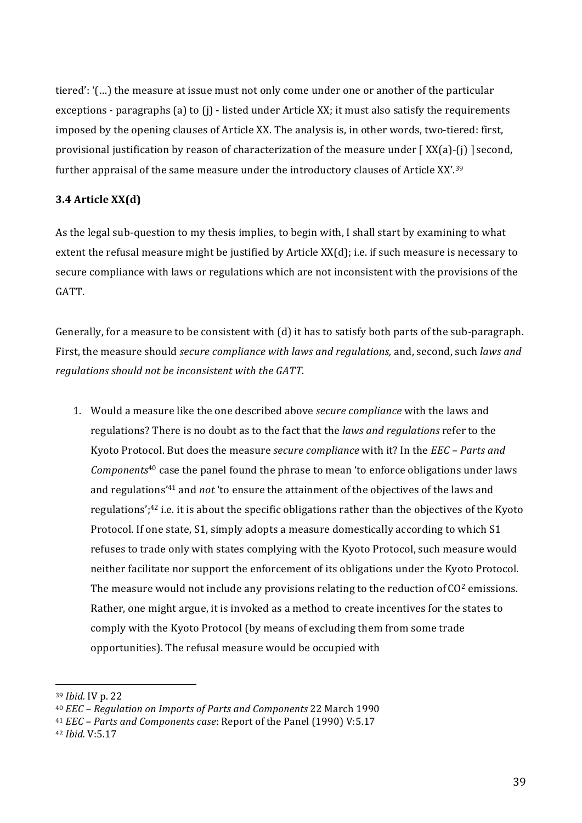tiered': '(...) the measure at issue must not only come under one or another of the particular exceptions - paragraphs (a) to (j) - listed under Article XX; it must also satisfy the requirements imposed by the opening clauses of Article XX. The analysis is, in other words, two-tiered: first, provisional justification by reason of characterization of the measure under  $\lceil XX(a)-(j) \rceil$  second, further appraisal of the same measure under the introductory clauses of Article XX'.<sup>39</sup>

### **3.4 Article XX(d)**

As the legal sub-question to my thesis implies, to begin with. I shall start by examining to what extent the refusal measure might be justified by Article  $XX(d)$ ; i.e. if such measure is necessary to secure compliance with laws or regulations which are not inconsistent with the provisions of the GATT.

Generally, for a measure to be consistent with (d) it has to satisfy both parts of the sub-paragraph. First, the measure should *secure compliance with laws and regulations*, and, second, such *laws and* regulations should not be inconsistent with the GATT.

1. Would a measure like the one described above *secure compliance* with the laws and regulations? There is no doubt as to the fact that the *laws and regulations* refer to the Kyoto Protocol. But does the measure *secure compliance* with it? In the *EEC – Parts and Components<sup>40</sup>* case the panel found the phrase to mean 'to enforce obligations under laws and regulations<sup>'41</sup> and *not* 'to ensure the attainment of the objectives of the laws and regulations';<sup>42</sup> i.e. it is about the specific obligations rather than the objectives of the Kyoto Protocol. If one state, S1, simply adopts a measure domestically according to which S1 refuses to trade only with states complying with the Kyoto Protocol, such measure would neither facilitate nor support the enforcement of its obligations under the Kyoto Protocol. The measure would not include any provisions relating to the reduction of  $CO<sup>2</sup>$  emissions. Rather, one might argue, it is invoked as a method to create incentives for the states to comply with the Kyoto Protocol (by means of excluding them from some trade) opportunities). The refusal measure would be occupied with

<sup>39</sup> *Ibid.* IV p. 22

<sup>&</sup>lt;sup>40</sup> *EEC* – Regulation on Imports of Parts and Components 22 March 1990

<sup>&</sup>lt;sup>41</sup> *EEC - Parts and Components case*: Report of the Panel (1990) V:5.17

<sup>42</sup> *Ibid.*'V:5.17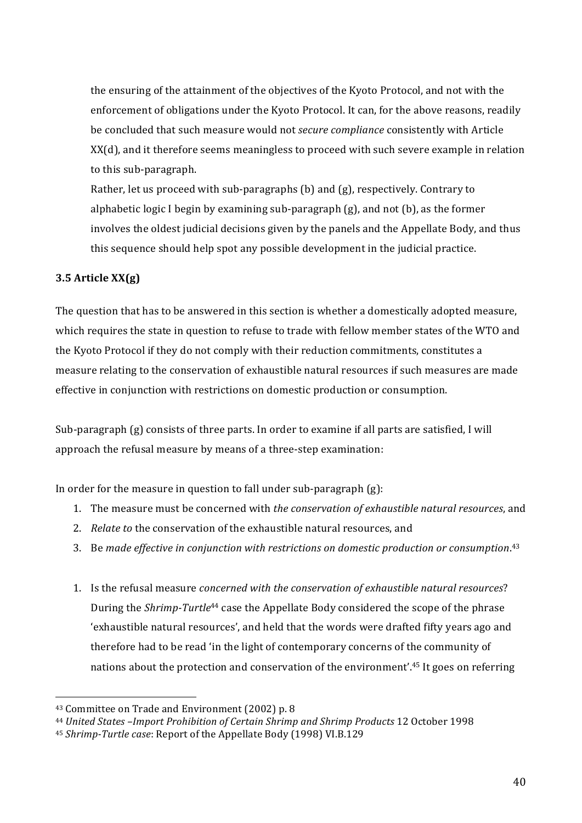the ensuring of the attainment of the objectives of the Kyoto Protocol, and not with the enforcement of obligations under the Kyoto Protocol. It can, for the above reasons, readily be concluded that such measure would not *secure compliance* consistently with Article XX(d), and it therefore seems meaningless to proceed with such severe example in relation to this sub-paragraph.

Rather, let us proceed with sub-paragraphs (b) and (g), respectively. Contrary to alphabetic logic I begin by examining sub-paragraph  $(g)$ , and not  $(b)$ , as the former involves the oldest judicial decisions given by the panels and the Appellate Body, and thus this sequence should help spot any possible development in the judicial practice.

# **3.5 Article XX(g)**

The question that has to be answered in this section is whether a domestically adopted measure, which requires the state in question to refuse to trade with fellow member states of the WTO and the Kyoto Protocol if they do not comply with their reduction commitments, constitutes a measure relating to the conservation of exhaustible natural resources if such measures are made effective in conjunction with restrictions on domestic production or consumption.

Sub-paragraph (g) consists of three parts. In order to examine if all parts are satisfied, I will approach the refusal measure by means of a three-step examination:

In order for the measure in question to fall under sub-paragraph  $(g)$ :

- 1. The measure must be concerned with *the conservation of exhaustible natural resources*, and
- 2. *Relate to* the conservation of the exhaustible natural resources, and
- 3. Be made effective in conjunction with restrictions on domestic production or consumption.<sup>43</sup>
- 1. Is the refusal measure *concerned with the conservation of exhaustible natural resources*? During the *Shrimp-Turtle<sup>44</sup>* case the Appellate Body considered the scope of the phrase 'exhaustible natural resources', and held that the words were drafted fifty years ago and therefore had to be read 'in the light of contemporary concerns of the community of nations' about the protection and conservation of the environment'.<sup>45</sup> It goes on referring

<sup>&</sup>lt;sup>43</sup> Committee on Trade and Environment (2002) p. 8

<sup>&</sup>lt;sup>44</sup> United States –Import Prohibition of Certain Shrimp and Shrimp Products 12 October 1998

<sup>&</sup>lt;sup>45</sup> *Shrimp-Turtle case*: Report of the Appellate Body (1998) VI.B.129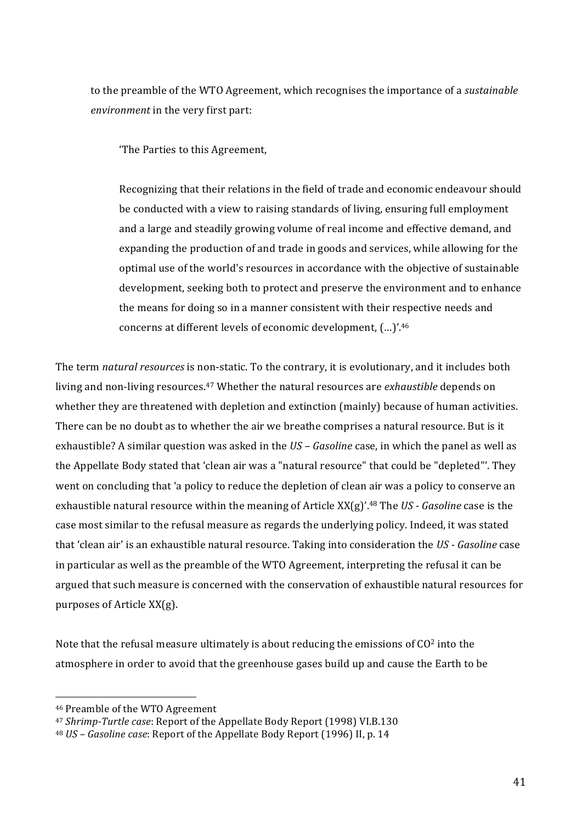to the preamble of the WTO Agreement, which recognises the importance of a *sustainable environment* in the very first part:

'The Parties to this Agreement,

Recognizing that their relations in the field of trade and economic endeavour should be conducted with a view to raising standards of living, ensuring full employment and a large and steadily growing volume of real income and effective demand, and expanding the production of and trade in goods and services, while allowing for the optimal'use'of'the'world's'resources'in'accordance'with'the'objective'of'sustainable' development, seeking both to protect and preserve the environment and to enhance the means for doing so in a manner consistent with their respective needs and concerns at different levels of economic development,  $(...)'^{46}$ 

The term *natural resources* is non-static. To the contrary, it is evolutionary, and it includes both living and non-living resources.<sup>47</sup> Whether the natural resources are *exhaustible* depends on whether they are threatened with depletion and extinction (mainly) because of human activities. There can be no doubt as to whether the air we breathe comprises a natural resource. But is it exhaustible? A similar question was asked in the *US – Gasoline* case, in which the panel as well as the Appellate Body stated that 'clean air was a "natural resource" that could be "depleted"'. They went on concluding that 'a policy to reduce the depletion of clean air was a policy to conserve an exhaustible natural resource within the meaning of Article XX(g)'.<sup>48</sup> The *US - Gasoline* case is the case most similar to the refusal measure as regards the underlying policy. Indeed, it was stated that 'clean air' is an exhaustible natural resource. Taking into consideration the *US - Gasoline* case in' particular' as well as the preamble of the WTO Agreement, interpreting the refusal it can be argued that such measure is concerned with the conservation of exhaustible natural resources for purposes of Article XX(g).

Note that the refusal measure ultimately is about reducing the emissions of  $CO<sup>2</sup>$  into the atmosphere in order to avoid that the greenhouse gases build up and cause the Earth to be

<sup>&</sup>lt;sup>46</sup> Preamble of the WTO Agreement

<sup>&</sup>lt;sup>47</sup> *Shrimp-Turtle case*: Report of the Appellate Body Report (1998) VI.B.130

<sup>&</sup>lt;sup>48</sup> US – Gasoline case: Report of the Appellate Body Report (1996) II, p. 14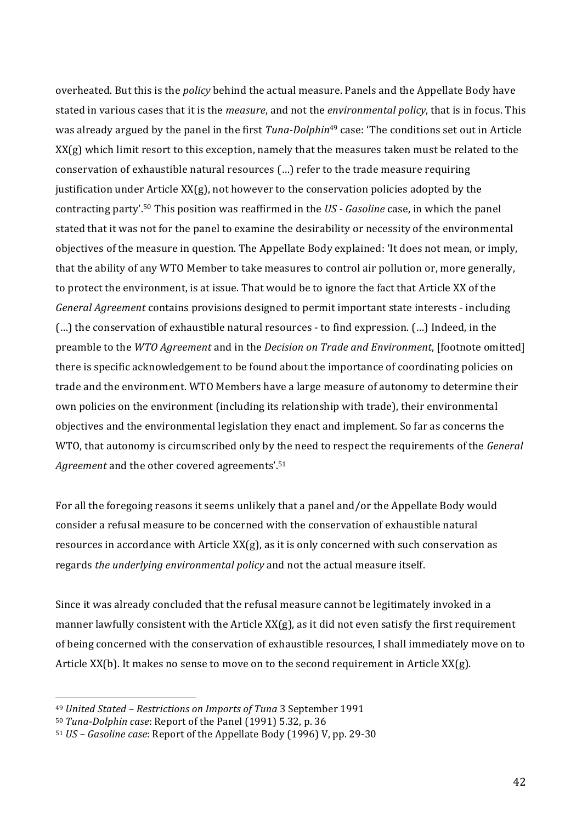overheated. But this is the *policy* behind the actual measure. Panels and the Appellate Body have stated in various cases that it is the *measure*, and not the *environmental policy*, that is in focus. This was already argued by the panel in the first *Tuna-Dolphin*<sup>49</sup> case: 'The conditions set out in Article'  $XX(g)$  which limit resort to this exception, namely that the measures taken must be related to the conservation of exhaustible natural resources (...) refer to the trade measure requiring justification under Article  $XX(g)$ , not however to the conservation policies adopted by the contracting party'.<sup>50</sup> This position was reaffirmed in the *US - Gasoline* case, in which the panel stated that it was not for the panel to examine the desirability or necessity of the environmental objectives of the measure in question. The Appellate Body explained: 'It does not mean, or imply, that'the ability of any WTO'Member' to take measures' to control'air pollution' or, more generally, to protect the environment, is at issue. That would be to ignore the fact that Article XX of the General Agreement contains provisions designed to permit important state interests - including (...) the conservation of exhaustible natural resources - to find expression. (...) Indeed, in the preamble to the *WTO Agreement* and in the *Decision on Trade and Environment*, [footnote omitted] there is specific acknowledgement to be found about the importance of coordinating policies on trade and the environment. WTO Members have a large measure of autonomy to determine their own policies on the environment (including its relationship with trade), their environmental objectives and the environmental legislation they enact and implement. So far as concerns the WTO, that autonomy is circumscribed only by the need to respect the requirements of the *General* Agreement and the other covered agreements'.<sup>51</sup>

For all the foregoing reasons it seems unlikely that a panel and/or the Appellate Body would consider a refusal measure to be concerned with the conservation of exhaustible natural resources in accordance with Article  $XX(g)$ , as it is only concerned with such conservation as regards *the underlying environmental policy* and not the actual measure itself.

Since it was already concluded that the refusal measure cannot be legitimately invoked in a manner lawfully consistent with the Article XX(g), as it did not even satisfy the first requirement of being concerned with the conservation of exhaustible resources, I shall immediately move on to Article  $XX(b)$ . It makes no sense to move on to the second requirement in Article  $XX(g)$ .

<sup>&</sup>lt;sup>49</sup> United Stated - Restrictions on Imports of Tuna 3 September 1991

<sup>&</sup>lt;sup>50</sup> *Tuna-Dolphin case*: Report of the Panel (1991) 5.32, p. 36

<sup>&</sup>lt;sup>51</sup> *US – Gasoline case*: Report of the Appellate Body (1996) V, pp. 29-30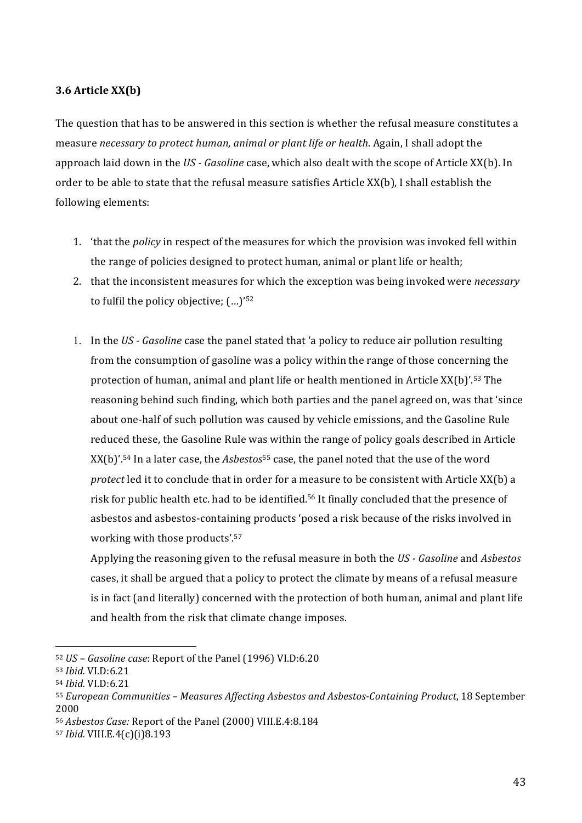### **3.6 Article XX(b)**

The question that has to be answered in this section is whether the refusal measure constitutes a measure'*necessary\$to\$protect\$human,\$animal\$or\$plant\$life\$or\$health*.'Again,'I'shall'adopt'the' approach laid down in the *US - Gasoline* case, which also dealt with the scope of Article XX(b). In order to be able to state that the refusal measure satisfies Article XX(b), I shall establish the following elements:

- 1. 'that the *policy* in respect of the measures for which the provision was invoked fell within the range of policies designed to protect human, animal or plant life or health;
- 2. that'the'inconsistent'measures'for'which'the'exception'was'being'invoked'were'*necessary* to fulfil the policy objective;  $(...)$ '<sup>52</sup>
- 1. In the *US Gasoline* case the panel stated that 'a policy to reduce air pollution resulting from the consumption of gasoline was a policy within the range of those concerning the protection of human, animal and plant life or health mentioned in Article XX(b)'.<sup>53</sup> The reasoning behind such finding, which both parties and the panel agreed on, was that 'since' about one-half of such pollution was caused by vehicle emissions, and the Gasoline Rule reduced these, the Gasoline Rule was within the range of policy goals described in Article XX(b)'.<sup>54</sup> In a later case, the *Asbestos*<sup>55</sup> case, the panel noted that the use of the word *protect* led it to conclude that in order for a measure to be consistent with Article XX(b) a risk for public health etc. had to be identified.<sup>56</sup> It finally concluded that the presence of asbestos and asbestos-containing products 'posed a risk because of the risks involved in working with those products'.<sup>57</sup>

Applying the reasoning given to the refusal measure in both the *US - Gasoline* and *Asbestos* cases, it shall be argued that a policy to protect the climate by means of a refusal measure is in fact (and literally) concerned with the protection of both human, animal and plant life and health from the risk that climate change imposes.

<sup>57</sup> *Ibid.*'VIII.E.4(c)(i)8.193

<sup>52</sup> *US – Gasoline case*: Report of the Panel (1996) VI.D:6.20

<sup>53</sup> *Ibid.*'VI.D:6.21

<sup>54</sup> *Ibid.*'VI.D:6.21

<sup>55</sup> *European Communities – Measures Affecting Asbestos and Asbestos-Containing Product*, 18 September 2000

<sup>&</sup>lt;sup>56</sup> Asbestos Case: Report of the Panel (2000) VIII.E.4:8.184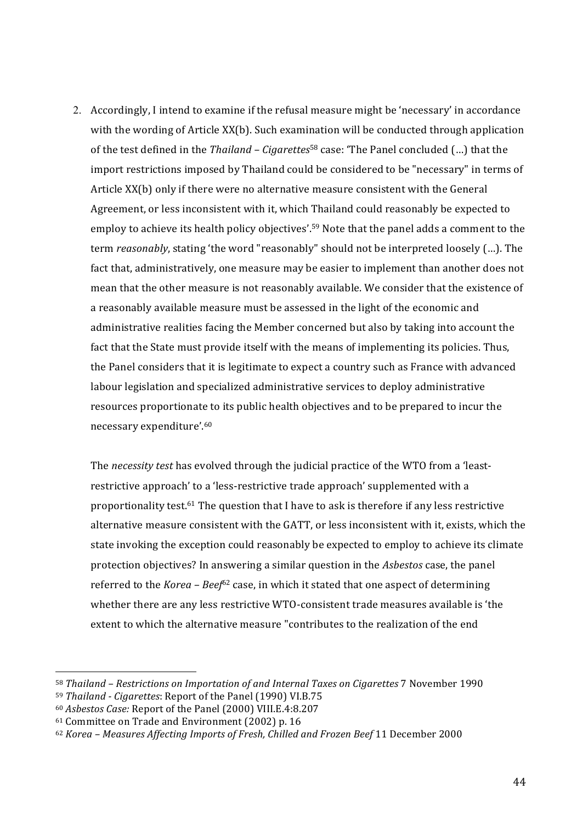2. Accordingly, I intend to examine if the refusal measure might be 'necessary' in accordance with the wording of Article XX(b). Such examination will be conducted through application of the test defined in the *Thailand – Cigarettes*<sup>58</sup> case: 'The Panel concluded (...) that the import restrictions imposed by Thailand could be considered to be "necessary" in terms of Article XX(b) only if there were no alternative measure consistent with the General Agreement, or less inconsistent with it, which Thailand could reasonably be expected to employ to achieve its health policy objectives'.<sup>59</sup> Note that the panel adds a comment to the term *reasonably*, stating 'the word "reasonably" should not be interpreted loosely (...). The fact that, administratively, one measure may be easier to implement than another does not mean'that the other measure is not reasonably available. We consider that the existence of a reasonably available measure must be assessed in the light of the economic and administrative realities facing the Member concerned but also by taking into account the fact that the State must provide itself with the means of implementing its policies. Thus, the Panel considers that it is legitimate to expect a country such as France with advanced labour legislation and specialized administrative services to deploy administrative resources proportionate to its public health objectives and to be prepared to incur the necessary expenditure'.<sup>60</sup>

The *necessity test* has evolved through the judicial practice of the WTO from a 'leastrestrictive approach' to a 'less-restrictive trade approach' supplemented with a proportionality test.<sup>61</sup> The question that I have to ask is therefore if any less restrictive alternative measure consistent with the GATT, or less inconsistent with it, exists, which the state invoking the exception could reasonably be expected to employ to achieve its climate protection objectives? In answering a similar question in the *Asbestos* case, the panel referred to the *Korea – Beef*<sup>62</sup> case, in which it stated that one aspect of determining whether there are any less restrictive WTO-consistent trade measures available is 'the' extent to which the alternative measure "contributes to the realization of the end

<sup>58</sup> Thailand – Restrictions on Importation of and Internal Taxes on Cigarettes 7 November 1990

<sup>59</sup> *Thailand - Cigarettes*: Report of the Panel (1990) VI.B.75

<sup>&</sup>lt;sup>60</sup> Asbestos Case: Report of the Panel (2000) VIII.E.4:8.207

 $61$  Committee on Trade and Environment (2002) p. 16

<sup>62</sup> *Korea – Measures Affecting Imports of Fresh, Chilled and Frozen Beef* 11 December 2000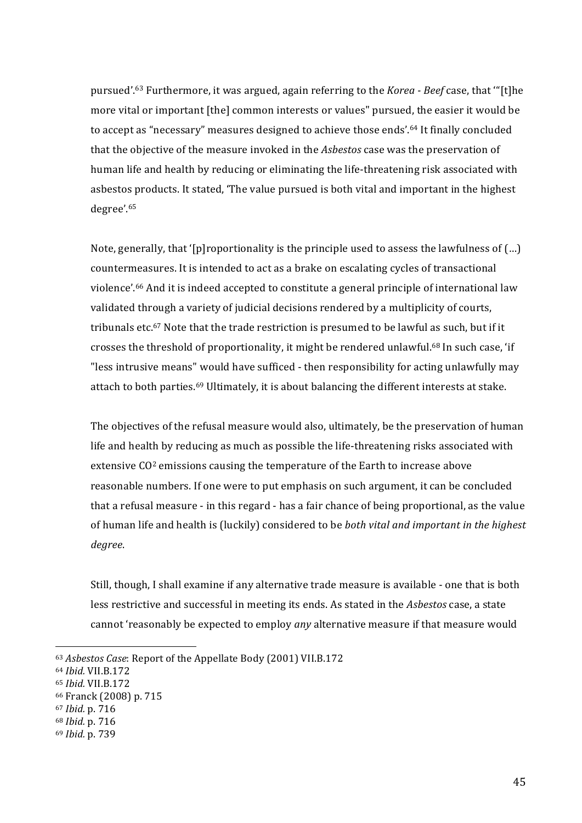pursued'.<sup>63</sup> Furthermore, it was argued, again referring to the *Korea - Beef* case, that "[t]he more vital or important [the] common interests or values" pursued, the easier it would be to accept as "necessary" measures designed to achieve those ends'.<sup>64</sup> It finally concluded that the objective of the measure invoked in the *Asbestos* case was the preservation of human life and health by reducing or eliminating the life-threatening risk associated with asbestos products. It stated, 'The value pursued is both vital and important in the highest degree'.65

Note, generally, that '[p]roportionality is the principle used to assess the lawfulness of (...) countermeasures. It is intended to act as a brake on escalating cycles of transactional violence'.<sup>66</sup> And it is indeed accepted to constitute a general principle of international law validated through a variety of judicial decisions rendered by a multiplicity of courts, tribunals etc.<sup>67</sup> Note that the trade restriction is presumed to be lawful as such, but if it crosses the threshold of proportionality, it might be rendered unlawful.<sup>68</sup> In such case, 'if "less intrusive means" would have sufficed - then responsibility for acting unlawfully may attach to both parties.<sup>69</sup> Ultimately, it is about balancing the different interests at stake.

The objectives of the refusal measure would also, ultimately, be the preservation of human life and health by reducing as much as possible the life-threatening risks associated with extensive  $CO<sup>2</sup>$  emissions causing the temperature of the Earth to increase above reasonable numbers. If one were to put emphasis on such argument, it can be concluded that a refusal measure - in this regard - has a fair chance of being proportional, as the value of human life and health is (luckily) considered to be *both vital and important in the highest degree*.'

Still, though, I shall examine if any alternative trade measure is available - one that is both less restrictive and successful in meeting its ends. As stated in the *Asbestos* case, a state cannot 'reasonably be expected to employ *any* alternative measure if that measure would

<sup>63</sup> Asbestos Case: Report of the Appellate Body (2001) VII.B.172

<sup>64</sup> *Ibid.\$*VII.B.172

<sup>65</sup> *Ibid.\$*VII.B.172

<sup>66</sup> Franck (2008) p. 715

<sup>67</sup> *Ibid.*'p.'716

<sup>68</sup> *Ibid.*'p.'716

<sup>69</sup> *Ibid.*'p.'739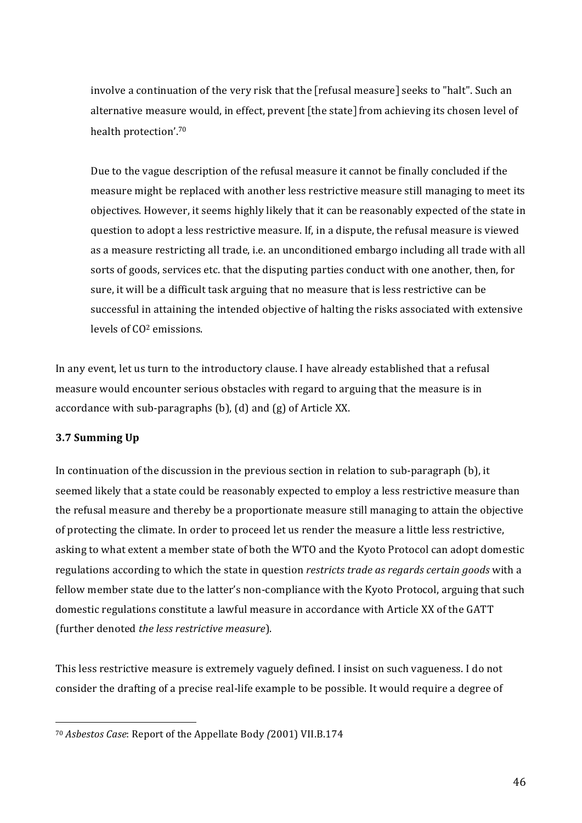involve a continuation of the very risk that the [refusal measure] seeks to "halt". Such an alternative measure would, in effect, prevent [the state] from achieving its chosen level of health protection'.<sup>70</sup>

Due to the vague description of the refusal measure it cannot be finally concluded if the measure might be replaced with another less restrictive measure still managing to meet its objectives. However, it seems highly likely that it can be reasonably expected of the state in question to adopt a less restrictive measure. If, in a dispute, the refusal measure is viewed as a measure restricting all trade, i.e. an unconditioned embargo including all trade with all sorts of goods, services etc. that the disputing parties conduct with one another, then, for sure, it will be a difficult task arguing that no measure that is less restrictive can be successful in attaining the intended objective of halting the risks associated with extensive levels of CO<sup>2</sup> emissions.

In any event, let us turn to the introductory clause. I have already established that a refusal measure would encounter serious obstacles with regard to arguing that the measure is in accordance with sub-paragraphs  $(b)$ ,  $(d)$  and  $(g)$  of Article XX.

## **3.7 Summing Up**

In continuation of the discussion in the previous section in relation to sub-paragraph (b), it seemed likely that a state could be reasonably expected to employ a less restrictive measure than the refusal measure and thereby be a proportionate measure still managing to attain the objective of protecting the climate. In order to proceed let us render the measure a little less restrictive, asking to what extent a member state of both the WTO and the Kyoto Protocol can adopt domestic regulations' according to which the state in question *restricts trade as regards certain goods* with a fellow member state due to the latter's non-compliance with the Kyoto Protocol, arguing that such domestic regulations constitute a lawful measure in accordance with Article XX of the GATT (further denoted *the less restrictive measure*).

This less restrictive measure is extremely vaguely defined. I insist on such vagueness. I do not consider the drafting of a precise real-life example to be possible. It would require a degree of

<sup>70</sup> *Asbestos\$Case*:'Report'of'the'Appellate'Body'*(*2001)'VII.B.174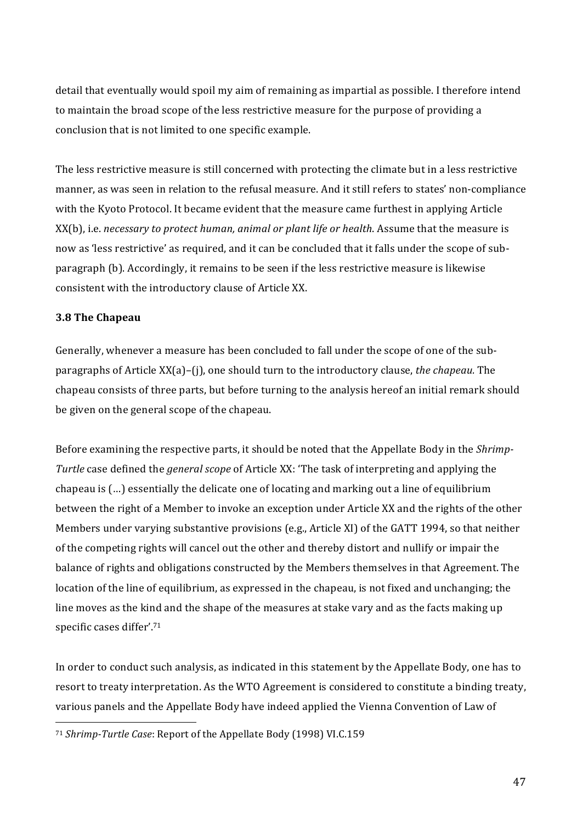detail that eventually would spoil my aim of remaining as impartial as possible. I therefore intend to maintain the broad scope of the less restrictive measure for the purpose of providing a conclusion that is not limited to one specific example.

The less restrictive measure is still concerned with protecting the climate but in a less restrictive manner, as was seen in relation to the refusal measure. And it still refers to states' non-compliance with the Kyoto Protocol. It became evident that the measure came furthest in applying Article XX(b), i.e. *necessary to protect human, animal or plant life or health*. Assume that the measure is now as 'less restrictive' as required, and it can be concluded that it falls under the scope of subparagraph (b). Accordingly, it remains to be seen if the less restrictive measure is likewise consistent with the introductory clause of Article XX.

### **3.8 The Chapeau**

Generally, whenever a measure has been concluded to fall under the scope of one of the subparagraphs of Article XX(a)–(j), one should turn to the introductory clause, *the chapeau*. The chapeau consists of three parts, but before turning to the analysis hereof an initial remark should be given on the general scope of the chapeau.

Before examining the respective parts, it should be noted that the Appellate Body in the *Shrimp*-*Turtle* case defined the *general scope* of Article XX: 'The task of interpreting and applying the chapeau is (...) essentially the delicate one of locating and marking out a line of equilibrium between the right of a Member to invoke an exception under Article XX and the rights of the other Members under varying substantive provisions (e.g., Article XI) of the GATT 1994, so that neither of the competing rights will cancel out the other and thereby distort and nullify or impair the balance of rights and obligations constructed by the Members themselves in that Agreement. The location of the line of equilibrium, as expressed in the chapeau, is not fixed and unchanging; the line moves as the kind and the shape of the measures at stake vary and as the facts making up specific cases differ'.<sup>71</sup>

In order to conduct such analysis, as indicated in this statement by the Appellate Body, one has to resort to treaty interpretation. As the WTO Agreement is considered to constitute a binding treaty, various panels and the Appellate Body have indeed applied the Vienna Convention of Law of

<sup>&</sup>lt;sup>71</sup> *Shrimp-Turtle Case*: Report of the Appellate Body (1998) VI.C.159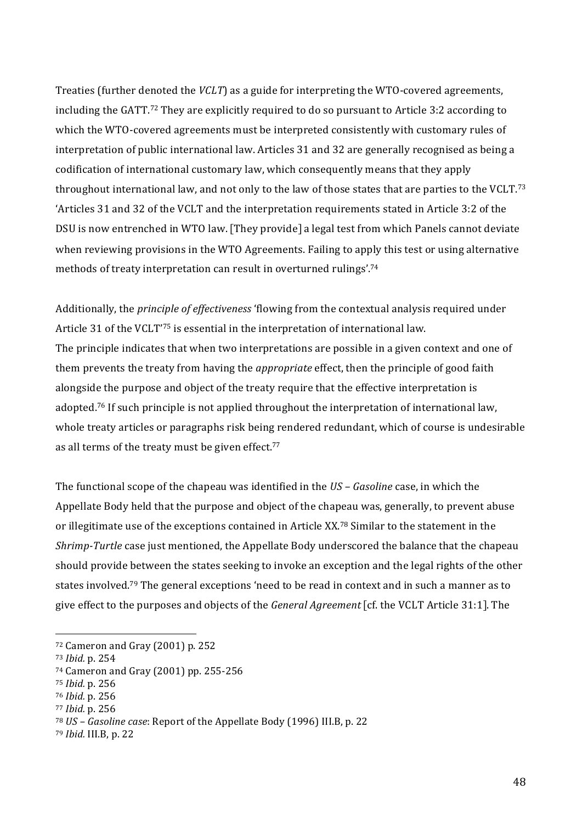Treaties' (further'denoted the *VCLT*) as a guide for interpreting the WTO-covered agreements, including the GATT.<sup>72</sup> They are explicitly required to do so pursuant to Article 3:2 according to which the WTO-covered agreements must be interpreted consistently with customary rules of interpretation of public international law. Articles 31 and 32 are generally recognised as being a codification'of'international'customary'law,'which'consequently'means'that'they'apply' throughout international law, and not only to the law of those states that are parties to the VCLT.<sup>73</sup> 'Articles'31'and'32'of'the'VCLT'and'the'interpretation'requirements'stated'in'Article'3:2'of'the' DSU is now entrenched in WTO law. [They provide] a legal test from which Panels cannot deviate when reviewing provisions in the WTO Agreements. Failing to apply this test or using alternative methods of treaty interpretation can result in overturned rulings'.<sup>74</sup>

Additionally, the *principle of effectiveness* 'flowing from the contextual analysis required under Article 31 of the VCLT<sup>'75</sup> is essential in the interpretation of international law. The principle indicates that when two interpretations are possible in a given context and one of them prevents the treaty from having the *appropriate* effect, then the principle of good faith alongside the purpose and object of the treaty require that the effective interpretation is adopted.<sup>76</sup> If such principle is not applied throughout the interpretation of international law, whole treaty articles or paragraphs risk being rendered redundant, which of course is undesirable as all terms of the treaty must be given effect. $77$ 

The functional scope of the chapeau was identified in the *US – Gasoline* case, in which the Appellate Body held that the purpose and object of the chapeau was, generally, to prevent abuse or illegitimate use of the exceptions contained in Article XX.<sup>78</sup> Similar to the statement in the *Shrimp-Turtle* case just mentioned, the Appellate Body underscored the balance that the chapeau should provide between the states seeking to invoke an exception and the legal rights of the other states involved.<sup>79</sup> The general exceptions 'need to be read in context and in such a manner as to give'effect'to'the'purposes'and'objects'of'the'*General\$Agreement* [cf.'the'VCLT'Article'31:1].'The'

 $72$  Cameron and Gray (2001) p. 252

<sup>73</sup> *Ibid.*'p.'254

<sup>74</sup> Cameron and Gray (2001) pp. 255-256

<sup>75</sup> *Ibid.*'p.'256

<sup>76</sup> *Ibid.*'p.'256

<sup>77</sup> *Ibid.*'p.'256

<sup>&</sup>lt;sup>78</sup> *US – Gasoline case*: Report of the Appellate Body (1996) III.B, p. 22

<sup>79</sup> *Ibid.* III.B, p. 22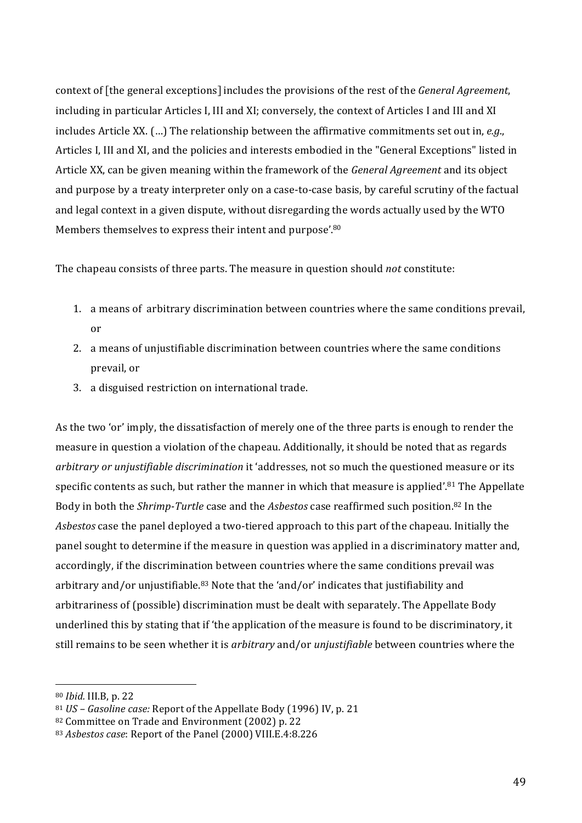context of [the general exceptions] includes the provisions of the rest of the *General Agreement*, including in particular Articles I, III and XI; conversely, the context of Articles I and III and XI includes Article XX. (...) The relationship between the affirmative commitments set out in, *e.g.*, Articles I, III and XI, and the policies and interests embodied in the "General Exceptions" listed in Article'XX,'can'be'given'meaning'within'the'framework'of'the'*General\$Agreement\$*and'its'object' and purpose by a treaty interpreter only on a case-to-case basis, by careful scrutiny of the factual and legal context in a given dispute, without disregarding the words actually used by the WTO Members themselves to express their intent and purpose'.<sup>80</sup>

The chapeau consists of three parts. The measure in question should *not* constitute:

- 1. a means of arbitrary discrimination between countries where the same conditions prevail, or
- 2. a means of unjustifiable discrimination between countries where the same conditions prevail, or
- 3. a disguised restriction on international trade.

As the two 'or' imply, the dissatisfaction of merely one of the three parts is enough to render the measure in question a violation of the chapeau. Additionally, it should be noted that as regards *arbitrary or unjustifiable discrimination* it 'addresses, not so much the questioned measure or its specific contents as such, but rather the manner in which that measure is applied'.<sup>81</sup> The Appellate' Body in both the *Shrimp-Turtle* case and the *Asbestos* case reaffirmed such position.<sup>82</sup> In the *Asbestos* case the panel deployed a two-tiered approach to this part of the chapeau. Initially the panel sought to determine if the measure in question was applied in a discriminatory matter and, accordingly, if the discrimination between countries where the same conditions prevail was arbitrary and/or unjustifiable.<sup>83</sup> Note that the 'and/or' indicates that justifiability and arbitrariness of (possible) discrimination must be dealt with separately. The Appellate Body underlined this by stating that if 'the application of the measure is found to be discriminatory, it still remains to be seen whether it is *arbitrary* and/or *unjustifiable* between countries where the

<sup>80</sup> *Ibid.* III.B, p. 22

<sup>&</sup>lt;sup>81</sup> *US – Gasoline case:* Report of the Appellate Body (1996) IV, p. 21

<sup>82</sup> Committee on Trade and Environment (2002) p. 22

<sup>83</sup> Asbestos case: Report of the Panel (2000) VIII.E.4:8.226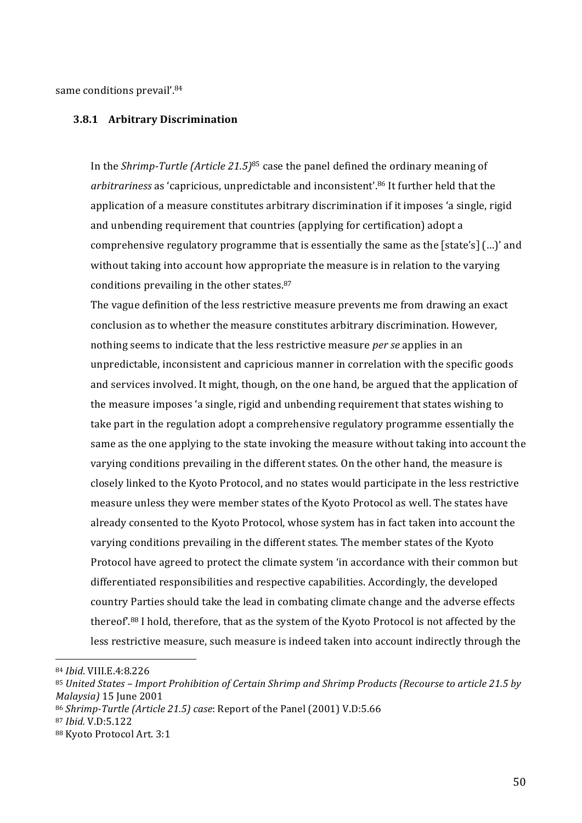same conditions prevail'.<sup>84</sup>

#### **3.8.1 Arbitrary(Discrimination**

In the *Shrimp-Turtle (Article 21.5)*<sup>85</sup> case the panel defined the ordinary meaning of arbitrariness as 'capricious, unpredictable and inconsistent<sup>'.86</sup> It further held that the application of a measure constitutes arbitrary discrimination if it imposes 'a single, rigid and unbending requirement that countries (applying for certification) adopt a comprehensive regulatory programme that is essentially the same as the [state's]  $(...)$  and without taking into account how appropriate the measure is in relation to the varying conditions prevailing in the other states. $87$ 

The vague definition of the less restrictive measure prevents me from drawing an exact conclusion as to whether the measure constitutes arbitrary discrimination. However, nothing seems to indicate that the less restrictive measure *per se* applies in an unpredictable, inconsistent and capricious manner in correlation with the specific goods and services involved. It might, though, on the one hand, be argued that the application of the measure imposes 'a single, rigid and unbending requirement that states wishing to take part in the regulation adopt a comprehensive regulatory programme essentially the same as the one applying to the state invoking the measure without taking into account the varying conditions prevailing in the different states. On the other hand, the measure is closely linked to the Kyoto Protocol, and no states would participate in the less restrictive measure unless they were member states of the Kyoto Protocol as well. The states have already consented to the Kyoto Protocol, whose system has in fact taken into account the varying conditions prevailing in the different states. The member states of the Kyoto Protocol have agreed to protect the climate system 'in accordance with their common but differentiated responsibilities and respective capabilities. Accordingly, the developed country Parties should take the lead in combating climate change and the adverse effects thereof<sup>'.88</sup> I hold, therefore, that as the system of the Kyoto Protocol is not affected by the less restrictive measure, such measure is indeed taken into account indirectly through the

<sup>84</sup> *Ibid*.'VIII.E.4:8.226

<sup>85</sup> United States – Import Prohibition of Certain Shrimp and Shrimp Products (Recourse to article 21.5 by *Malaysia*) 15 June 2001

<sup>&</sup>lt;sup>86</sup> Shrimp-Turtle (Article 21.5) case: Report of the Panel (2001) V.D:5.66

<sup>87</sup> *Ibid.*'V.D:5.122

<sup>88</sup> Kyoto Protocol Art. 3:1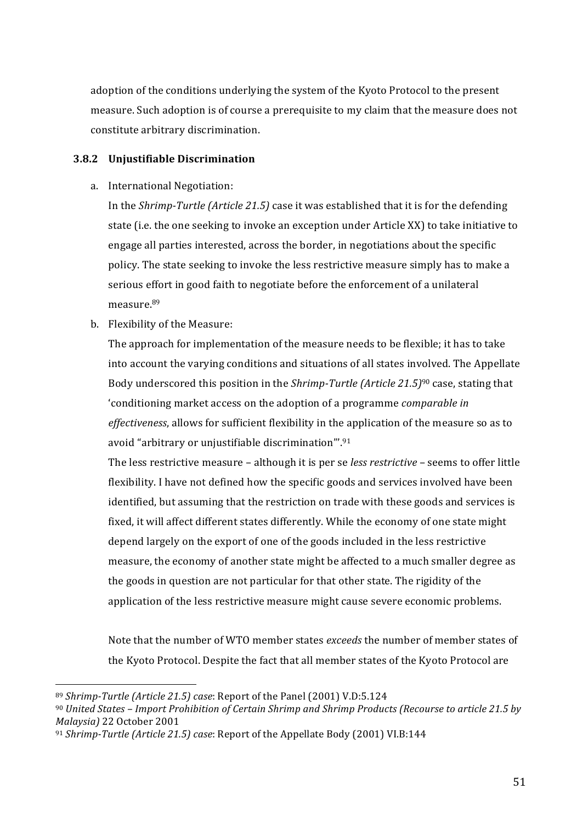adoption of the conditions underlying the system of the Kyoto Protocol to the present measure. Such adoption is of course a prerequisite to my claim that the measure does not constitute arbitrary discrimination.

### **3.8.2 Unjustifiable(Discrimination**

a. International Negotiation:

In the *Shrimp-Turtle (Article 21.5)* case it was established that it is for the defending state (i.e. the one seeking to invoke an exception under Article XX) to take initiative to engage all parties interested, across the border, in negotiations about the specific policy. The state seeking to invoke the less restrictive measure simply has to make a serious effort in good faith to negotiate before the enforcement of a unilateral measure.89

b. Flexibility of the Measure:

The approach for implementation of the measure needs to be flexible; it has to take into account the varying conditions and situations of all states involved. The Appellate Body underscored this position in the *Shrimp-Turtle (Article 21.5)<sup>90</sup>* case, stating that 'conditioning'market'access'on'the'adoption'of'a'programme'*comparable\$in\$ effectiveness*, allows for sufficient flexibility in the application of the measure so as to avoid "arbitrary or unjustifiable discrimination".<sup>91</sup>

The less restrictive measure – although it is per se *less restrictive* – seems to offer little flexibility. I have not defined how the specific goods and services involved have been identified, but assuming that the restriction on trade with these goods and services is fixed, it will affect different states differently. While the economy of one state might depend largely on the export of one of the goods included in the less restrictive measure, the economy of another state might be affected to a much smaller degree as the goods in question are not particular for that other state. The rigidity of the application of the less restrictive measure might cause severe economic problems.

Note that the number of WTO member states *exceeds* the number of member states of the Kyoto Protocol. Despite the fact that all member states of the Kyoto Protocol are

<sup>89</sup> *Shrimp-Turtle (Article 21.5) case*: Report of the Panel (2001) V.D:5.124

<sup>&</sup>lt;sup>90</sup> *United States – Import Prohibition of Certain Shrimp and Shrimp Products (Recourse to article 21.5 by Malaysia)\$*22'October'2001

<sup>&</sup>lt;sup>91</sup> *Shrimp-Turtle (Article 21.5) case*: Report of the Appellate Body (2001) VI.B:144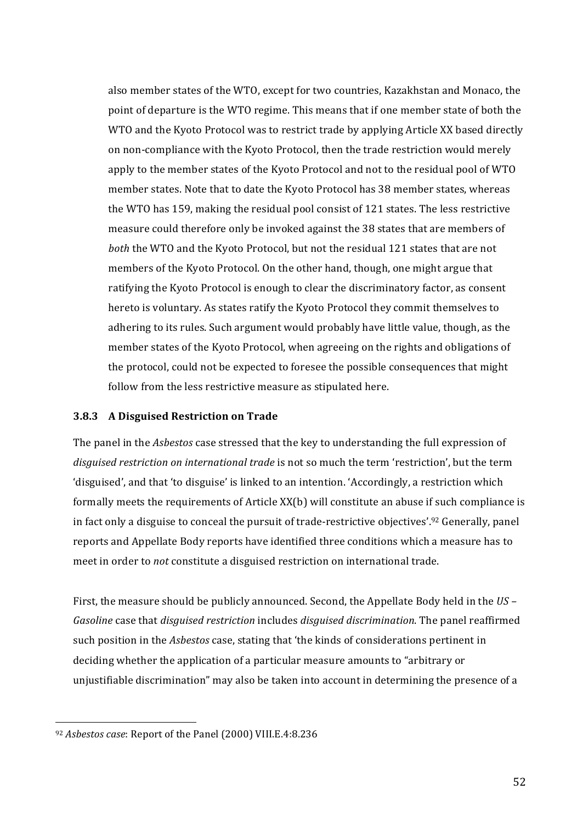also member states of the WTO, except for two countries, Kazakhstan and Monaco, the point of departure is the WTO regime. This means that if one member state of both the WTO and the Kyoto Protocol was to restrict trade by applying Article XX based directly on non-compliance with the Kyoto Protocol, then the trade restriction would merely apply to the member states of the Kyoto Protocol and not to the residual pool of WTO member states. Note that to date the Kyoto Protocol has 38 member states, whereas the WTO has 159, making the residual pool consist of 121 states. The less restrictive measure could therefore only be invoked against the 38 states that are members of *both* the WTO and the Kyoto Protocol, but not the residual 121 states that are not members of the Kyoto Protocol. On the other hand, though, one might argue that ratifying the Kyoto Protocol is enough to clear the discriminatory factor, as consent hereto is voluntary. As states ratify the Kyoto Protocol they commit themselves to adhering to its rules. Such argument would probably have little value, though, as the member states of the Kyoto Protocol, when agreeing on the rights and obligations of the protocol, could not be expected to foresee the possible consequences that might follow from the less restrictive measure as stipulated here.

#### **3.8.3** A Disguised Restriction on Trade

The panel in the *Asbestos* case stressed that the key to understanding the full expression of *disguised restriction on international trade* is not so much the term 'restriction', but the term 'disguised', and that 'to disguise' is linked to an intention. 'Accordingly, a restriction which formally meets the requirements of Article XX(b) will constitute an abuse if such compliance is in fact only a disguise to conceal the pursuit of trade-restrictive objectives'.<sup>92</sup> Generally, panel reports and Appellate Body reports have identified three conditions which a measure has to meet in order to *not* constitute a disguised restriction on international trade.

First, the measure should be publicly announced. Second, the Appellate Body held in the *US* – *Gasoline* case that *disguised restriction* includes *disguised discrimination*. The panel reaffirmed such position in the *Asbestos* case, stating that 'the kinds of considerations pertinent in deciding whether the application of a particular measure amounts to "arbitrary or unjustifiable discrimination" may also be taken into account in determining the presence of a

<sup>&</sup>lt;sup>92</sup> Asbestos case: Report of the Panel (2000) VIII.E.4:8.236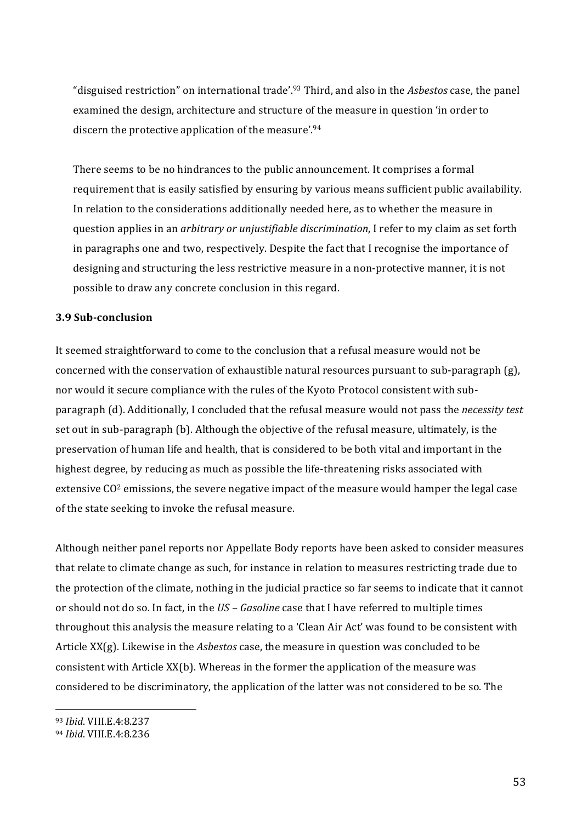"disguised restriction" on international trade'.<sup>93</sup> Third, and also in the *Asbestos* case, the panel examined the design, architecture and structure of the measure in question 'in order to discern the protective application of the measure'.<sup>94</sup>

There seems to be no hindrances to the public announcement. It comprises a formal requirement that is easily satisfied by ensuring by various means sufficient public availability. In relation to the considerations additionally needed here, as to whether the measure in question'applies in an *arbitrary or unjustifiable discrimination*, I refer to my claim as set forth in paragraphs one and two, respectively. Despite the fact that I recognise the importance of designing and structuring the less restrictive measure in a non-protective manner, it is not possible to draw any concrete conclusion in this regard.

### **3.9 Sub-conclusion**

It seemed straightforward to come to the conclusion that a refusal measure would not be concerned with the conservation of exhaustible natural resources pursuant to sub-paragraph  $(g)$ , nor would it secure compliance with the rules of the Kyoto Protocol consistent with subparagraph'(d).'Additionally,'I'concluded'that'the'refusal'measure'would'not'pass'the'*necessity test* set out in sub-paragraph (b). Although the objective of the refusal measure, ultimately, is the preservation of human life and health, that is considered to be both vital and important in the highest degree, by reducing as much as possible the life-threatening risks associated with extensive  $CO<sup>2</sup>$  emissions, the severe negative impact of the measure would hamper the legal case of the state seeking to invoke the refusal measure.

Although neither panel reports nor Appellate Body reports have been asked to consider measures that relate to climate change as such, for instance in relation to measures restricting trade due to the protection of the climate, nothing in the judicial practice so far seems to indicate that it cannot or should not do so. In fact, in the *US - Gasoline* case that I have referred to multiple times throughout this analysis the measure relating to a 'Clean Air Act' was found to be consistent with Article XX(g). Likewise in the *Asbestos* case, the measure in question was concluded to be consistent with Article XX(b). Whereas in the former the application of the measure was considered to be discriminatory, the application of the latter was not considered to be so. The

<sup>93</sup> *Ibid.* VIII.E.4:8.237

<sup>94</sup> *Ibid.* VIII.E.4:8.236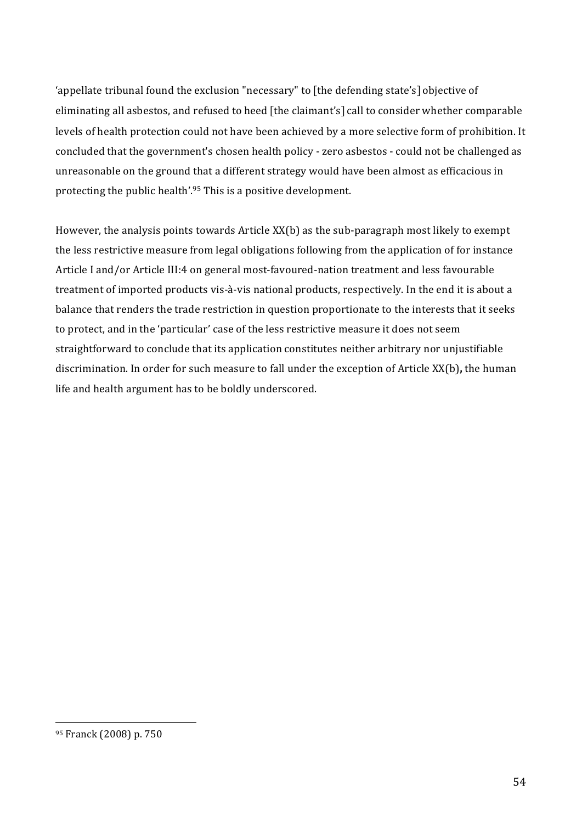'appellate tribunal found the exclusion "necessary" to [the defending state's] objective of eliminating all asbestos, and refused to heed [the claimant's] call to consider whether comparable levels of health protection could not have been achieved by a more selective form of prohibition. It concluded that the government's chosen health policy - zero asbestos - could not be challenged as unreasonable on the ground that a different strategy would have been almost as efficacious in protecting the public health'.<sup>95</sup> This is a positive development.

However, the analysis points towards Article  $XX(b)$  as the sub-paragraph most likely to exempt the less restrictive measure from legal obligations following from the application of for instance Article I and/or Article III:4 on general most-favoured-nation treatment and less favourable treatment of imported products vis-à-vis national products, respectively. In the end it is about a balance that renders the trade restriction in question proportionate to the interests that it seeks to protect, and in the 'particular' case of the less restrictive measure it does not seem straightforward to conclude that its application constitutes neither arbitrary nor unjustifiable discrimination. In order for such measure to fall under the exception of Article XX(b), the human life and health argument has to be boldly underscored.

<sup>95</sup> Franck (2008) p. 750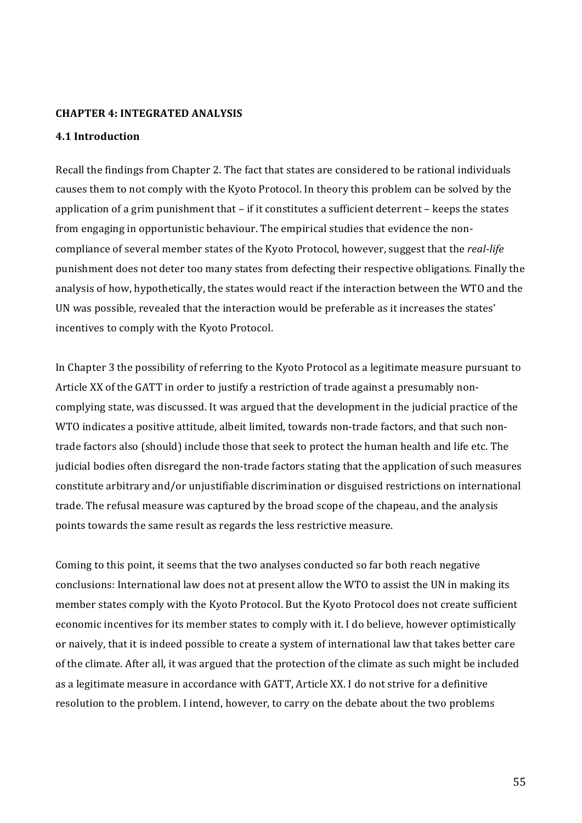#### **CHAPTER 4: INTEGRATED ANALYSIS**

#### **4.1 Introduction**

Recall the findings from Chapter 2. The fact that states are considered to be rational individuals causes them to not comply with the Kyoto Protocol. In theory this problem can be solved by the application of a grim punishment that – if it constitutes a sufficient deterrent – keeps the states from engaging in opportunistic behaviour. The empirical studies that evidence the noncompliance of several member states of the Kyoto Protocol, however, suggest that the *real-life* punishment does not deter too many states from defecting their respective obligations. Finally the analysis of how, hypothetically, the states would react if the interaction between the WTO and the UN was possible, revealed that the interaction would be preferable as it increases the states' incentives to comply with the Kyoto Protocol.

In'Chapter'3' the possibility of referring to the Kyoto Protocol as a legitimate measure pursuant to Article XX of the GATT in order to justify a restriction of trade against a presumably noncomplying state, was discussed. It was argued that the development in the judicial practice of the WTO indicates a positive attitude, albeit limited, towards non-trade factors, and that such nontrade factors also (should) include those that seek to protect the human health and life etc. The judicial bodies often disregard the non-trade factors stating that the application of such measures constitute arbitrary and/or unjustifiable discrimination or disguised restrictions on international trade. The refusal measure was captured by the broad scope of the chapeau, and the analysis points towards the same result as regards the less restrictive measure.

Coming to this point, it seems that the two analyses conducted so far both reach negative conclusions: International law does not at present allow the WTO to assist the UN in making its member states comply with the Kyoto Protocol. But the Kyoto Protocol does not create sufficient economic incentives for its member states to comply with it. I do believe, however optimistically or naively, that it is indeed possible to create a system of international law that takes better care of the climate. After all, it was argued that the protection of the climate as such might be included as a legitimate measure in accordance with GATT, Article XX. I do not strive for a definitive resolution to the problem. I intend, however, to carry on the debate about the two problems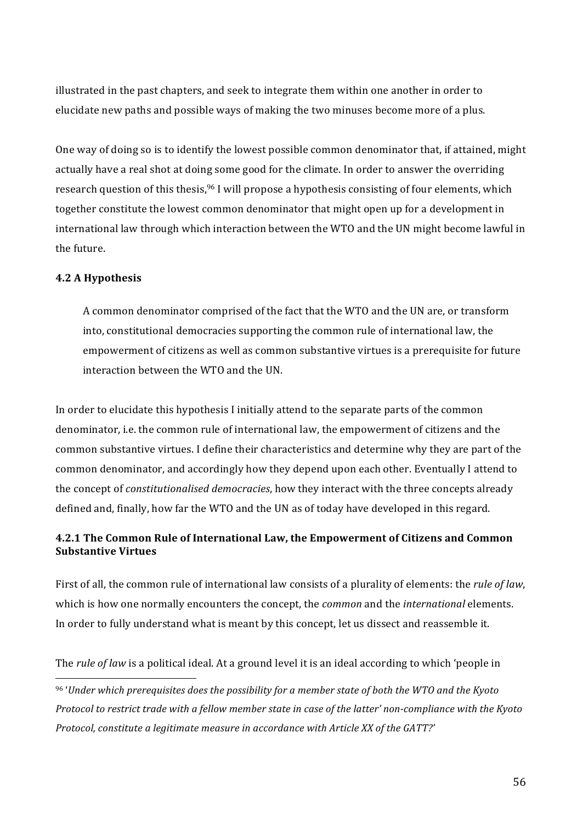illustrated in the past chapters, and seek to integrate them within one another in order to elucidate new paths and possible ways of making the two minuses become more of a plus.

One way of doing so is to identify the lowest possible common denominator that, if attained, might actually have a real shot at doing some good for the climate. In order to answer the overriding research question of this thesis,<sup>96</sup> I will propose a hypothesis consisting of four elements, which together constitute the lowest common denominator that might open up for a development in international law through which interaction between the WTO and the UN might become lawful in the future.

### **4.2 A Hypothesis**

A common denominator comprised of the fact that the WTO and the UN are, or transform into, constitutional democracies supporting the common rule of international law, the empowerment of citizens as well as common substantive virtues is a prerequisite for future interaction between the WTO and the UN.

In order to elucidate this hypothesis I initially attend to the separate parts of the common denominator, i.e. the common rule of international law, the empowerment of citizens and the common's substantive virtues. I define their characteristics and determine why they are part of the common'denominator, and accordingly how they depend upon each other. Eventually I attend to the concept of *constitutionalised democracies*, how they interact with the three concepts already defined and, finally, how far the WTO and the UN as of today have developed in this regard.

# **4.2.1 The Common Rule of International Law, the Empowerment of Citizens and Common Substantive Virtues**

First of all, the common rule of international law consists of a plurality of elements: the *rule of law*, which is how one normally encounters the concept, the *common* and the *international* elements. In order to fully understand what is meant by this concept, let us dissect and reassemble it.

The *rule of law* is a political ideal. At a ground level it is an ideal according to which 'people in'

<sup>&</sup>lt;sup>96</sup>'Under which prerequisites does the possibility for a member state of both the WTO and the Kyoto *Protocol to restrict trade with a fellow member state in case of the latter' non-compliance with the Kyoto Protocol, constitute a legitimate measure in accordance with Article XX of the GATT?'*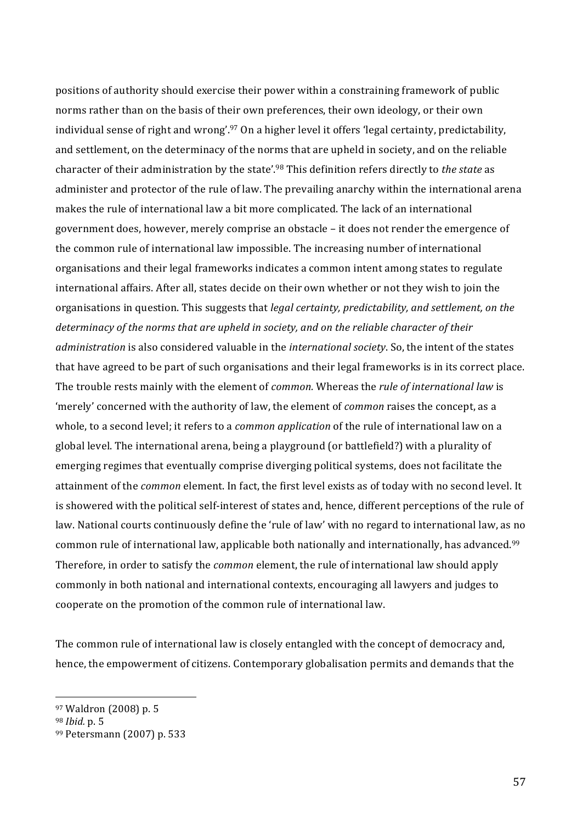positions of authority should exercise their power within a constraining framework of public norms rather than on the basis of their own preferences, their own ideology, or their own individual sense of right and wrong'.<sup>97</sup> On a higher level it offers 'legal certainty, predictability, and settlement, on the determinacy of the norms that are upheld in society, and on the reliable character of their administration by the state'.<sup>98</sup> This definition refers directly to *the state* as administer and protector of the rule of law. The prevailing anarchy within the international arena makes the rule of international law a bit more complicated. The lack of an international government'does,'however,'merely'comprise'an'obstacle'–'it'does'not'render'the'emergence'of' the common rule of international law impossible. The increasing number of international organisations'and'their'legal'frameworks'indicates'a'common'intent'among'states'to'regulate' international affairs. After all, states decide on their own whether or not they wish to join the organisations in question. This suggests that legal certainty, predictability, and settlement, on the determinacy of the norms that are upheld in society, and on the reliable character of their *administration* is also considered valuable in the *international society*. So, the intent of the states that have agreed to be part of such organisations and their legal frameworks is in its correct place. The trouble rests mainly with the element of *common*. Whereas the *rule of international law* is 'merely' concerned with the authority of law, the element of *common* raises the concept, as a whole, to a second level; it refers to a *common application* of the rule of international law on a global level. The international arena, being a playground (or battlefield?) with a plurality of emerging regimes that eventually comprise diverging political systems, does not facilitate the attainment of the *common* element. In fact, the first level exists as of today with no second level. It is showered with the political self-interest of states and, hence, different perceptions of the rule of law. National courts continuously define the 'rule of law' with no regard to international law, as no common rule of international law, applicable both nationally and internationally, has advanced.<sup>99</sup> Therefore, in order to satisfy the *common* element, the rule of international law should apply commonly in both national and international contexts, encouraging all lawyers and judges to cooperate on the promotion of the common rule of international law.

The common rule of international law is closely entangled with the concept of democracy and, hence, the empowerment of citizens. Contemporary globalisation permits and demands that the

<sup>97</sup> Waldron (2008) p. 5

<sup>98</sup> *Ibid.* p. 5

<sup>99</sup> Petersmann (2007) p. 533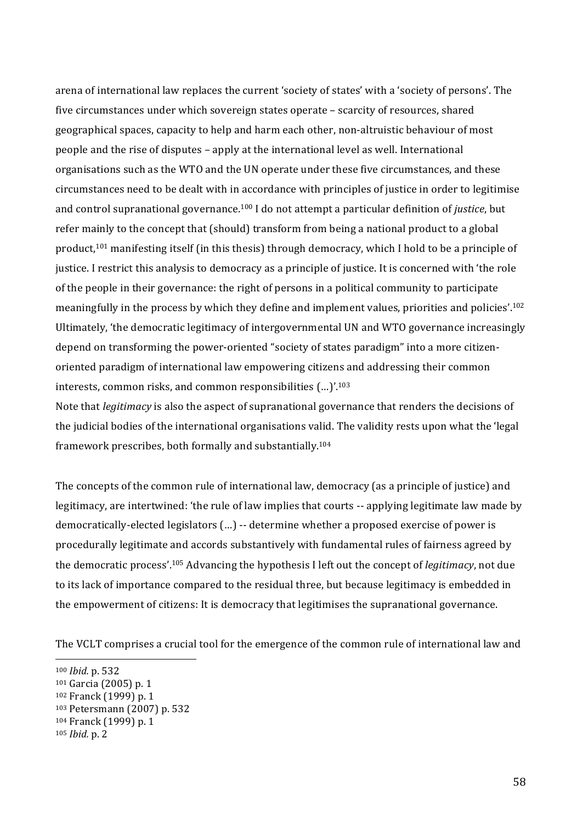arena of international law replaces the current 'society of states' with a 'society of persons'. The five circumstances under which sovereign states operate – scarcity of resources, shared geographical spaces, capacity to help and harm each other, non-altruistic behaviour of most people and the rise of disputes – apply at the international level as well. International organisations's such as the WTO' and the UN'operate under these five circumstances, and these circumstances need to be dealt with in accordance with principles of justice in order to legitimise and control supranational governance.<sup>100</sup> I do not attempt a particular definition of *justice*, but refer mainly to the concept that (should) transform from being a national product to a global product,<sup>101</sup> manifesting itself (in this thesis) through democracy, which I hold to be a principle of justice. I restrict this analysis to democracy as a principle of justice. It is concerned with 'the role' of the people in their governance: the right of persons in a political community to participate meaningfully in the process by which they define and implement values, priorities and policies'.<sup>102</sup> Ultimately, 'the democratic legitimacy of intergovernmental UN and WTO governance increasingly depend on transforming the power-oriented "society of states paradigm" into a more citizenoriented'paradigm'of'international'law'empowering'citizens'and'addressing'their'common' interests, common risks, and common responsibilities  $(...)$ .<sup>103</sup>

Note that *legitimacy* is also the aspect of supranational governance that renders the decisions of the judicial bodies of the international organisations valid. The validity rests upon what the 'legal' framework prescribes, both formally and substantially.<sup>104</sup>

The concepts of the common rule of international law, democracy (as a principle of justice) and legitimacy, are intertwined: 'the rule of law implies that courts -- applying legitimate law made by democratically-elected legislators (...) -- determine whether a proposed exercise of power is procedurally legitimate and accords substantively with fundamental rules of fairness agreed by the democratic process'.<sup>105</sup> Advancing the hypothesis I left out the concept of *legitimacy*, not due to its lack of importance compared to the residual three, but because legitimacy is embedded in the empowerment of citizens: It is democracy that legitimises the supranational governance.

The VCLT comprises a crucial tool for the emergence of the common rule of international law and

105 *Ibid.* p. 2

<sup>100</sup> *Ibid.* p. 532

<sup>&</sup>lt;sup>101</sup> Garcia (2005) p. 1

<sup>102</sup> Franck (1999) p. 1

<sup>103</sup> Petersmann (2007) p. 532

<sup>&</sup>lt;sup>104</sup> Franck (1999) p. 1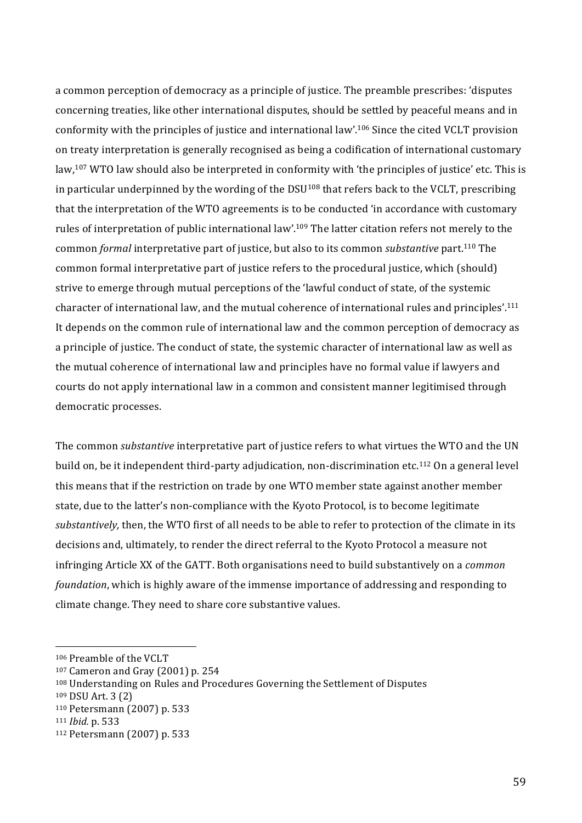a common perception of democracy as a principle of justice. The preamble prescribes: 'disputes' concerning treaties, like other international disputes, should be settled by peaceful means and in conformity with the principles of justice and international law'.<sup>106</sup> Since the cited VCLT provision on treaty interpretation is generally recognised as being a codification of international customary law,<sup>107</sup> WTO law should also be interpreted in conformity with 'the principles of justice' etc. This is in particular underpinned by the wording of the DSU<sup>108</sup> that refers back to the VCLT, prescribing that the interpretation of the WTO agreements is to be conducted 'in accordance with customary' rules of interpretation of public international law'.<sup>109</sup> The latter citation refers not merely to the common'*formal*'interpretative'part'of'justice,'but'also'to'its'common'*substantive*'part.110'The' common formal interpretative part of justice refers to the procedural justice, which (should) strive to emerge through mutual perceptions of the 'lawful conduct of state, of the systemic character of international law, and the mutual coherence of international rules and principles'.<sup>111</sup> It depends on the common rule of international law and the common perception of democracy as a principle of justice. The conduct of state, the systemic character of international law as well as the mutual coherence of international law and principles have no formal value if lawyers and courts do not apply international law in a common and consistent manner legitimised through democratic processes.

The common *substantive* interpretative part of justice refers to what virtues the WTO and the UN build on, be it independent third-party adjudication, non-discrimination etc.<sup>112</sup> On a general level this means that if the restriction on trade by one WTO member state against another member state, due to the latter's non-compliance with the Kyoto Protocol, is to become legitimate *substantively,* then, the WTO first of all needs to be able to refer to protection of the climate in its decisions and, ultimately, to render the direct referral to the Kyoto Protocol a measure not infringing Article XX of the GATT. Both organisations need to build substantively on a *common foundation*, which is highly aware of the immense importance of addressing and responding to climate change. They need to share core substantive values.

<sup>106</sup> Preamble of the VCLT

 $107$  Cameron and Gray (2001) p. 254

<sup>108</sup> Understanding on Rules and Procedures Governing the Settlement of Disputes

<sup>109</sup> DSU Art. 3 (2)

<sup>110</sup> Petersmann (2007) p. 533

<sup>111</sup> *Ibid.* p. 533

<sup>112</sup> Petersmann (2007) p. 533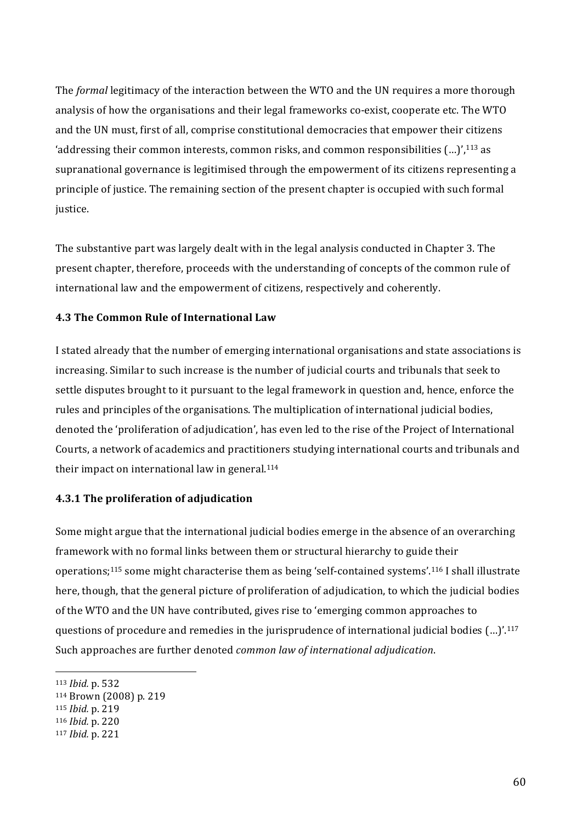The *formal* legitimacy of the interaction between the WTO and the UN requires a more thorough analysis of how the organisations and their legal frameworks co-exist, cooperate etc. The WTO and the UN must, first of all, comprise constitutional democracies that empower their citizens 'addressing their common interests, common risks, and common responsibilities  $(...)$ ,<sup>113</sup> as supranational governance is legitimised through the empowerment of its citizens representing a principle of justice. The remaining section of the present chapter is occupied with such formal justice.

The substantive part was largely dealt with in the legal analysis conducted in Chapter 3. The present chapter, therefore, proceeds with the understanding of concepts of the common rule of international law and the empowerment of citizens, respectively and coherently.

### **4.3 The Common Rule of International Law**

I stated already that the number of emerging international organisations and state associations is increasing. Similar to such increase is the number of judicial courts and tribunals that seek to settle disputes brought to it pursuant to the legal framework in question and, hence, enforce the rules and principles of the organisations. The multiplication of international judicial bodies, denoted the 'proliferation of adjudication', has even led to the rise of the Project of International Courts, a network of academics and practitioners studying international courts and tribunals and their impact on international law in general. $114$ 

## **4.3.1 The proliferation of adjudication**

Some might argue that the international judicial bodies emerge in the absence of an overarching framework with no formal links between them or structural hierarchy to guide their operations;<sup>115</sup> some might characterise them as being 'self-contained systems'.<sup>116</sup> I shall illustrate here, though, that the general picture of proliferation of adjudication, to which the judicial bodies of the WTO and the UN have contributed, gives rise to 'emerging common approaches to questions of procedure and remedies in the jurisprudence of international judicial bodies  $(...)$ .<sup>117</sup> Such approaches are further denoted *common law of international adjudication*.

<sup>113</sup> *Ibid.* p. 532

<sup>114</sup> Brown (2008) p. 219

<sup>115</sup> *Ibid.* p. 219

<sup>116</sup> *Ibid.* p. 220

<sup>117</sup> *Ibid.* p. 221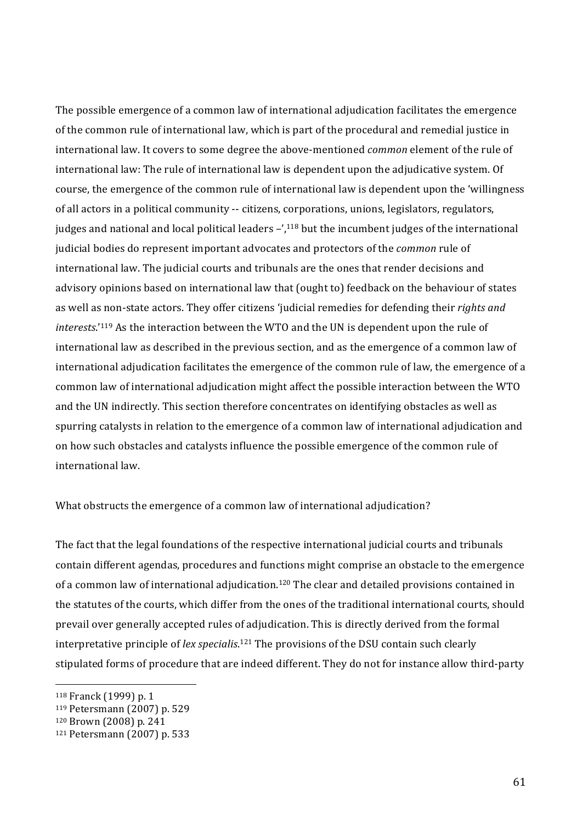The possible emergence of a common law of international adjudication facilitates the emergence of the common rule of international law, which is part of the procedural and remedial justice in international law. It covers to some degree the above-mentioned *common* element of the rule of international law: The rule of international law is dependent upon the adjudicative system. Of course, the emergence of the common rule of international law is dependent upon the 'willingness' of all actors in a political community -- citizens, corporations, unions, legislators, regulators, judges and national and local political leaders  $-\frac{1}{2}$ ,<sup>118</sup> but the incumbent judges of the international judicial bodies do represent important advocates and protectors of the *common* rule of international law. The judicial courts and tribunals are the ones that render decisions and advisory opinions based on international law that (ought to) feedback on the behaviour of states as well as non-state actors. They offer citizens 'judicial remedies for defending their *rights and interests.*'<sup>119</sup> As the interaction between the WTO and the UN is dependent upon the rule of international law as described in the previous section, and as the emergence of a common law of international adjudication facilitates the emergence of the common rule of law, the emergence of a common law of international adjudication might affect the possible interaction between the WTO and the UN indirectly. This section therefore concentrates on identifying obstacles as well as spurring catalysts in relation to the emergence of a common law of international adjudication and on how such obstacles and catalysts influence the possible emergence of the common rule of international law.

What obstructs the emergence of a common law of international adjudication?

The fact that the legal foundations of the respective international judicial courts and tribunals contain'different agendas, procedures and functions might comprise an obstacle to the emergence of a common law of international adjudication.<sup>120</sup> The clear and detailed provisions contained in the statutes of the courts, which differ from the ones of the traditional international courts, should prevail over generally accepted rules of adjudication. This is directly derived from the formal interpretative principle of *lex specialis*.<sup>121</sup> The provisions of the DSU contain such clearly stipulated forms of procedure that are indeed different. They do not for instance allow third-party

<sup>118</sup> Franck (1999) p. 1

<sup>119</sup> Petersmann (2007) p. 529

<sup>&</sup>lt;sup>120</sup> Brown (2008) p. 241

<sup>121</sup> Petersmann (2007) p. 533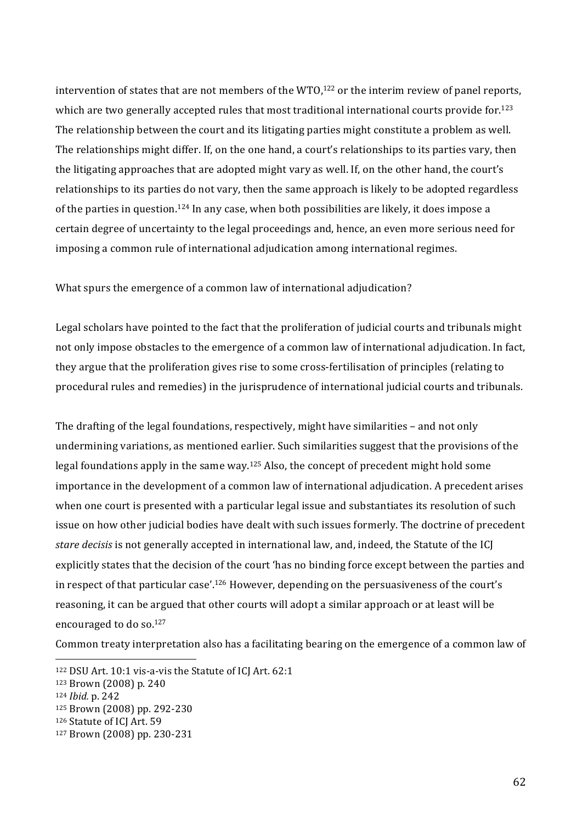intervention of states that are not members of the WTO,<sup>122</sup> or the interim review of panel reports, which are two generally accepted rules that most traditional international courts provide for.<sup>123</sup> The relationship between the court and its litigating parties might constitute a problem as well. The relationships might differ. If, on the one hand, a court's relationships to its parties vary, then the litigating approaches that are adopted might vary as well. If, on the other hand, the court's relationships to its parties do not vary, then the same approach is likely to be adopted regardless of the parties in question.<sup>124</sup> In any case, when both possibilities are likely, it does impose a certain'degree's of uncertainty to the legal proceedings and, hence, an even more serious need for imposing a common rule of international adjudication among international regimes.

What spurs the emergence of a common law of international adjudication?

Legal scholars' have pointed to the fact that the proliferation of judicial courts and tribunals might not only impose obstacles to the emergence of a common law of international adjudication. In fact, they argue that the proliferation gives rise to some cross-fertilisation of principles (relating to procedural rules and remedies) in the jurisprudence of international judicial courts and tribunals.

The drafting of the legal foundations, respectively, might have similarities - and not only undermining variations, as mentioned earlier. Such similarities suggest that the provisions of the legal foundations apply in the same way.<sup>125</sup> Also, the concept of precedent might hold some importance in the development of a common law of international adjudication. A precedent arises when one court is presented with a particular legal issue and substantiates its resolution of such issue on how other judicial bodies have dealt with such issues formerly. The doctrine of precedent *stare decisis* is not generally accepted in international law, and, indeed, the Statute of the ICJ explicitly states that the decision of the court 'has no binding force except between the parties and in respect of that particular case'.<sup>126</sup> However, depending on the persuasiveness of the court's reasoning, it can be argued that other courts will adopt a similar approach or at least will be encouraged to do so. $127$ 

Common treaty interpretation also has a facilitating bearing on the emergence of a common law of

 $122$  DSU Art. 10:1 vis-a-vis the Statute of ICJ Art. 62:1

<sup>123</sup> Brown (2008) p. 240

<sup>124</sup> *Ibid.* p. 242

<sup>125</sup> Brown (2008) pp. 292-230

<sup>126</sup> Statute of ICJ Art. 59

<sup>127</sup> Brown (2008) pp. 230-231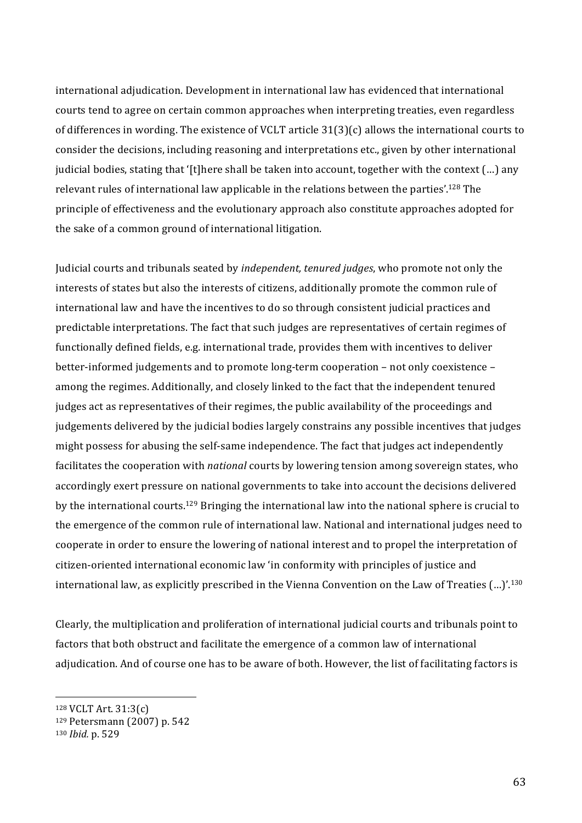international adjudication. Development in international law has evidenced that international courts tend to agree on certain common approaches when interpreting treaties, even regardless of differences in wording. The existence of VCLT article  $31(3)(c)$  allows the international courts to consider the decisions, including reasoning and interpretations etc., given by other international judicial bodies, stating that '[t]here shall be taken into account, together with the context (...) any relevant rules of international law applicable in the relations between the parties'.<sup>128</sup> The principle'of'effectiveness'and'the'evolutionary'approach'also'constitute'approaches'adopted'for' the sake of a common ground of international litigation.

Judicial courts and tribunals seated by *independent, tenured judges*, who promote not only the interests of states but also the interests of citizens, additionally promote the common rule of international law and have the incentives to do so through consistent judicial practices and predictable interpretations. The fact that such judges are representatives of certain regimes of functionally defined fields, e.g. international trade, provides them with incentives to deliver better-informed judgements and to promote long-term cooperation – not only coexistence – among the regimes. Additionally, and closely linked to the fact that the independent tenured judges act as representatives of their regimes, the public availability of the proceedings and judgements delivered by the judicial bodies largely constrains any possible incentives that judges might possess for abusing the self-same independence. The fact that judges act independently facilitates' the cooperation' with *national* courts by lowering tension among sovereign states, who accordingly exert pressure on national governments to take into account the decisions delivered by the international courts.<sup>129</sup> Bringing the international law into the national sphere is crucial to the emergence of the common rule of international law. National and international judges need to cooperate in order to ensure the lowering of national interest and to propel the interpretation of citizen-oriented international economic law'in conformity with principles of justice and international law, as explicitly prescribed in the Vienna Convention on the Law of Treaties (...)'.<sup>130</sup>

Clearly, the multiplication and proliferation of international judicial courts and tribunals point to factors that both obstruct and facilitate the emergence of a common law of international adjudication. And of course one has to be aware of both. However, the list of facilitating factors is

<sup>128</sup> VCLT Art. 31:3(c)

<sup>129</sup> Petersmann (2007) p. 542

<sup>130</sup> *Ibid.* p. 529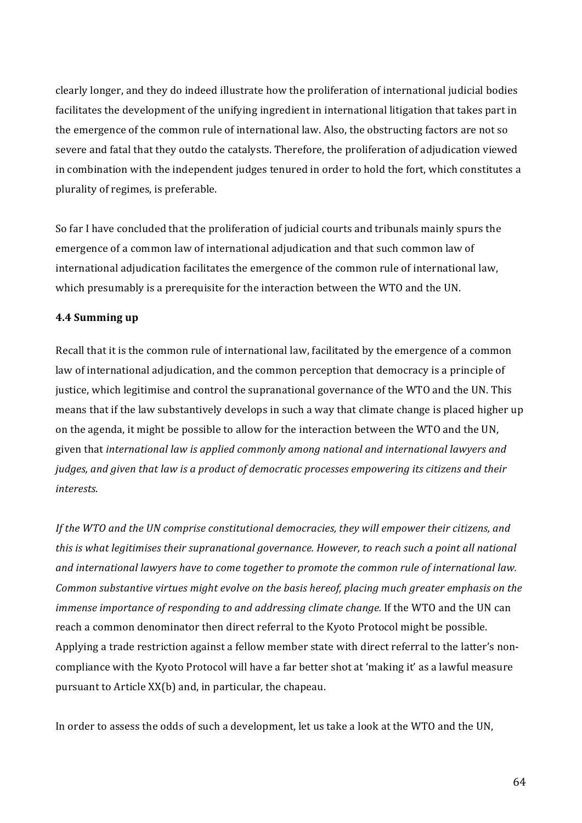clearly longer, and they do indeed illustrate how the proliferation of international judicial bodies facilitates' the development of the unifying ingredient in international litigation that takes part in the emergence of the common rule of international law. Also, the obstructing factors are not so severe and fatal that they outdo the catalysts. Therefore, the proliferation of adjudication viewed in combination with the independent judges tenured in order to hold the fort, which constitutes a plurality of regimes, is preferable.

So far I have concluded that the proliferation of judicial courts and tribunals mainly spurs the emergence of a common law of international adjudication and that such common law of international adjudication facilitates the emergence of the common rule of international law, which presumably is a prerequisite for the interaction between the WTO and the UN.

#### **4.4 Summing up**

Recall that it is the common rule of international law, facilitated by the emergence of a common law of international adjudication, and the common perception that democracy is a principle of justice, which legitimise and control the supranational governance of the WTO and the UN. This means'that' if the law substantively develops in such a way that climate change is placed higher' up on the agenda, it might be possible to allow for the interaction between the WTO and the UN, given that international law is applied commonly among national and international lawyers and *judges, and given that law is a product of democratic processes empowering its citizens and their interests.\$*

If the WTO and the UN comprise constitutional democracies, they will empower their citizens, and *this is what legitimises their supranational governance. However, to reach such a point all national* and international lawyers have to come together to promote the common rule of international law. *Common substantive virtues might evolve on the basis hereof, placing much greater emphasis on the immense importance of responding to and addressing climate change.* If the WTO and the UN can reach a common denominator then direct referral to the Kyoto Protocol might be possible. Applying a trade restriction against a fellow member state with direct referral to the latter's noncompliance with the Kyoto Protocol will have a far better shot at 'making it' as a lawful measure pursuant to Article XX(b) and, in particular, the chapeau.

In order to assess the odds of such a development, let us take a look at the WTO and the UN,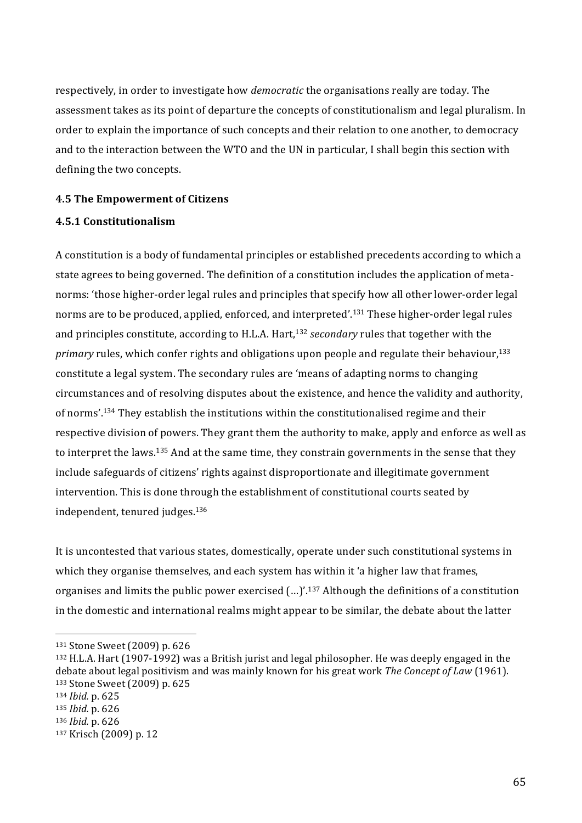respectively, in order to investigate how *democratic* the organisations really are today. The assessment takes as its point of departure the concepts of constitutionalism and legal pluralism. In order to explain the importance of such concepts and their relation to one another, to democracy and to the interaction between the WTO and the UN in particular, I shall begin this section with defining the two concepts.

#### **4.5 The Empowerment of Citizens**

### **4.5.1(Constitutionalism**

A constitution is a body of fundamental principles or established precedents according to which a state agrees to being governed. The definition of a constitution includes the application of metanorms: 'those higher-order legal rules and principles that specify how all other lower-order legal norms are to be produced, applied, enforced, and interpreted'.<sup>131</sup> These higher-order legal rules and principles constitute, according to H.L.A. Hart,<sup>132</sup> *secondary* rules that together with the *primary* rules, which confer rights and obligations upon people and regulate their behaviour,<sup>133</sup> constitute a legal system. The secondary rules are 'means of adapting norms to changing circumstances and of resolving disputes about the existence, and hence the validity and authority, of norms'.<sup>134</sup> They establish the institutions within the constitutionalised regime and their respective division of powers. They grant them the authority to make, apply and enforce as well as to interpret the laws.<sup>135</sup> And at the same time, they constrain governments in the sense that they include safeguards of citizens' rights against disproportionate and illegitimate government intervention. This is done through the establishment of constitutional courts seated by independent, tenured judges.<sup>136</sup>

It is uncontested that various states, domestically, operate under such constitutional systems in which they organise themselves, and each system has within it 'a higher law that frames, organises and limits the public power exercised (...)'.<sup>137</sup> Although the definitions of a constitution in the domestic and international realms might appear to be similar, the debate about the latter

<sup>&</sup>lt;sup>131</sup> Stone Sweet (2009) p. 626

<sup>132</sup> H.L.A. Hart (1907-1992) was a British jurist and legal philosopher. He was deeply engaged in the debate about legal positivism and was mainly known for his great work *The Concept of Law* (1961). 133 Stone Sweet (2009) p. 625

<sup>134</sup> *Ibid.* p. 625

<sup>135</sup> *Ibid.* p. 626

<sup>136</sup> *Ibid.* p. 626

<sup>137</sup> Krisch (2009) p. 12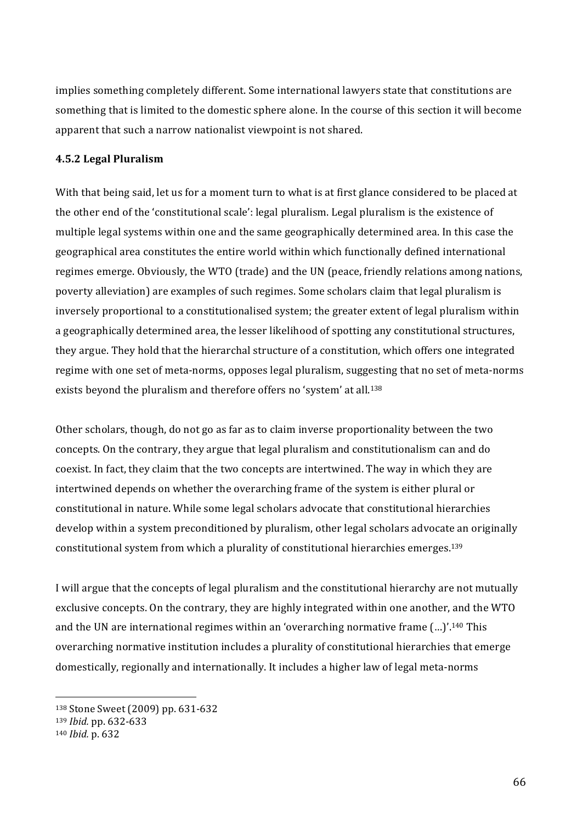implies something completely different. Some international lawyers state that constitutions are something that is limited to the domestic sphere alone. In the course of this section it will become apparent that such a narrow nationalist viewpoint is not shared.

### **4.5.2 Legal Pluralism**

With that being said, let us for a moment turn to what is at first glance considered to be placed at the other end of the 'constitutional scale': legal pluralism. Legal pluralism is the existence of multiple legal systems within'one and the same geographically determined area. In this case the geographical area constitutes the entire world within which functionally defined international regimes emerge. Obviously, the WTO (trade) and the UN (peace, friendly relations among nations, poverty alleviation) are examples of such regimes. Some scholars claim that legal pluralism is inversely proportional to a constitutionalised system; the greater extent of legal pluralism within a geographically determined area, the lesser likelihood of spotting any constitutional structures, they argue. They hold that the hierarchal structure of a constitution, which offers one integrated regime with one set of meta-norms, opposes legal pluralism, suggesting that no set of meta-norms exists beyond the pluralism and therefore offers no 'system' at all.<sup>138</sup>

Other scholars, though, do not go as far as to claim inverse proportionality between the two concepts. On the contrary, they argue that legal pluralism and constitutionalism can and do coexist. In fact, they claim that the two concepts are intertwined. The way in which they are intertwined depends on whether the overarching frame of the system is either plural or constitutional'in'nature.'While'some'legal'scholars'advocate'that'constitutional'hierarchies' develop within a system preconditioned by pluralism, other legal scholars advocate an originally constitutional system from which a plurality of constitutional hierarchies emerges.<sup>139</sup>

I will argue that the concepts of legal pluralism and the constitutional hierarchy are not mutually exclusive concepts. On the contrary, they are highly integrated within one another, and the WTO and the UN are international regimes within an 'overarching normative frame (...)'.<sup>140</sup> This overarching'normative'institution'includes'a'plurality'of'constitutional'hierarchies'that'emerge' domestically, regionally and internationally. It includes a higher law of legal meta-norms

<sup>138</sup> Stone Sweet (2009) pp. 631-632

<sup>139</sup> *Ibid.* pp. 632-633

<sup>140</sup> *Ibid.* p. 632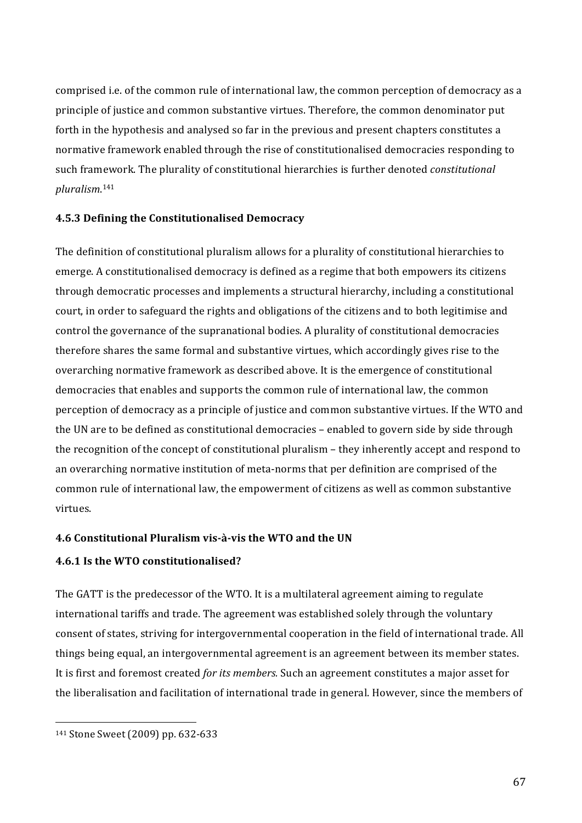comprised i.e. of the common rule of international law, the common perception of democracy as a principle of justice and common substantive virtues. Therefore, the common denominator put forth in the hypothesis and analysed so far in the previous and present chapters constitutes a normative framework enabled through the rise of constitutionalised democracies responding to such'framework.'The'plurality'of'constitutional'hierarchies'is'further'denoted'*constitutional\$ pluralism*. 141

## **4.5.3 Defining the Constitutionalised Democracy**

The definition of constitutional pluralism allows for a plurality of constitutional hierarchies to emerge. A constitutionalised democracy is defined as a regime that both empowers its citizens through democratic processes and implements a structural hierarchy, including a constitutional court, in order to safeguard the rights and obligations of the citizens and to both legitimise and control the governance of the supranational bodies. A plurality of constitutional democracies therefore shares the same formal and substantive virtues, which accordingly gives rise to the overarching normative framework as described above. It is the emergence of constitutional democracies that enables and supports the common rule of international law, the common perception of democracy as a principle of justice and common substantive virtues. If the WTO and the UN are to be defined as constitutional democracies – enabled to govern side by side through the recognition of the concept of constitutional pluralism – they inherently accept and respond to an overarching normative institution of meta-norms that per definition are comprised of the common rule of international law, the empowerment of citizens as well as common substantive virtues.

#### **4.6 Constitutional Pluralism vis-à-vis the WTO and the UN**

## **4.6.1 Is the WTO constitutionalised?**

The GATT is the predecessor of the WTO. It is a multilateral agreement aiming to regulate international tariffs and trade. The agreement was established solely through the voluntary consent of states, striving for intergovernmental cooperation in the field of international trade. All things being equal, an intergovernmental agreement is an agreement between its member states. It is first and foremost created *for its members.* Such an agreement constitutes a major asset for the liberalisation and facilitation of international trade in general. However, since the members of

<sup>141</sup> Stone Sweet (2009) pp. 632-633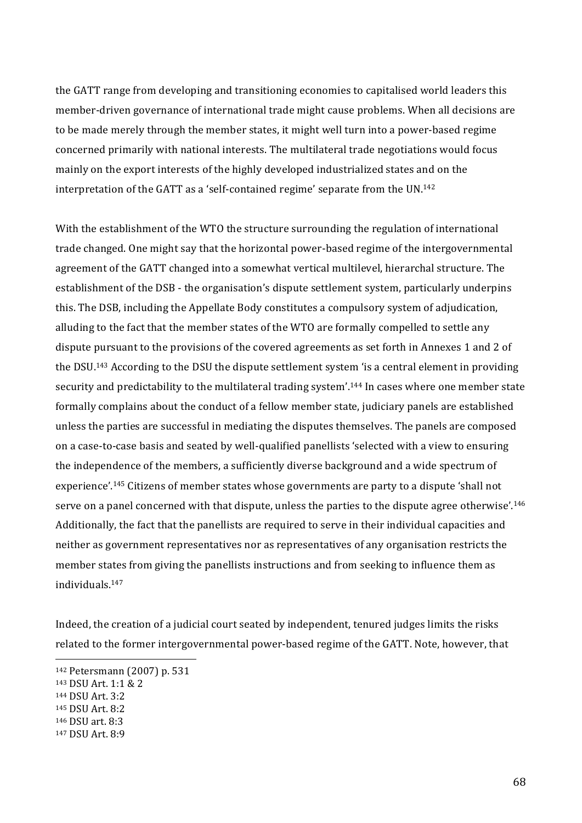the GATT range from developing and transitioning economies to capitalised world leaders this member-driven governance of international trade might cause problems. When all decisions are to be made merely through the member states, it might well turn into a power-based regime concerned primarily with national interests. The multilateral trade negotiations would focus mainly on the export interests of the highly developed industrialized states and on the interpretation of the GATT as a 'self-contained regime' separate from the  $UN^{142}$ 

With the establishment of the WTO the structure surrounding the regulation of international trade changed. One might say that the horizontal power-based regime of the intergovernmental agreement of the GATT changed into a somewhat vertical multilevel, hierarchal structure. The establishment of the DSB - the organisation's dispute settlement system, particularly underpins this. The DSB, including the Appellate Body constitutes a compulsory system of adjudication, alluding to the fact that the member states of the WTO are formally compelled to settle any dispute pursuant to the provisions of the covered agreements as set forth in Annexes 1 and 2 of the DSU.<sup>143</sup> According to the DSU the dispute settlement system 'is a central element in providing security and predictability to the multilateral trading system'.<sup>144</sup> In cases where one member state formally complains about the conduct of a fellow member state, judiciary panels are established unless the parties are successful in mediating the disputes themselves. The panels are composed on a case-to-case basis and seated by well-qualified panellists 'selected with a view to ensuring the independence of the members, a sufficiently diverse background and a wide spectrum of experience'.<sup>145</sup> Citizens of member states whose governments are party to a dispute 'shall not serve on a panel concerned with that dispute, unless the parties to the dispute agree otherwise'.<sup>146</sup> Additionally, the fact that the panellists are required to serve in their individual capacities and neither as government representatives nor as representatives of any organisation restricts the member states from giving the panellists instructions and from seeking to influence them as individuals.147

Indeed, the creation of a judicial court seated by independent, tenured judges limits the risks related to the former intergovernmental power-based regime of the GATT. Note, however, that

<sup>142</sup> Petersmann (2007) p. 531

<sup>143</sup> DSU Art. 1:1 & 2

<sup>144</sup> DSU Art. 3:2

<sup>145</sup> DSU Art. 8:2

<sup>146</sup> DSU art. 8:3

<sup>147</sup> DSU Art. 8:9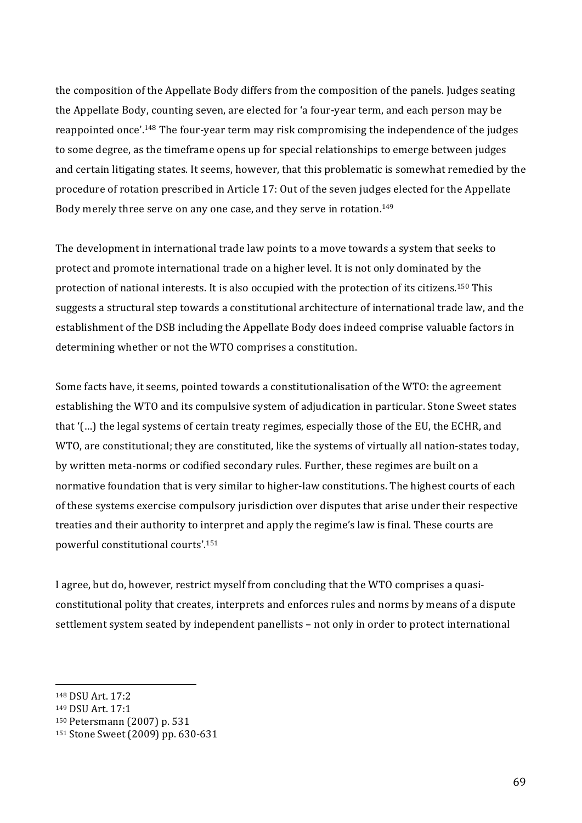the composition of the Appellate Body differs from the composition of the panels. Judges seating the Appellate Body, counting seven, are elected for 'a four-year term, and each person may be reappointed once'.<sup>148</sup> The four-year term may risk compromising the independence of the judges to some degree, as the timeframe opens up for special relationships to emerge between judges and certain litigating states. It seems, however, that this problematic is somewhat remedied by the procedure of rotation prescribed in Article 17: Out of the seven judges elected for the Appellate Body merely three serve on any one case, and they serve in rotation.<sup>149</sup>

The development in international trade law points to a move towards a system that seeks to protect and promote international trade on a higher level. It is not only dominated by the protection of national interests. It is also occupied with the protection of its citizens.<sup>150</sup> This suggests a structural step towards a constitutional architecture of international trade law, and the establishment of the DSB including the Appellate Body does indeed comprise valuable factors in determining whether or not the WTO comprises a constitution.

Some facts have, it seems, pointed towards a constitutionalisation of the WTO: the agreement establishing the WTO and its compulsive system of adjudication in particular. Stone Sweet states that '(...) the legal systems of certain treaty regimes, especially those of the EU, the ECHR, and WTO, are constitutional; they are constituted, like the systems of virtually all nation-states today, by written meta-norms or codified secondary rules. Further, these regimes are built on a normative foundation that is very similar to higher-law constitutions. The highest courts of each of these systems exercise compulsory jurisdiction over disputes that arise under their respective treaties and their authority to interpret and apply the regime's law is final. These courts are powerful constitutional courts'.<sup>151</sup>

I agree, but do, however, restrict myself from concluding that the WTO comprises a quasiconstitutional polity that creates, interprets and enforces rules and norms by means of a dispute settlement system seated by independent panellists - not only in order to protect international

<sup>148</sup> DSU Art. 17:2

<sup>&</sup>lt;sup>149</sup> DSU Art. 17:1

<sup>150</sup> Petersmann (2007) p. 531

<sup>151</sup> Stone Sweet (2009) pp. 630-631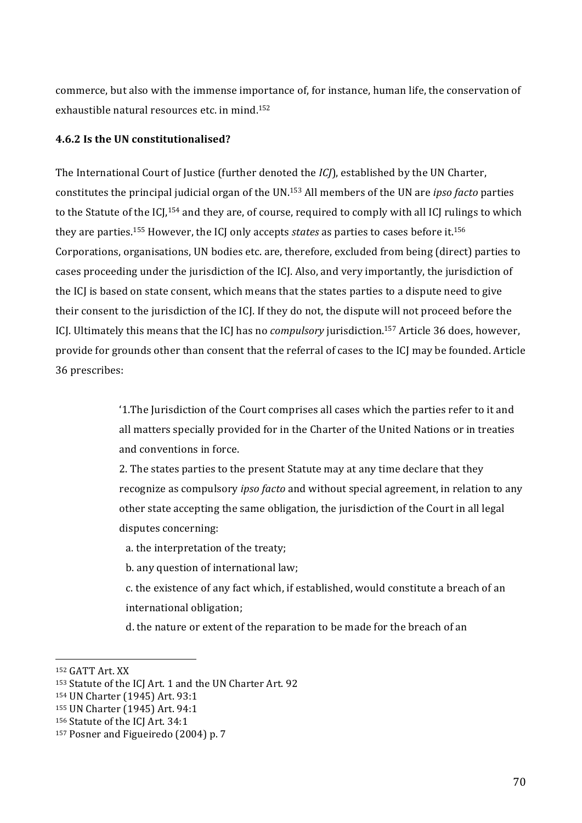commerce, but also with the immense importance of, for instance, human life, the conservation of exhaustible natural resources etc. in mind.<sup>152</sup>

## **4.6.2 Is the UN constitutionalised?**

The International Court of Justice (further denoted the *ICI*), established by the UN Charter, constitutes the principal judicial organ of the UN.<sup>153</sup> All members of the UN are *ipso facto* parties to the Statute of the ICJ,<sup>154</sup> and they are, of course, required to comply with all ICJ rulings to which they are parties.<sup>155</sup> However, the ICI only accepts *states* as parties to cases before it.<sup>156</sup> Corporations, organisations, UN bodies etc. are, therefore, excluded from being (direct) parties to cases proceeding under the jurisdiction of the ICJ. Also, and very importantly, the jurisdiction of the ICJ is based on state consent, which means that the states parties to a dispute need to give their consent to the jurisdiction of the ICJ. If they do not, the dispute will not proceed before the ICJ. Ultimately this means that the ICJ has no *compulsory* jurisdiction.<sup>157</sup> Article 36 does, however, provide for grounds other than consent that the referral of cases to the ICJ may be founded. Article 36'prescribes:

> '1.The Jurisdiction of the Court comprises all cases which the parties refer to it and all matters specially provided for in the Charter of the United Nations or in treaties and conventions in force.

2. The states parties to the present Statute may at any time declare that they recognize'as compulsory *ipso facto* and without special agreement, in relation to any other state accepting the same obligation, the jurisdiction of the Court in all legal disputes concerning:

a. the interpretation of the treaty;

b. any question of international law;

c. the existence of any fact which, if established, would constitute a breach of an international obligation;

d. the nature or extent of the reparation to be made for the breach of an

<sup>&</sup>lt;sup>152</sup> GATT Art. XX

<sup>153</sup> Statute of the ICJ Art. 1 and the UN Charter Art. 92

<sup>154</sup> UN Charter (1945) Art. 93:1

<sup>155</sup> UN Charter (1945) Art. 94:1

<sup>156</sup> Statute of the ICJ Art. 34:1

<sup>&</sup>lt;sup>157</sup> Posner and Figueiredo (2004) p. 7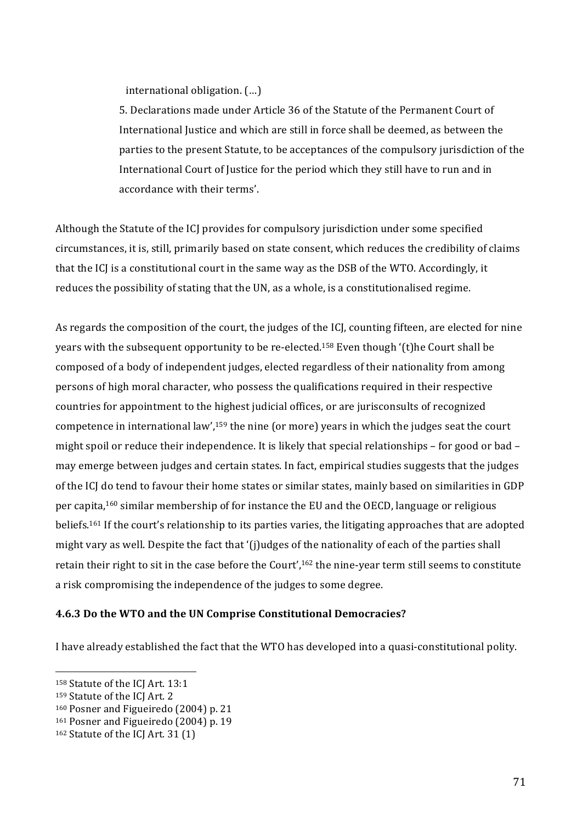international obligation. (...)

5. Declarations made under Article 36 of the Statute of the Permanent Court of International Justice and which are still in force shall be deemed, as between the parties to the present Statute, to be acceptances of the compulsory jurisdiction of the International Court of Justice for the period which they still have to run and in accordance with their terms'.

Although the Statute of the ICJ provides for compulsory jurisdiction under some specified circumstances, it is, still, primarily based on state consent, which reduces the credibility of claims that the ICJ is a constitutional court in the same way as the DSB of the WTO. Accordingly, it reduces the possibility of stating that the UN, as a whole, is a constitutionalised regime.

As regards the composition of the court, the judges of the ICJ, counting fifteen, are elected for nine years with the subsequent opportunity to be re-elected.<sup>158</sup> Even though '(t)he Court shall be composed of a body of independent judges, elected regardless of their nationality from among persons of high moral character, who possess the qualifications required in their respective countries for appointment to the highest judicial offices, or are jurisconsults of recognized competence in international law',<sup>159</sup> the nine (or more) years in which the judges seat the court might spoil or reduce their independence. It is likely that special relationships - for good or bad may emerge between judges and certain states. In fact, empirical studies suggests that the judges of the ICJ do tend to favour their home states or similar states, mainly based on similarities in GDP per capita,<sup>160</sup> similar membership of for instance the EU and the OECD, language or religious beliefs.<sup>161</sup> If the court's relationship to its parties varies, the litigating approaches that are adopted might vary as well. Despite the fact that '(j)udges of the nationality of each of the parties shall retain their right to sit in the case before the Court',<sup>162</sup> the nine-year term still seems to constitute a risk compromising the independence of the judges to some degree.

#### **4.6.3 Do the WTO and the UN Comprise Constitutional Democracies?**

I have already established the fact that the WTO has developed into a quasi-constitutional polity.

<sup>&</sup>lt;sup>158</sup> Statute of the ICJ Art. 13:1

<sup>159</sup> Statute of the ICJ Art. 2

<sup>&</sup>lt;sup>160</sup> Posner and Figueiredo (2004) p. 21

<sup>&</sup>lt;sup>161</sup> Posner and Figueiredo (2004) p. 19

 $162$  Statute of the ICJ Art. 31 (1)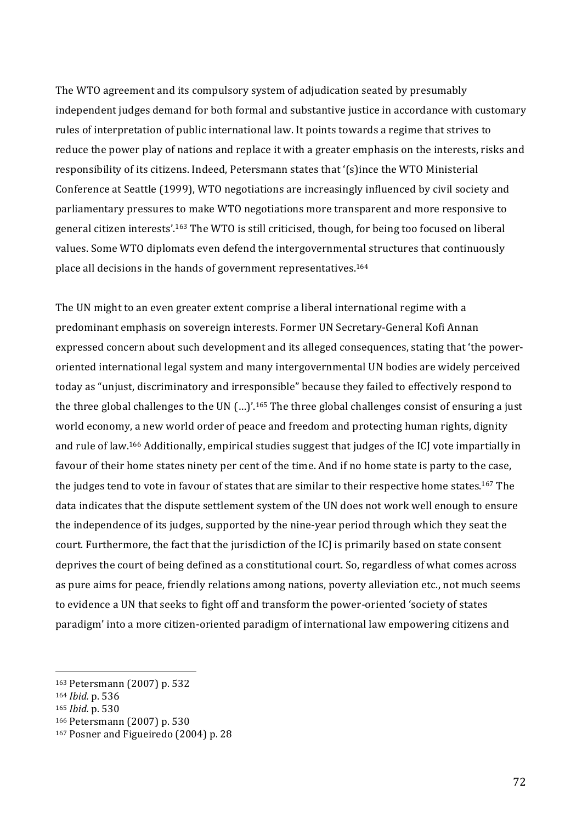The WTO agreement and its compulsory system of adjudication seated by presumably independent judges' demand for both formal and substantive justice in accordance with customary rules of interpretation of public international law. It points towards a regime that strives to reduce the power play of nations and replace it with a greater emphasis on the interests, risks and responsibility of its citizens. Indeed, Petersmann states that '(s)ince the WTO Ministerial Conference at Seattle (1999), WTO negotiations are increasingly influenced by civil society and parliamentary pressures to make WTO negotiations more transparent and more responsive to general citizen interests'.<sup>163</sup> The WTO is still criticised, though, for being too focused on liberal values. Some WTO diplomats even defend the intergovernmental structures that continuously place all decisions in the hands of government representatives.<sup>164</sup>

The UN might to an even greater extent comprise a liberal international regime with a predominant emphasis on sovereign interests. Former UN Secretary-General Kofi Annan' expressed concern about such development and its alleged consequences, stating that 'the poweroriented'international'legal'system'and'many'intergovernmental'UN'bodies'are'widely'perceived' today as "unjust, discriminatory and irresponsible" because they failed to effectively respond to the three global challenges to the UN (...)'.<sup>165</sup> The three global challenges consist of ensuring a just world economy, a new world order of peace and freedom and protecting human rights, dignity and rule of law.<sup>166</sup> Additionally, empirical studies suggest that judges of the ICJ vote impartially in favour' of their' home states ninety per cent of the time. And if no home state is party to the case, the judges tend to vote in favour of states that are similar to their respective home states.<sup>167</sup> The data indicates that the dispute settlement system of the UN does not work well enough to ensure the independence of its judges, supported by the nine-year period through which they seat the court. Furthermore, the fact that the jurisdiction of the ICJ is primarily based on state consent deprives the court of being defined as a constitutional court. So, regardless of what comes across as pure aims for peace, friendly relations among nations, poverty alleviation etc., not much seems to evidence a UN that seeks to fight off and transform the power-oriented 'society of states' paradigm' into a more citizen-oriented paradigm of international law empowering citizens and

<sup>163</sup> Petersmann (2007) p. 532

<sup>164</sup> *Ibid.* p. 536

<sup>165</sup> *Ibid.* p. 530

<sup>166</sup> Petersmann (2007) p. 530

<sup>&</sup>lt;sup>167</sup> Posner and Figueiredo (2004) p. 28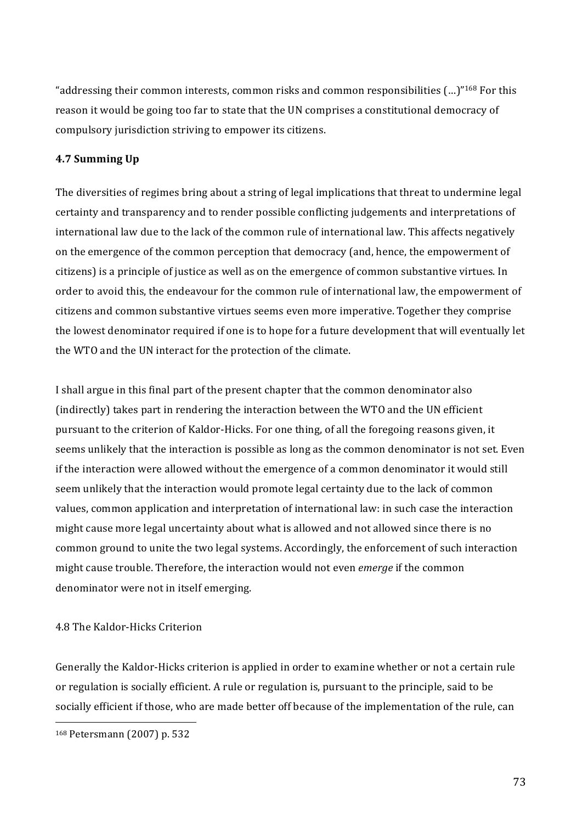"addressing their common interests, common risks and common responsibilities  $(...)$ "<sup>168</sup> For this reason it would be going too far to state that the UN comprises a constitutional democracy of compulsory jurisdiction striving to empower its citizens.

## **4.7 Summing Up**

The diversities of regimes bring about a string of legal implications that threat to undermine legal certainty and transparency and to render possible conflicting judgements and interpretations of international law due to the lack of the common rule of international law. This affects negatively on'the emergence of the common perception that democracy (and, hence, the empowerment of citizens) is a principle of justice as well as on the emergence of common substantive virtues. In order to avoid this, the endeavour for the common rule of international law, the empowerment of citizens'and'common'substantive'virtues'seems'even'more'imperative.'Together'they'comprise' the lowest denominator required if one is to hope for a future development that will eventually let the WTO and the UN interact for the protection of the climate.

I shall argue in this final part of the present chapter that the common denominator also (indirectly) takes part in rendering the interaction between the WTO and the UN efficient pursuant to the criterion of Kaldor-Hicks. For one thing, of all the foregoing reasons given, it seems unlikely that the interaction is possible as long as the common denominator is not set. Even if the interaction were allowed without the emergence of a common denominator it would still seem unlikely that the interaction would promote legal certainty due to the lack of common values, common application and interpretation of international law: in such case the interaction might cause more legal uncertainty about what is allowed and not allowed since there is no common ground to unite the two legal systems. Accordingly, the enforcement of such interaction might cause trouble. Therefore, the interaction would not even *emerge* if the common denominator were not in itself emerging.

## 4.8 The Kaldor-Hicks Criterion

Generally the Kaldor-Hicks criterion is applied in order to examine whether or not a certain rule or regulation is socially efficient. A rule or regulation is, pursuant to the principle, said to be socially efficient if those, who are made better off because of the implementation of the rule, can

<sup>168</sup> Petersmann (2007) p. 532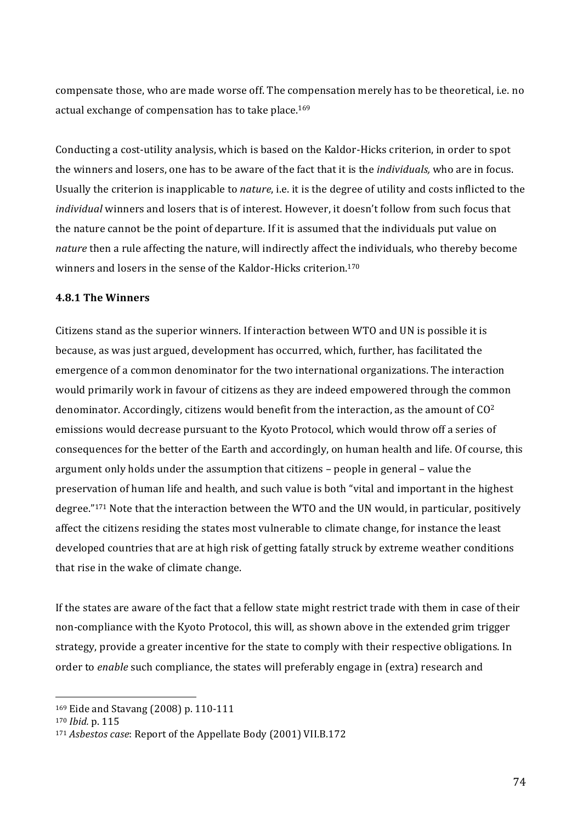compensate those, who are made worse off. The compensation merely has to be theoretical, i.e. no actual exchange of compensation has to take place.<sup>169</sup>

Conducting a cost-utility analysis, which is based on the Kaldor-Hicks criterion, in order to spot the winners and losers, one has to be aware of the fact that it is the *individuals*, who are in focus. Usually the criterion is inapplicable to *nature*, i.e. it is the degree of utility and costs inflicted to the *individual* winners and losers that is of interest. However, it doesn't follow from such focus that the nature cannot be the point of departure. If it is assumed that the individuals put value on *nature* then a rule affecting the nature, will indirectly affect the individuals, who thereby become winners and losers in the sense of the Kaldor-Hicks criterion.<sup>170</sup>

#### **4.8.1 The Winners**

Citizens stand as the superior winners. If interaction between WTO and UN is possible it is because, as was just argued, development has occurred, which, further, has facilitated the emergence of a common denominator for the two international organizations. The interaction would primarily work in favour of citizens as they are indeed empowered through the common denominator. Accordingly, citizens would benefit from the interaction, as the amount of  $CO<sup>2</sup>$ emissions would decrease pursuant to the Kyoto Protocol, which would throw off a series of consequences for the better of the Earth and accordingly, on human health and life. Of course, this argument only holds under the assumption that citizens – people in general – value the preservation of human life and health, and such value is both "vital and important in the highest degree."<sup>171</sup> Note that the interaction between the WTO and the UN would, in particular, positively affect the citizens residing the states most vulnerable to climate change, for instance the least developed countries that are at high risk of getting fatally struck by extreme weather conditions that rise in the wake of climate change.

If the states are aware of the fact that a fellow state might restrict trade with them in case of their non-compliance with the Kyoto Protocol, this will, as shown above in the extended grim trigger strategy, provide a greater incentive for the state to comply with their respective obligations. In order to *enable* such compliance, the states will preferably engage in (extra) research and

<sup>&</sup>lt;sup>169</sup> Eide and Stavang (2008) p. 110-111

<sup>170</sup> *Ibid.* p. 115

<sup>&</sup>lt;sup>171</sup> *Asbestos case*: Report of the Appellate Body (2001) VII.B.172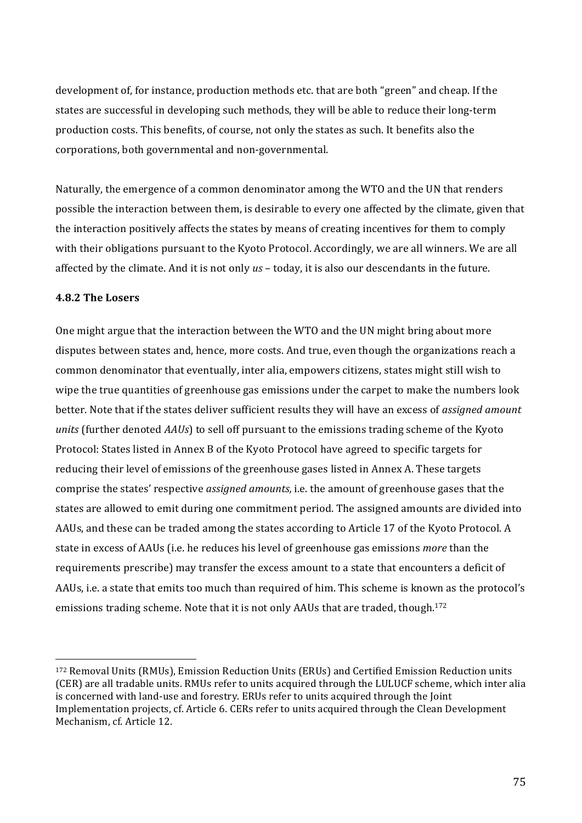development of, for instance, production methods etc. that are both "green" and cheap. If the states are successful in developing such methods, they will be able to reduce their long-term production costs. This benefits, of course, not only the states as such. It benefits also the corporations, both governmental and non-governmental.

Naturally, the emergence of a common denominator among the WTO and the UN that renders possible the interaction between them, is desirable to every one affected by the climate, given that the interaction positively affects the states by means of creating incentives for them to comply with their obligations pursuant to the Kyoto Protocol. Accordingly, we are all winners. We are all affected by the climate. And it is not only *us* – today, it is also our descendants in the future.

### **4.8.2 The Losers**

One might argue that the interaction between the WTO and the UN might bring about more disputes between states and, hence, more costs. And true, even though the organizations reach a common denominator that eventually, inter alia, empowers citizens, states might still wish to wipe the true quantities of greenhouse gas emissions under the carpet to make the numbers look better. Note that if the states deliver sufficient results they will have an excess of *assigned amount units* (further denoted *AAUs*) to sell off pursuant to the emissions trading scheme of the Kyoto Protocol: States listed in Annex B of the Kyoto Protocol have agreed to specific targets for reducing their level of emissions of the greenhouse gases listed in Annex A. These targets comprise the states' respective *assigned amounts*, *i.e.* the amount of greenhouse gases that the states are allowed to emit during one commitment period. The assigned amounts are divided into AAUs, and these can be traded among the states according to Article 17 of the Kyoto Protocol. A state in excess of AAUs (i.e. he reduces his level of greenhouse gas emissions *more* than the requirements prescribe) may transfer the excess amount to a state that encounters a deficit of AAUs, i.e. a state that emits too much than required of him. This scheme is known as the protocol's emissions trading scheme. Note that it is not only AAUs that are traded, though.<sup>172</sup>

<sup>172</sup> Removal Units (RMUs), Emission Reduction Units (ERUs) and Certified Emission Reduction units (CER) are all tradable units. RMUs refer to units acquired through the LULUCF scheme, which inter alia is concerned with land-use and forestry. ERUs refer to units acquired through the Joint Implementation projects, cf. Article 6. CERs refer to units acquired through the Clean Development Mechanism, cf. Article 12.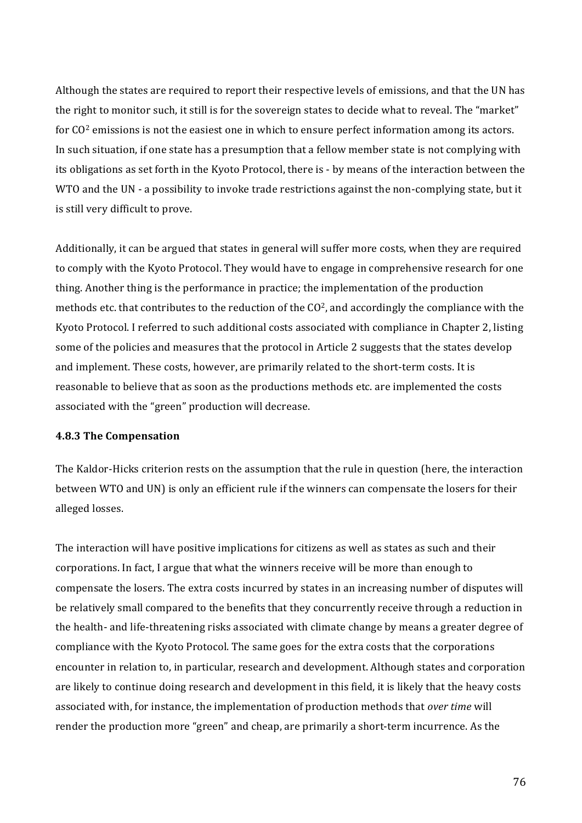Although the states are required to report their respective levels of emissions, and that the UN has the right to monitor such, it still is for the sovereign states to decide what to reveal. The "market" for CO<sup>2</sup> emissions is not the easiest one in which to ensure perfect information among its actors. In such situation, if one state has a presumption that a fellow member state is not complying with its obligations as set forth in the Kyoto Protocol, there is - by means of the interaction between the WTO and the UN - a possibility to invoke trade restrictions against the non-complying state, but it is still very difficult to prove.

Additionally, it can be argued that states in general will suffer more costs, when they are required to comply with the Kyoto Protocol. They would have to engage in comprehensive research for one thing. Another thing is the performance in practice; the implementation of the production methods etc. that contributes to the reduction of the  $CO<sup>2</sup>$ , and accordingly the compliance with the Kyoto Protocol. I referred to such additional costs associated with compliance in Chapter 2, listing some of the policies and measures that the protocol in Article 2 suggests that the states develop and implement. These costs, however, are primarily related to the short-term costs. It is reasonable to believe that as soon as the productions methods etc. are implemented the costs associated with the "green" production will decrease.

#### **4.8.3 The Compensation**

The Kaldor-Hicks criterion rests on the assumption that the rule in question (here, the interaction' between WTO and UN) is only an efficient rule if the winners can compensate the losers for their alleged losses.

The interaction will have positive implications for citizens as well as states as such and their corporations. In fact, I argue that what the winners receive will be more than enough to compensate the losers. The extra costs incurred by states in an increasing number of disputes will be relatively small compared to the benefits that they concurrently receive through a reduction in the health- and life-threatening risks associated with climate change by means a greater degree of compliance with the Kyoto Protocol. The same goes for the extra costs that the corporations' encounter in relation to, in particular, research and development. Although states and corporation are likely to continue doing research and development in this field, it is likely that the heavy costs associated with, for instance, the implementation of production methods that *over time* will render the production more "green" and cheap, are primarily a short-term incurrence. As the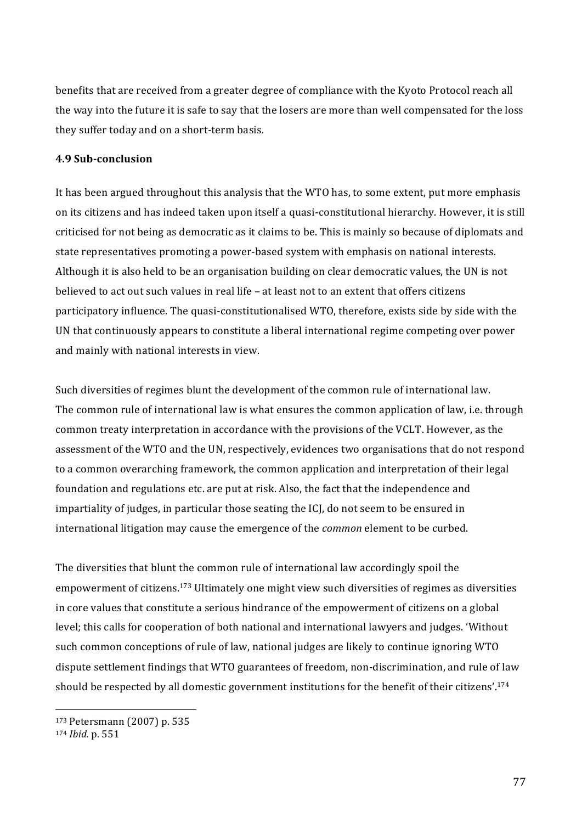benefits that are received from a greater degree of compliance with the Kyoto Protocol reach all the way into the future it is safe to say that the losers are more than well compensated for the loss' they suffer today and on a short-term basis.

#### **4.9 Sub-conclusion**

It has been argued throughout this analysis that the WTO has, to some extent, put more emphasis on its citizens and has indeed taken upon itself a quasi-constitutional hierarchy. However, it is still criticised'for'not'being'as'democratic'as'it'claims'to'be.'This'is'mainly'so'because'of'diplomats'and' state'representatives'promoting a power-based system with emphasis on national interests. Although it is also held to be an organisation building on clear democratic values, the UN is not believed to act out such values in real life – at least not to an extent that offers citizens participatory influence. The quasi-constitutionalised WTO, therefore, exists side by side with the UN that continuously appears to constitute a liberal international regime competing over power' and mainly with national interests in view.

Such diversities of regimes blunt the development of the common rule of international law. The common rule of international law is what ensures the common application of law, i.e. through common treaty interpretation in accordance with the provisions of the VCLT. However, as the assessment of the WTO and the UN, respectively, evidences two organisations that do not respond to a common overarching framework, the common application and interpretation of their legal foundation and regulations etc. are put at risk. Also, the fact that the independence and impartiality of judges, in particular those seating the ICJ, do not seem to be ensured in international litigation may cause the emergence of the *common* element to be curbed.

The diversities that blunt the common rule of international law accordingly spoil the empowerment of citizens.<sup>173</sup> Ultimately one might view such diversities of regimes as diversities in core values that constitute a serious hindrance of the empowerment of citizens on a global level; this calls for cooperation of both national and international lawyers and judges. 'Without' such common conceptions of rule of law, national judges are likely to continue ignoring WTO dispute settlement findings that WTO guarantees of freedom, non-discrimination, and rule of law should be respected by all domestic government institutions for the benefit of their citizens'.<sup>174</sup>

<sup>173</sup> Petersmann (2007) p. 535

<sup>174</sup> *Ibid.* p. 551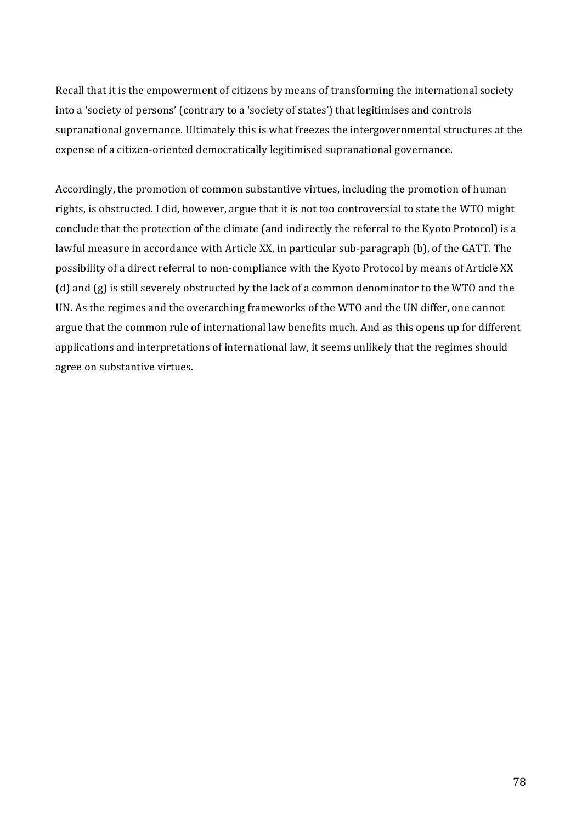Recall that it is the empowerment of citizens by means of transforming the international society into a 'society of persons' (contrary to a 'society of states') that legitimises and controls supranational governance. Ultimately this is what freezes the intergovernmental structures at the expense of a citizen-oriented democratically legitimised supranational governance.

Accordingly, the promotion of common substantive virtues, including the promotion of human rights, is obstructed. I did, however, argue that it is not too controversial to state the WTO might conclude that the protection of the climate (and indirectly the referral to the Kyoto Protocol) is a lawful measure in accordance with Article XX, in particular sub-paragraph (b), of the GATT. The possibility of a direct referral to non-compliance with the Kyoto Protocol by means of Article XX (d) and (g) is still severely obstructed by the lack of a common denominator to the WTO and the UN. As the regimes and the overarching frameworks of the WTO and the UN differ, one cannot argue that the common rule of international law benefits much. And as this opens up for different applications and interpretations of international law, it seems unlikely that the regimes should agree on substantive virtues.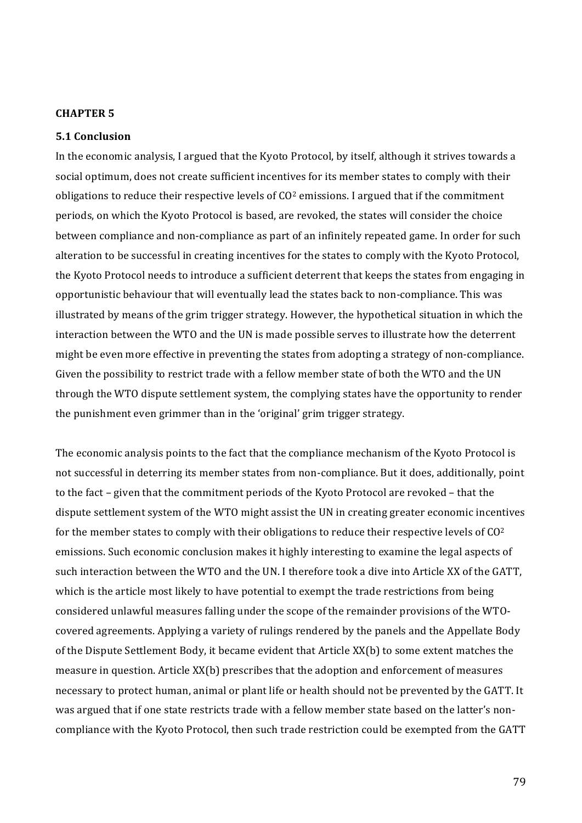### **CHAPTER 5**

#### **5.1(Conclusion**

In the economic analysis, I argued that the Kyoto Protocol, by itself, although it strives towards a social optimum, does not create sufficient incentives for its member states to comply with their obligations to reduce their respective levels of  $CO<sup>2</sup>$  emissions. I argued that if the commitment periods, on which the Kyoto Protocol is based, are revoked, the states will consider the choice between' compliance and non-compliance as part of an infinitely repeated game. In order for such alteration to be successful in creating incentives for the states to comply with the Kyoto Protocol, the Kyoto Protocol needs to introduce a sufficient deterrent that keeps the states from engaging in opportunistic behaviour that will eventually lead the states back to non-compliance. This was illustrated by means of the grim trigger strategy. However, the hypothetical situation in which the interaction'between'the'WTO'and'the UN' is made possible serves to illustrate how the deterrent might be even more effective in preventing the states from adopting a strategy of non-compliance. Given the possibility to restrict trade with a fellow member state of both the WTO and the UN through the WTO dispute settlement system, the complying states have the opportunity to render the punishment even grimmer than in the 'original' grim trigger strategy.

The economic analysis points to the fact that the compliance mechanism of the Kyoto Protocol is not successful in deterring its member states from non-compliance. But it does, additionally, point to the fact - given that the commitment periods of the Kyoto Protocol are revoked - that the dispute settlement system of the WTO might assist the UN in creating greater economic incentives for the member states to comply with their obligations to reduce their respective levels of  $C_0^2$ emissions. Such economic conclusion makes it highly interesting to examine the legal aspects of such interaction between the WTO and the UN. I therefore took a dive into Article XX of the GATT, which is the article most likely to have potential to exempt the trade restrictions from being considered unlawful measures falling under the scope of the remainder provisions of the WTOcovered agreements. Applying a variety of rulings rendered by the panels and the Appellate Body of the Dispute Settlement Body, it became evident that Article XX(b) to some extent matches the measure in question. Article XX(b) prescribes that the adoption and enforcement of measures necessary to protect human, animal or plant life or health should not be prevented by the GATT. It was argued that if one state restricts trade with a fellow member state based on the latter's noncompliance with the Kyoto Protocol, then such trade restriction could be exempted from the GATT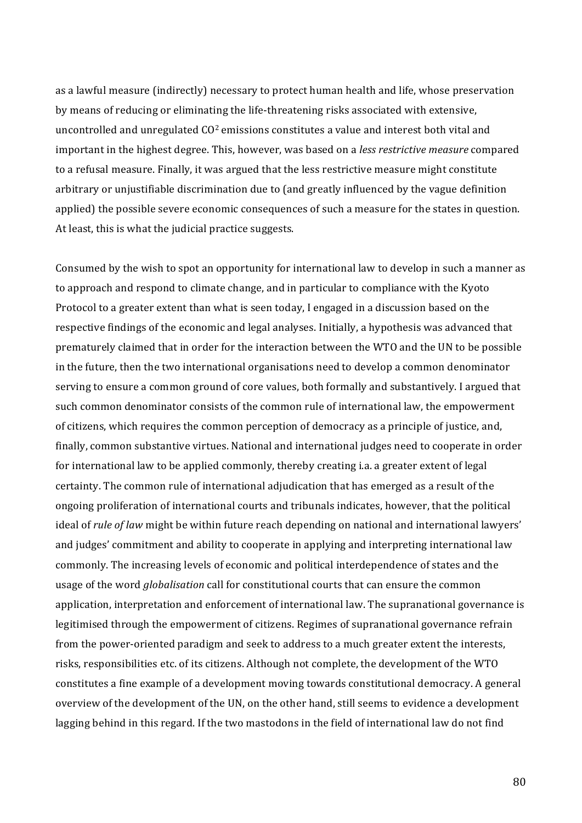as a lawful measure (indirectly) necessary to protect human health and life, whose preservation by means of reducing or eliminating the life-threatening risks associated with extensive, uncontrolled and unregulated CO<sup>2</sup> emissions constitutes a value and interest both vital and important in the highest degree. This, however, was based on a *less restrictive measure* compared to a refusal measure. Finally, it was argued that the less restrictive measure might constitute arbitrary or unjustifiable discrimination due to (and greatly influenced by the vague definition' applied) the possible severe economic consequences of such a measure for the states in question. At least, this is what the judicial practice suggests.

Consumed by the wish to spot an opportunity for international law to develop in such a manner as to approach and respond to climate change, and in particular to compliance with the Kyoto Protocol to a greater extent than what is seen today, I engaged in a discussion based on the respective findings of the economic and legal analyses. Initially, a hypothesis was advanced that prematurely claimed that in order for the interaction between the WTO and the UN to be possible in'the'future, then'the'two'international organisations' need to develop a common denominator serving to ensure a common ground of core values, both formally and substantively. I argued that such common denominator consists of the common rule of international law, the empowerment of citizens, which requires the common perception of democracy as a principle of justice, and, finally, common substantive virtues. National and international judges need to cooperate in order for international law to be applied commonly, thereby creating i.a. a greater extent of legal certainty. The common rule of international adjudication that has emerged as a result of the ongoing proliferation of international courts and tribunals indicates, however, that the political ideal of *rule of law* might be within future reach depending on national and international lawyers' and judges' commitment and ability to cooperate in applying and interpreting international law commonly.'The'increasing'levels'of'economic'and'political'interdependence'of'states'and'the' usage of the word *globalisation* call for constitutional courts that can ensure the common application, interpretation and enforcement of international law. The supranational governance is legitimised through the empowerment of citizens. Regimes of supranational governance refrain from the power-oriented paradigm and seek to address to a much greater extent the interests, risks, responsibilities etc. of its citizens. Although not complete, the development of the WTO constitutes a fine example of a development moving towards constitutional democracy. A general overview of the development of the UN, on the other hand, still seems to evidence a development lagging behind in this regard. If the two mastodons in the field of international law do not find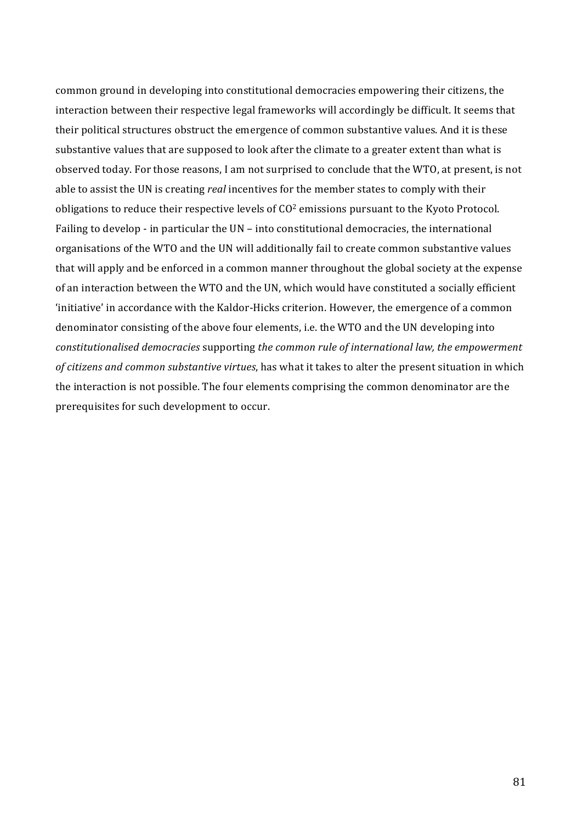common ground in developing into constitutional democracies empowering their citizens, the interaction's between'their' respective legal frameworks will accordingly be difficult. It seems that their political structures obstruct the emergence of common substantive values. And it is these substantive values that are supposed to look after the climate to a greater extent than what is observed today. For those reasons, I am not surprised to conclude that the WTO, at present, is not able to assist the UN is creating *real* incentives for the member states to comply with their obligations to reduce their respective levels of  $C_0^2$  emissions pursuant to the Kyoto Protocol. Failing to develop - in particular the  $UN$  – into constitutional democracies, the international organisations of the WTO and the UN will additionally fail to create common substantive values that will apply and be enforced in a common manner throughout the global society at the expense of an interaction between the WTO and the UN, which would have constituted a socially efficient 'initiative' in accordance with the Kaldor-Hicks criterion. However, the emergence of a common denominator consisting of the above four elements, i.e. the WTO and the UN developing into constitutionalised democracies supporting the common rule of international law, the empowerment *of citizens and common substantive virtues*, has what it takes to alter the present situation in which the interaction is not possible. The four elements comprising the common denominator are the prerequisites for such development to occur.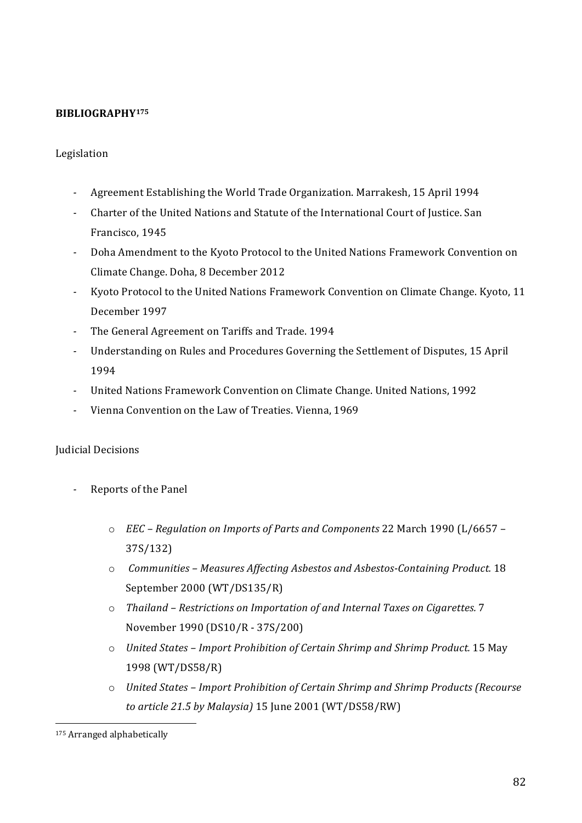## **BIBLIOGRAPHY175**

### Legislation

- <sup>2</sup> Agreement Establishing the World Trade Organization. Marrakesh, 15 April 1994
- <sup>-</sup> Charter of the United Nations and Statute of the International Court of Justice. San Francisco, 1945
- <sup>2</sup> Doha Amendment to the Kyoto Protocol to the United Nations Framework Convention on Climate Change. Doha, 8 December 2012
- <sup>-</sup> Kyoto Protocol to the United Nations Framework Convention on Climate Change. Kyoto, 11 December 1997
- The General Agreement on Tariffs and Trade. 1994
- Understanding on Rules and Procedures Governing the Settlement of Disputes, 15 April 1994
- <sup>-</sup> United Nations Framework Convention on Climate Change. United Nations, 1992
- Vienna Convention on the Law of Treaties. Vienna, 1969

#### Judicial Decisions

- Reports of the Panel
	- $\circ$  *EEC* Regulation on Imports of Parts and Components 22 March 1990 (L/6657 37S/132)
	- o *Communities Measures Affecting Asbestos and Asbestos-Containing Product.* 18 September 2000 (WT/DS135/R)
	- o *Thailand Restrictions on Importation of and Internal Taxes on Cigarettes.* 7 November 1990 (DS10/R - 37S/200)
	- o *United States Import Prohibition of Certain Shrimp and Shrimp Product.* 15 May 1998'(WT/DS58/R)
	- o *United States Import Prohibition of Certain Shrimp and Shrimp Products (Recourse to\$article\$21.5\$by\$Malaysia)\$*15'June'2001'(WT/DS58/RW)

<sup>&</sup>lt;sup>175</sup> Arranged alphabetically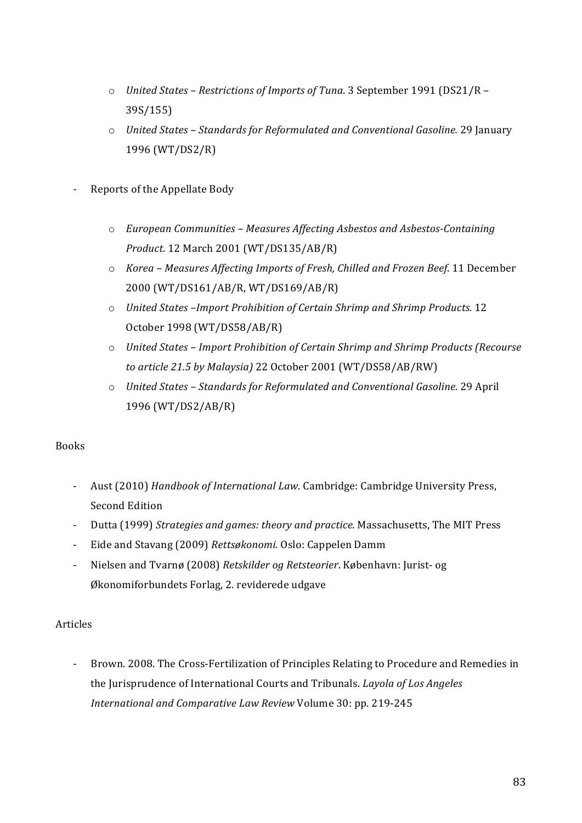- o *United States Restrictions of Imports of Tuna*. 3 September 1991 (DS21/R 39S/155)
- o *United States Standards for Reformulated and Conventional Gasoline.* 29 January 1996'(WT/DS2/R)
- Reports of the Appellate Body
	- o *European\$Communities\$–\$Measures\$Affecting\$Asbestos\$and\$Asbestos9Containing\$ Product*.'12'March'2001'(WT/DS135/AB/R)
	- o *Korea\$–\$Measures\$Affecting\$Imports\$of\$Fresh,\$Chilled\$and\$Frozen\$Beef*.'11'December' 2000 (WT/DS161/AB/R, WT/DS169/AB/R)
	- o *United States –Import Prohibition of Certain Shrimp and Shrimp Products.* 12 October 1998 (WT/DS58/AB/R)
	- o *United States Import Prohibition of Certain Shrimp and Shrimp Products (Recourse* to article 21.5 by Malaysia) 22 October 2001 (WT/DS58/AB/RW)
	- o *United States Standards for Reformulated and Conventional Gasoline.* 29 April 1996'(WT/DS2/AB/R)

## Books

- Aust (2010) *Handbook of International Law*. Cambridge: Cambridge University Press, Second Edition
- Dutta (1999) Strategies and games: theory and practice. Massachusetts, The MIT Press
- Eide and Stavang (2009) Rettsøkonomi. Oslo: Cappelen Damm
- Nielsen and Tvarnø (2008) *Retskilder og Retsteorier*. København: Jurist- og Økonomiforbundets Forlag, 2. reviderede udgave

## Articles

- Brown. 2008. The Cross-Fertilization of Principles Relating to Procedure and Remedies in the Jurisprudence of International Courts and Tribunals. *Layola of Los Angeles International and Comparative Law Review Volume 30: pp. 219-245*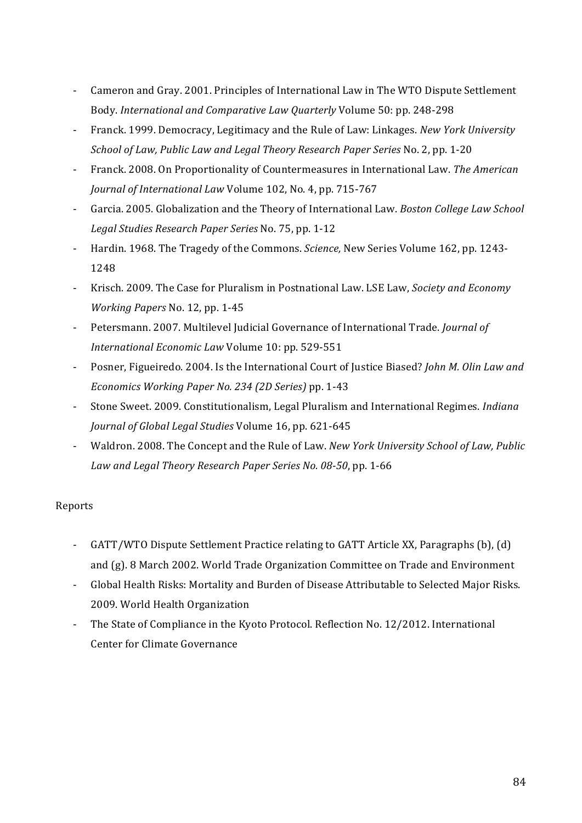- Cameron and Gray. 2001. Principles of International Law in The WTO Dispute Settlement Body. *International and Comparative Law Quarterly* Volume 50: pp. 248-298
- Franck. 1999. Democracy, Legitimacy and the Rule of Law: Linkages. *New York University School of Law, Public Law and Legal Theory Research Paper Series* No. 2, pp. 1-20
- N Franck.'2008.'On'Proportionality'of'Countermeasures'in'International'Law.'*The\$American\$ Journal of International Law Volume 102, No. 4, pp. 715-767*
- Garcia. 2005. Globalization and the Theory of International Law. *Boston College Law School* Legal Studies Research Paper Series No. 75, pp. 1-12
- Hardin. 1968. The Tragedy of the Commons. *Science*, New Series Volume 162, pp. 1243-1248
- Krisch. 2009. The Case for Pluralism in Postnational Law. LSE Law, *Society and Economy Working Papers* No. 12, pp. 1-45
- Petersmann. 2007. Multilevel Judicial Governance of International Trade. *Journal of International Economic Law Volume 10: pp. 529-551*
- Posner, Figueiredo. 2004. Is the International Court of Justice Biased? *John M. Olin Law and Economics Working Paper No. 234 (2D Series)* pp. 1-43
- Stone Sweet. 2009. Constitutionalism, Legal Pluralism and International Regimes. *Indiana Journal of Global Legal Studies* Volume 16, pp. 621-645
- Waldron. 2008. The Concept and the Rule of Law. *New York University School of Law, Public* Law and Legal Theory Research Paper Series No. 08-50, pp. 1-66

## Reports

- GATT/WTO Dispute Settlement Practice relating to GATT Article XX, Paragraphs (b), (d) and (g). 8 March 2002. World Trade Organization Committee on Trade and Environment
- Global Health Risks: Mortality and Burden of Disease Attributable to Selected Major Risks. 2009. World Health Organization
- The State of Compliance in the Kyoto Protocol. Reflection No. 12/2012. International Center for Climate Governance